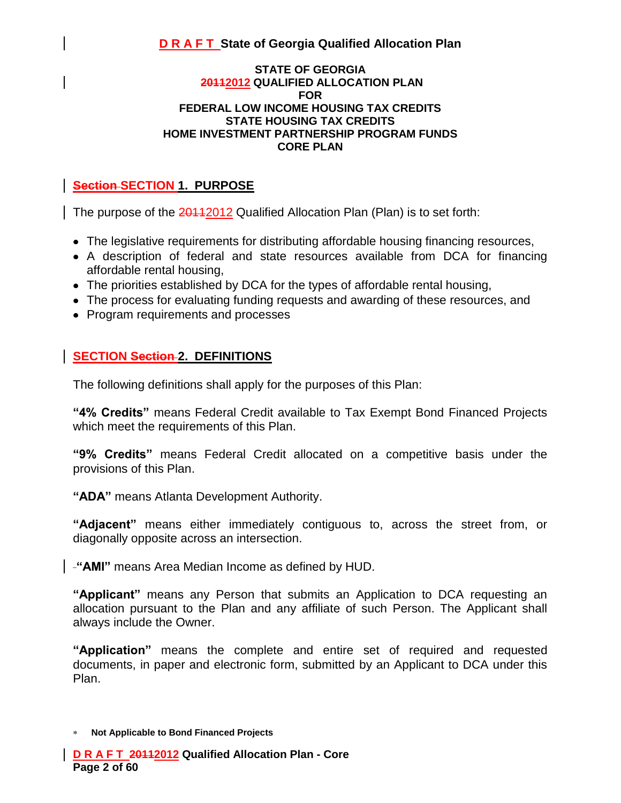#### **STATE OF GEORGIA 20112012 QUALIFIED ALLOCATION PLAN FOR FEDERAL LOW INCOME HOUSING TAX CREDITS STATE HOUSING TAX CREDITS HOME INVESTMENT PARTNERSHIP PROGRAM FUNDS CORE PLAN**

## **Section SECTION 1. PURPOSE**

The purpose of the 20112012 Qualified Allocation Plan (Plan) is to set forth:

- The legislative requirements for distributing affordable housing financing resources,
- A description of federal and state resources available from DCA for financing affordable rental housing,
- The priorities established by DCA for the types of affordable rental housing,
- The process for evaluating funding requests and awarding of these resources, and
- Program requirements and processes

### **SECTION Section 2. DEFINITIONS**

The following definitions shall apply for the purposes of this Plan:

**"4% Credits"** means Federal Credit available to Tax Exempt Bond Financed Projects which meet the requirements of this Plan.

**"9% Credits"** means Federal Credit allocated on a competitive basis under the provisions of this Plan.

**"ADA"** means Atlanta Development Authority.

**"Adjacent"** means either immediately contiguous to, across the street from, or diagonally opposite across an intersection.

**"AMI"** means Area Median Income as defined by HUD.

**"Applicant"** means any Person that submits an Application to DCA requesting an allocation pursuant to the Plan and any affiliate of such Person. The Applicant shall always include the Owner.

**"Application"** means the complete and entire set of required and requested documents, in paper and electronic form, submitted by an Applicant to DCA under this Plan.

**Not Applicable to Bond Financed Projects**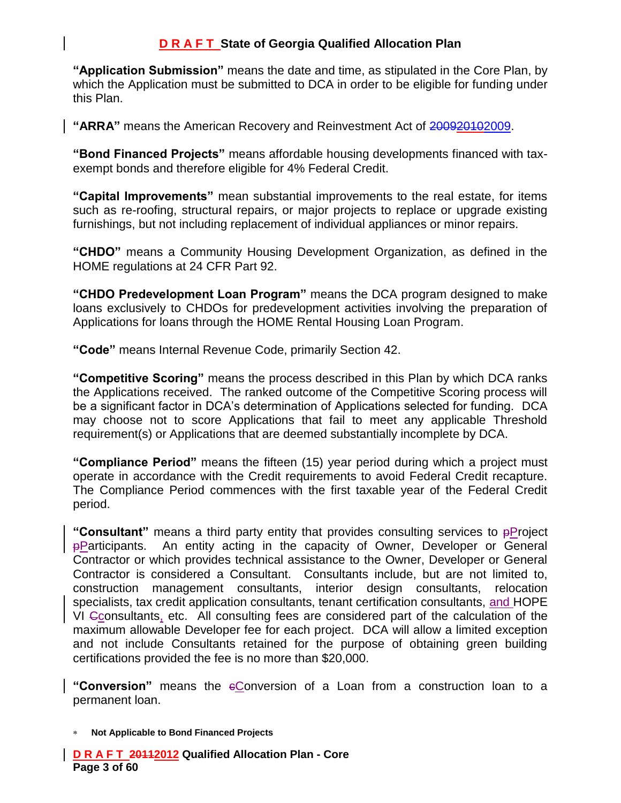**"Application Submission"** means the date and time, as stipulated in the Core Plan, by which the Application must be submitted to DCA in order to be eligible for funding under this Plan.

**"ARRA"** means the American Recovery and Reinvestment Act of 200920102009.

**"Bond Financed Projects"** means affordable housing developments financed with taxexempt bonds and therefore eligible for 4% Federal Credit.

**"Capital Improvements"** mean substantial improvements to the real estate, for items such as re-roofing, structural repairs, or major projects to replace or upgrade existing furnishings, but not including replacement of individual appliances or minor repairs.

**"CHDO"** means a Community Housing Development Organization, as defined in the HOME regulations at 24 CFR Part 92.

**"CHDO Predevelopment Loan Program"** means the DCA program designed to make loans exclusively to CHDOs for predevelopment activities involving the preparation of Applications for loans through the HOME Rental Housing Loan Program.

**"Code"** means Internal Revenue Code, primarily Section 42.

**"Competitive Scoring"** means the process described in this Plan by which DCA ranks the Applications received. The ranked outcome of the Competitive Scoring process will be a significant factor in DCA's determination of Applications selected for funding. DCA may choose not to score Applications that fail to meet any applicable Threshold requirement(s) or Applications that are deemed substantially incomplete by DCA.

**"Compliance Period"** means the fifteen (15) year period during which a project must operate in accordance with the Credit requirements to avoid Federal Credit recapture. The Compliance Period commences with the first taxable year of the Federal Credit period.

**"Consultant"** means a third party entity that provides consulting services to pProject pParticipants. An entity acting in the capacity of Owner, Developer or General Contractor or which provides technical assistance to the Owner, Developer or General Contractor is considered a Consultant. Consultants include, but are not limited to, construction management consultants, interior design consultants, relocation specialists, tax credit application consultants, tenant certification consultants, and HOPE VI Cconsultants, etc. All consulting fees are considered part of the calculation of the maximum allowable Developer fee for each project. DCA will allow a limited exception and not include Consultants retained for the purpose of obtaining green building certifications provided the fee is no more than \$20,000.

**"Conversion"** means the cConversion of a Loan from a construction loan to a permanent loan.

**Not Applicable to Bond Financed Projects**

**D R A F T 20112012 Qualified Allocation Plan - Core Page 3 of 60**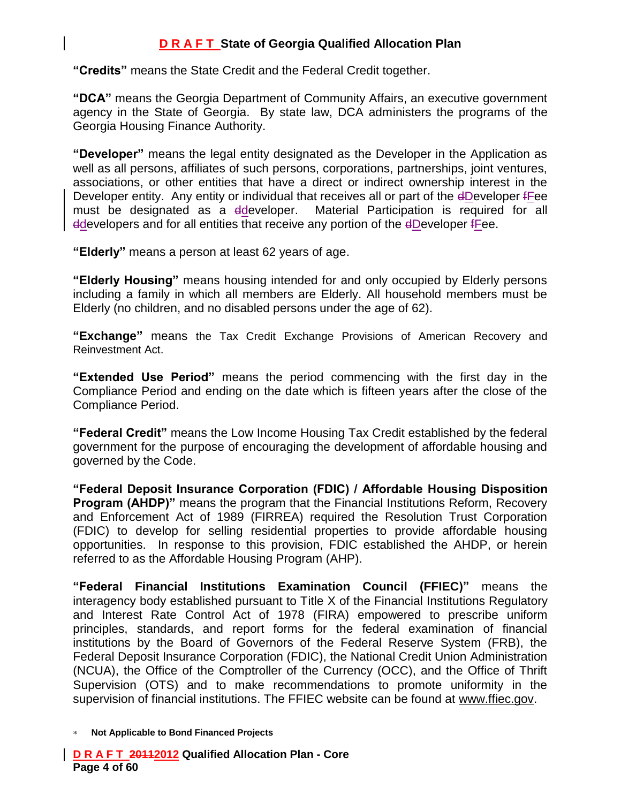**"Credits"** means the State Credit and the Federal Credit together.

**"DCA"** means the Georgia Department of Community Affairs, an executive government agency in the State of Georgia. By state law, DCA administers the programs of the Georgia Housing Finance Authority.

**"Developer"** means the legal entity designated as the Developer in the Application as well as all persons, affiliates of such persons, corporations, partnerships, joint ventures, associations, or other entities that have a direct or indirect ownership interest in the Developer entity. Any entity or individual that receives all or part of the dDeveloper fFee must be designated as a ddeveloper. Material Participation is required for all ddevelopers and for all entities that receive any portion of the dDeveloper fFee.

**"Elderly"** means a person at least 62 years of age.

**"Elderly Housing"** means housing intended for and only occupied by Elderly persons including a family in which all members are Elderly. All household members must be Elderly (no children, and no disabled persons under the age of 62).

**"Exchange"** means the Tax Credit Exchange Provisions of American Recovery and Reinvestment Act.

**"Extended Use Period"** means the period commencing with the first day in the Compliance Period and ending on the date which is fifteen years after the close of the Compliance Period.

**"Federal Credit"** means the Low Income Housing Tax Credit established by the federal government for the purpose of encouraging the development of affordable housing and governed by the Code.

**"Federal Deposit Insurance Corporation (FDIC) / Affordable Housing Disposition Program (AHDP)**" means the program that the Financial Institutions Reform, Recovery and Enforcement Act of 1989 (FIRREA) required the Resolution Trust Corporation (FDIC) to develop for selling residential properties to provide affordable housing opportunities. In response to this provision, FDIC established the AHDP, or herein referred to as the Affordable Housing Program (AHP).

**"Federal Financial Institutions Examination Council (FFIEC)"** means the interagency body established pursuant to Title X of the Financial Institutions Regulatory and Interest Rate Control Act of 1978 (FIRA) empowered to prescribe uniform principles, standards, and report forms for the federal examination of financial institutions by the Board of Governors of the Federal Reserve System (FRB), the Federal Deposit Insurance Corporation (FDIC), the National Credit Union Administration (NCUA), the Office of the Comptroller of the Currency (OCC), and the Office of Thrift Supervision (OTS) and to make recommendations to promote uniformity in the supervision of financial institutions. The FFIEC website can be found at [www.ffiec.gov.](http://www.ffiec.gov/)

**Not Applicable to Bond Financed Projects**

**D R A F T 20112012 Qualified Allocation Plan - Core Page 4 of 60**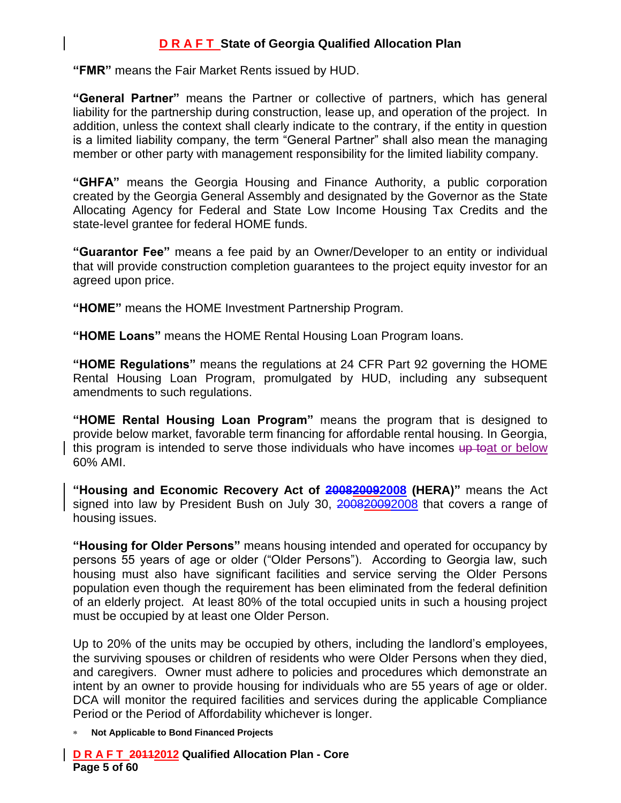**"FMR"** means the Fair Market Rents issued by HUD.

**"General Partner"** means the Partner or collective of partners, which has general liability for the partnership during construction, lease up, and operation of the project. In addition, unless the context shall clearly indicate to the contrary, if the entity in question is a limited liability company, the term "General Partner" shall also mean the managing member or other party with management responsibility for the limited liability company.

**"GHFA"** means the Georgia Housing and Finance Authority, a public corporation created by the Georgia General Assembly and designated by the Governor as the State Allocating Agency for Federal and State Low Income Housing Tax Credits and the state-level grantee for federal HOME funds.

**"Guarantor Fee"** means a fee paid by an Owner/Developer to an entity or individual that will provide construction completion guarantees to the project equity investor for an agreed upon price.

**"HOME"** means the HOME Investment Partnership Program.

**"HOME Loans"** means the HOME Rental Housing Loan Program loans.

**"HOME Regulations"** means the regulations at 24 CFR Part 92 governing the HOME Rental Housing Loan Program, promulgated by HUD, including any subsequent amendments to such regulations.

**"HOME Rental Housing Loan Program"** means the program that is designed to provide below market, favorable term financing for affordable rental housing. In Georgia, this program is intended to serve those individuals who have incomes up toat or below 60% AMI.

**"Housing and Economic Recovery Act of 200820092008 (HERA)"** means the Act signed into law by President Bush on July 30, 200820092008 that covers a range of housing issues.

**"Housing for Older Persons"** means housing intended and operated for occupancy by persons 55 years of age or older ("Older Persons"). According to Georgia law, such housing must also have significant facilities and service serving the Older Persons population even though the requirement has been eliminated from the federal definition of an elderly project. At least 80% of the total occupied units in such a housing project must be occupied by at least one Older Person.

Up to 20% of the units may be occupied by others, including the landlord's employees, the surviving spouses or children of residents who were Older Persons when they died, and caregivers. Owner must adhere to policies and procedures which demonstrate an intent by an owner to provide housing for individuals who are 55 years of age or older. DCA will monitor the required facilities and services during the applicable Compliance Period or the Period of Affordability whichever is longer.

**Not Applicable to Bond Financed Projects**

**D R A F T 20112012 Qualified Allocation Plan - Core Page 5 of 60**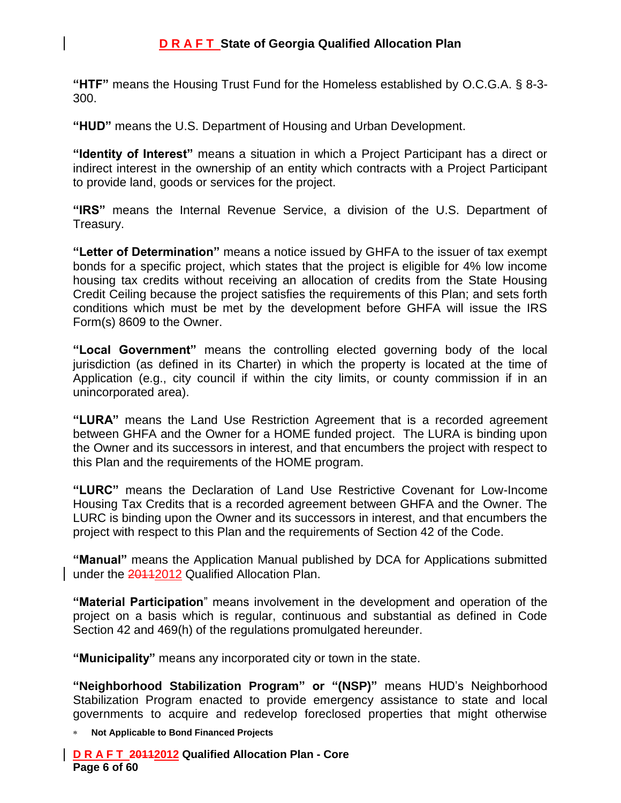**"HTF"** means the Housing Trust Fund for the Homeless established by O.C.G.A. § 8-3- 300.

**"HUD"** means the U.S. Department of Housing and Urban Development.

**"Identity of Interest"** means a situation in which a Project Participant has a direct or indirect interest in the ownership of an entity which contracts with a Project Participant to provide land, goods or services for the project.

**"IRS"** means the Internal Revenue Service, a division of the U.S. Department of Treasury.

**"Letter of Determination"** means a notice issued by GHFA to the issuer of tax exempt bonds for a specific project, which states that the project is eligible for 4% low income housing tax credits without receiving an allocation of credits from the State Housing Credit Ceiling because the project satisfies the requirements of this Plan; and sets forth conditions which must be met by the development before GHFA will issue the IRS Form(s) 8609 to the Owner.

**"Local Government"** means the controlling elected governing body of the local jurisdiction (as defined in its Charter) in which the property is located at the time of Application (e.g., city council if within the city limits, or county commission if in an unincorporated area).

**"LURA"** means the Land Use Restriction Agreement that is a recorded agreement between GHFA and the Owner for a HOME funded project. The LURA is binding upon the Owner and its successors in interest, and that encumbers the project with respect to this Plan and the requirements of the HOME program.

**"LURC"** means the Declaration of Land Use Restrictive Covenant for Low-Income Housing Tax Credits that is a recorded agreement between GHFA and the Owner. The LURC is binding upon the Owner and its successors in interest, and that encumbers the project with respect to this Plan and the requirements of Section 42 of the Code.

**"Manual"** means the Application Manual published by DCA for Applications submitted under the 201122012 Qualified Allocation Plan.

**"Material Participation**" means involvement in the development and operation of the project on a basis which is regular, continuous and substantial as defined in Code Section 42 and 469(h) of the regulations promulgated hereunder.

**"Municipality"** means any incorporated city or town in the state.

**"Neighborhood Stabilization Program" or "(NSP)"** means HUD's Neighborhood Stabilization Program enacted to provide emergency assistance to state and local governments to acquire and redevelop foreclosed properties that might otherwise

**Not Applicable to Bond Financed Projects**

**D R A F T 20112012 Qualified Allocation Plan - Core Page 6 of 60**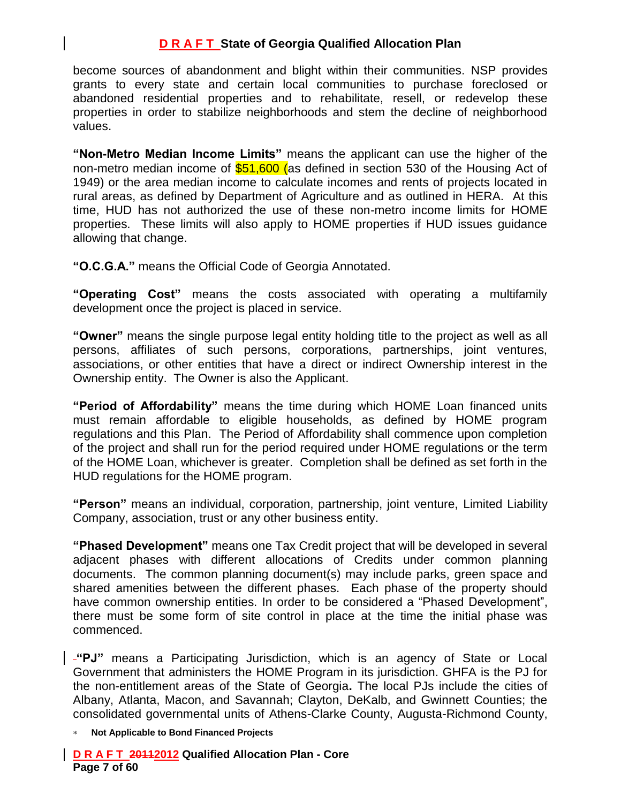become sources of abandonment and blight within their communities. NSP provides grants to every state and certain local communities to purchase foreclosed or abandoned residential properties and to rehabilitate, resell, or redevelop these properties in order to stabilize neighborhoods and stem the decline of neighborhood values.

**"Non-Metro Median Income Limits"** means the applicant can use the higher of the non-metro median income of  $$51,600$  (as defined in section 530 of the Housing Act of 1949) or the area median income to calculate incomes and rents of projects located in rural areas, as defined by Department of Agriculture and as outlined in HERA. At this time, HUD has not authorized the use of these non-metro income limits for HOME properties. These limits will also apply to HOME properties if HUD issues guidance allowing that change.

**"O.C.G.A."** means the Official Code of Georgia Annotated.

**"Operating Cost"** means the costs associated with operating a multifamily development once the project is placed in service.

**"Owner"** means the single purpose legal entity holding title to the project as well as all persons, affiliates of such persons, corporations, partnerships, joint ventures, associations, or other entities that have a direct or indirect Ownership interest in the Ownership entity. The Owner is also the Applicant.

**"Period of Affordability"** means the time during which HOME Loan financed units must remain affordable to eligible households, as defined by HOME program regulations and this Plan. The Period of Affordability shall commence upon completion of the project and shall run for the period required under HOME regulations or the term of the HOME Loan, whichever is greater. Completion shall be defined as set forth in the HUD regulations for the HOME program.

**"Person"** means an individual, corporation, partnership, joint venture, Limited Liability Company, association, trust or any other business entity.

**"Phased Development"** means one Tax Credit project that will be developed in several adjacent phases with different allocations of Credits under common planning documents. The common planning document(s) may include parks, green space and shared amenities between the different phases. Each phase of the property should have common ownership entities. In order to be considered a "Phased Development", there must be some form of site control in place at the time the initial phase was commenced.

**"PJ"** means a Participating Jurisdiction, which is an agency of State or Local Government that administers the HOME Program in its jurisdiction. GHFA is the PJ for the non-entitlement areas of the State of Georgia**.** The local PJs include the cities of Albany, Atlanta, Macon, and Savannah; Clayton, DeKalb, and Gwinnett Counties; the consolidated governmental units of Athens-Clarke County, Augusta-Richmond County,

**Not Applicable to Bond Financed Projects**

**D R A F T 20112012 Qualified Allocation Plan - Core Page 7 of 60**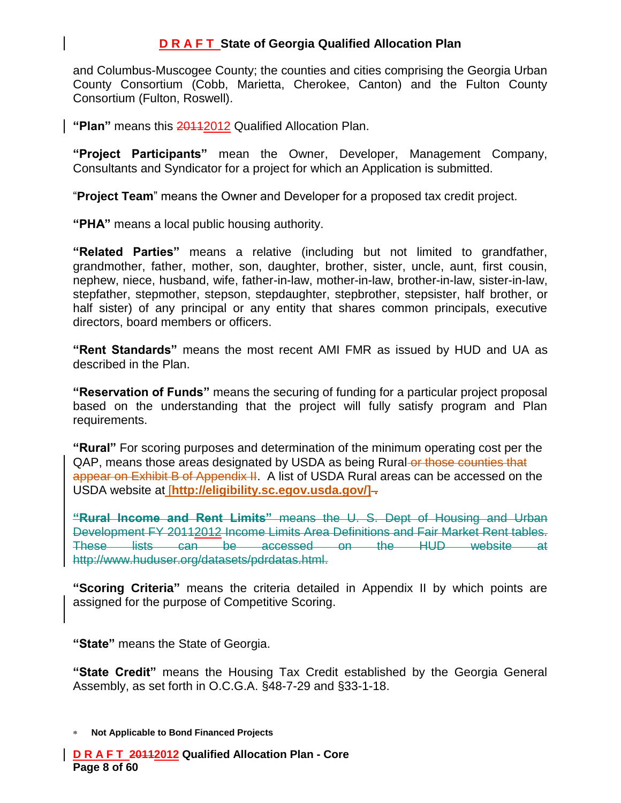and Columbus-Muscogee County; the counties and cities comprising the Georgia Urban County Consortium (Cobb, Marietta, Cherokee, Canton) and the Fulton County Consortium (Fulton, Roswell).

**"Plan"** means this 20112012 Qualified Allocation Plan.

**"Project Participants"** mean the Owner, Developer, Management Company, Consultants and Syndicator for a project for which an Application is submitted.

"**Project Team**" means the Owner and Developer for a proposed tax credit project.

**"PHA"** means a local public housing authority.

**"Related Parties"** means a relative (including but not limited to grandfather, grandmother, father, mother, son, daughter, brother, sister, uncle, aunt, first cousin, nephew, niece, husband, wife, father-in-law, mother-in-law, brother-in-law, sister-in-law, stepfather, stepmother, stepson, stepdaughter, stepbrother, stepsister, half brother, or half sister) of any principal or any entity that shares common principals, executive directors, board members or officers.

**"Rent Standards"** means the most recent AMI FMR as issued by HUD and UA as described in the Plan.

**"Reservation of Funds"** means the securing of funding for a particular project proposal based on the understanding that the project will fully satisfy program and Plan requirements.

**"Rural"** For scoring purposes and determination of the minimum operating cost per the QAP, means those areas designated by USDA as being Rural or those counties that appear on Exhibit B of Appendix II. A list of USDA Rural areas can be accessed on the USDA website at [**[http://eligibility.sc.egov.usda.gov/\]](http://eligibility.sc.egov.usda.gov/) .**

**"Rural Income and Rent Limits"** means the U. S. Dept of Housing and Urban Development FY 20112012 Income Limits Area Definitions and Fair Market Rent tables. These lists can be accessed on the HUD website http://www.huduser.org/datasets/pdrdatas.html.

**"Scoring Criteria"** means the criteria detailed in Appendix II by which points are assigned for the purpose of Competitive Scoring.

**"State"** means the State of Georgia.

**"State Credit"** means the Housing Tax Credit established by the Georgia General Assembly, as set forth in O.C.G.A. §48-7-29 and §33-1-18.

**Not Applicable to Bond Financed Projects**

**D R A F T 20112012 Qualified Allocation Plan - Core Page 8 of 60**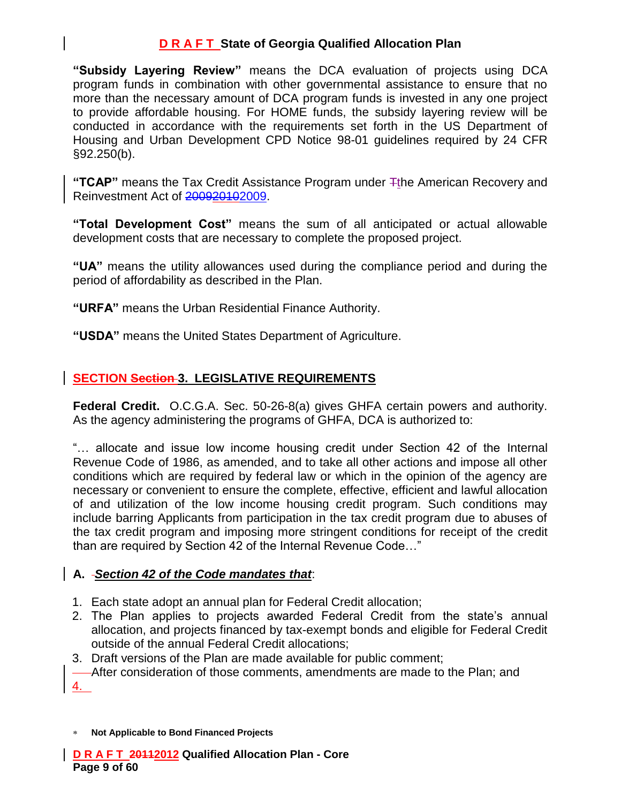**"Subsidy Layering Review"** means the DCA evaluation of projects using DCA program funds in combination with other governmental assistance to ensure that no more than the necessary amount of DCA program funds is invested in any one project to provide affordable housing. For HOME funds, the subsidy layering review will be conducted in accordance with the requirements set forth in the US Department of Housing and Urban Development CPD Notice 98-01 guidelines required by 24 CFR §92.250(b).

**"TCAP"** means the Tax Credit Assistance Program under  $\mp$ the American Recovery and Reinvestment Act of 200920102009.

**"Total Development Cost"** means the sum of all anticipated or actual allowable development costs that are necessary to complete the proposed project.

**"UA"** means the utility allowances used during the compliance period and during the period of affordability as described in the Plan.

**"URFA"** means the Urban Residential Finance Authority.

**"USDA"** means the United States Department of Agriculture.

# **SECTION Section 3. LEGISLATIVE REQUIREMENTS**

**Federal Credit.** O.C.G.A. Sec. 50-26-8(a) gives GHFA certain powers and authority. As the agency administering the programs of GHFA, DCA is authorized to:

"… allocate and issue low income housing credit under Section 42 of the Internal Revenue Code of 1986, as amended, and to take all other actions and impose all other conditions which are required by federal law or which in the opinion of the agency are necessary or convenient to ensure the complete, effective, efficient and lawful allocation of and utilization of the low income housing credit program. Such conditions may include barring Applicants from participation in the tax credit program due to abuses of the tax credit program and imposing more stringent conditions for receipt of the credit than are required by Section 42 of the Internal Revenue Code…"

### **A.** *Section 42 of the Code mandates that*:

- 1. Each state adopt an annual plan for Federal Credit allocation;
- 2. The Plan applies to projects awarded Federal Credit from the state's annual allocation, and projects financed by tax-exempt bonds and eligible for Federal Credit outside of the annual Federal Credit allocations;
- 3. Draft versions of the Plan are made available for public comment;
- After consideration of those comments, amendments are made to the Plan; and 4.
- **Not Applicable to Bond Financed Projects**

**D R A F T 20112012 Qualified Allocation Plan - Core Page 9 of 60**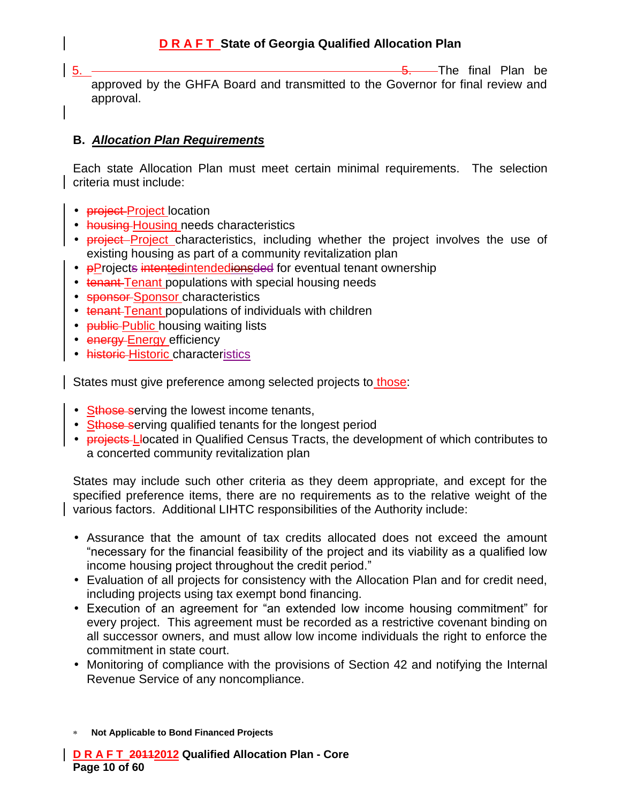5. 5. The final Plan be approved by the GHFA Board and transmitted to the Governor for final review and approval.

### **B.** *Allocation Plan Requirements*

Each state Allocation Plan must meet certain minimal requirements. The selection criteria must include:

- **project-Project** location
- housing Housing needs characteristics
- **project** Project characteristics, including whether the project involves the use of existing housing as part of a community revitalization plan
- **PProjects intentedintendedionsded for eventual tenant ownership**
- tenant-Tenant populations with special housing needs
- **sponsor-Sponsor characteristics**
- tenant Tenant populations of individuals with children
- **public-Public** housing waiting lists
- energy Energy efficiency
- historic Historic characteristics

States must give preference among selected projects to those:

- Sthose serving the lowest income tenants,
- Sthose serving qualified tenants for the longest period
- **Projects-L-Iocated in Qualified Census Tracts, the development of which contributes to** a concerted community revitalization plan

States may include such other criteria as they deem appropriate, and except for the specified preference items, there are no requirements as to the relative weight of the various factors. Additional LIHTC responsibilities of the Authority include:

- Assurance that the amount of tax credits allocated does not exceed the amount "necessary for the financial feasibility of the project and its viability as a qualified low income housing project throughout the credit period."
- Evaluation of all projects for consistency with the Allocation Plan and for credit need, including projects using tax exempt bond financing.
- Execution of an agreement for "an extended low income housing commitment" for every project. This agreement must be recorded as a restrictive covenant binding on all successor owners, and must allow low income individuals the right to enforce the commitment in state court.
- Monitoring of compliance with the provisions of Section 42 and notifying the Internal Revenue Service of any noncompliance.

**Not Applicable to Bond Financed Projects**

**D R A F T 20112012 Qualified Allocation Plan - Core Page 10 of 60**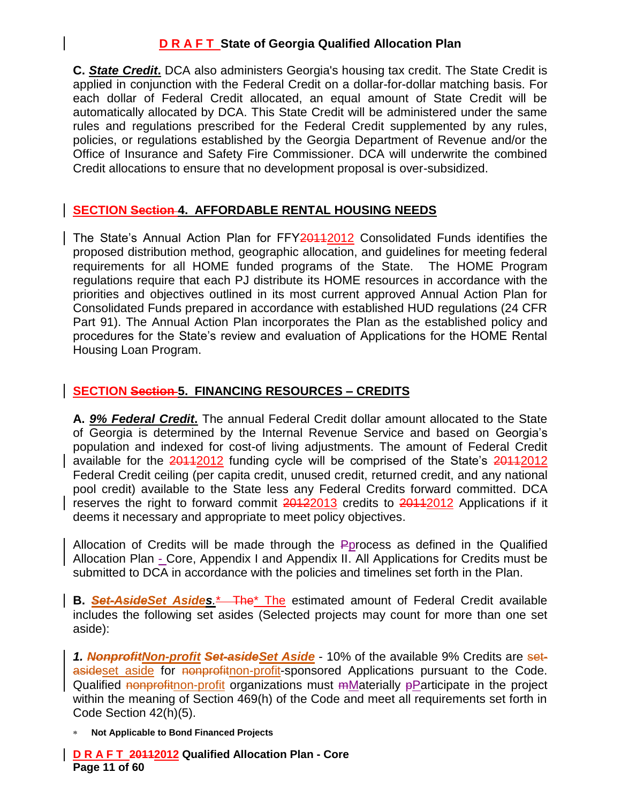**C.** *State Credit***.** DCA also administers Georgia's housing tax credit. The State Credit is applied in conjunction with the Federal Credit on a dollar-for-dollar matching basis. For each dollar of Federal Credit allocated, an equal amount of State Credit will be automatically allocated by DCA. This State Credit will be administered under the same rules and regulations prescribed for the Federal Credit supplemented by any rules, policies, or regulations established by the Georgia Department of Revenue and/or the Office of Insurance and Safety Fire Commissioner. DCA will underwrite the combined Credit allocations to ensure that no development proposal is over-subsidized.

### **SECTION Section 4. AFFORDABLE RENTAL HOUSING NEEDS**

The State's Annual Action Plan for FFY201122 Consolidated Funds identifies the proposed distribution method, geographic allocation, and guidelines for meeting federal requirements for all HOME funded programs of the State. The HOME Program regulations require that each PJ distribute its HOME resources in accordance with the priorities and objectives outlined in its most current approved Annual Action Plan for Consolidated Funds prepared in accordance with established HUD regulations (24 CFR Part 91). The Annual Action Plan incorporates the Plan as the established policy and procedures for the State's review and evaluation of Applications for the HOME Rental Housing Loan Program.

# **SECTION Section 5. FINANCING RESOURCES – CREDITS**

**A.** *9% Federal Credit***.** The annual Federal Credit dollar amount allocated to the State of Georgia is determined by the Internal Revenue Service and based on Georgia's population and indexed for cost-of living adjustments. The amount of Federal Credit available for the 20112012 funding cycle will be comprised of the State's 20112012 Federal Credit ceiling (per capita credit, unused credit, returned credit, and any national pool credit) available to the State less any Federal Credits forward committed. DCA reserves the right to forward commit 20122013 credits to 20112012 Applications if it deems it necessary and appropriate to meet policy objectives.

Allocation of Credits will be made through the Pprocess as defined in the Qualified Allocation Plan - Core, Appendix I and Appendix II. All Applications for Credits must be submitted to DCA in accordance with the policies and timelines set forth in the Plan.

**B.** *Set-AsideSet Asides.*\* The\* The estimated amount of Federal Credit available includes the following set asides (Selected projects may count for more than one set aside):

*1. NonprofitNon-profit Set-asideSet Aside* - 10% of the available 9% Credits are setasideset aside for nonprofitnon-profit-sponsored Applications pursuant to the Code. Qualified nonprofithon-profit organizations must mMaterially pParticipate in the project within the meaning of Section 469(h) of the Code and meet all requirements set forth in Code Section 42(h)(5).

**Not Applicable to Bond Financed Projects**

**D R A F T 20112012 Qualified Allocation Plan - Core Page 11 of 60**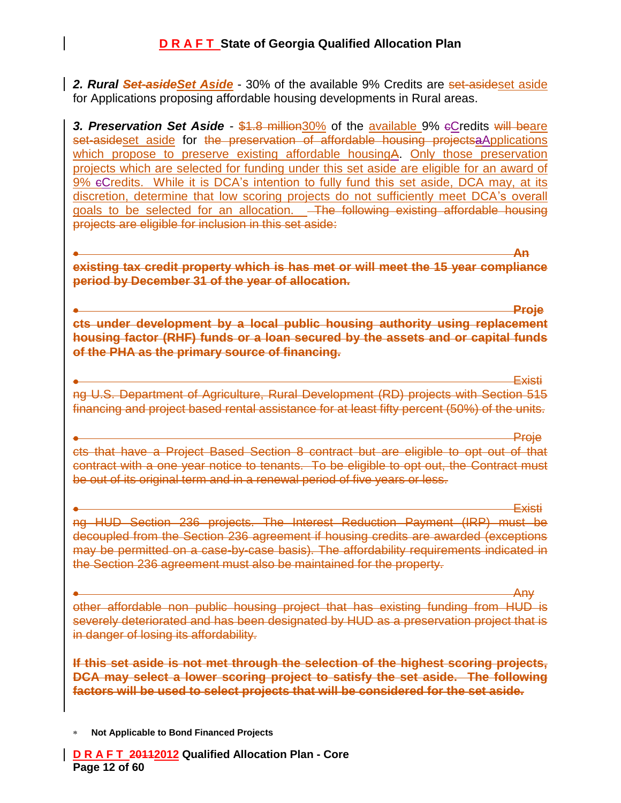*2. Rural Set-asideSet Aside* - 30% of the available 9% Credits are set-asideset aside for Applications proposing affordable housing developments in Rural areas.

**3. Preservation Set Aside** - \$1.8 million30% of the available 9% eCredits will beare set-asideset aside for the preservation of affordable housing projectsa Applications which propose to preserve existing affordable housingA. Only those preservation projects which are selected for funding under this set aside are eligible for an award of 9% cCredits. While it is DCA's intention to fully fund this set aside, DCA may, at its discretion, determine that low scoring projects do not sufficiently meet DCA's overall goals to be selected for an allocation. The following existing affordable housing projects are eligible for inclusion in this set aside:

**An existing tax credit property which is has met or will meet the 15 year compliance period by December 31 of the year of allocation.** 

**Proje cts under development by a local public housing authority using replacement housing factor (RHF) funds or a loan secured by the assets and or capital funds of the PHA as the primary source of financing.**

Existi ng U.S. Department of Agriculture, Rural Development (RD) projects with Section 515 financing and project based rental assistance for at least fifty percent (50%) of the units.

Proje cts that have a Project Based Section 8 contract but are eligible to opt out of that contract with a one year notice to tenants. To be eligible to opt out, the Contract must be out of its original term and in a renewal period of five years or less.

Existi ng HUD Section 236 projects. The Interest Reduction Payment (IRP) must be decoupled from the Section 236 agreement if housing credits are awarded (exceptions may be permitted on a case-by-case basis). The affordability requirements indicated in the Section 236 agreement must also be maintained for the property.

Any other affordable non public housing project that has existing funding from HUD is severely deteriorated and has been designated by HUD as a preservation project that is in danger of losing its affordability.

**If this set aside is not met through the selection of the highest scoring projects, DCA may select a lower scoring project to satisfy the set aside. The following factors will be used to select projects that will be considered for the set aside.**

**Not Applicable to Bond Financed Projects**

**D R A F T 20112012 Qualified Allocation Plan - Core Page 12 of 60**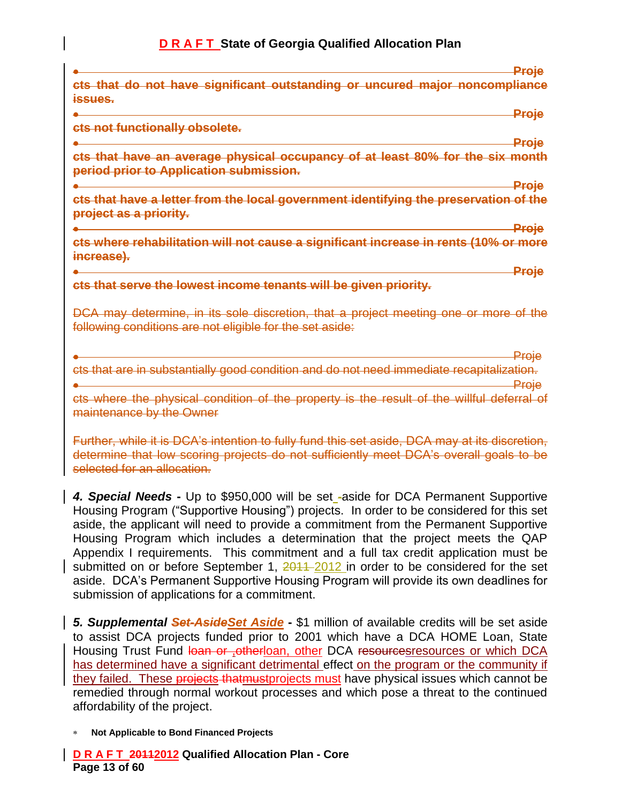|                                                                                                                                                  | <u>Proje</u> |
|--------------------------------------------------------------------------------------------------------------------------------------------------|--------------|
| cts that do not have significant outstanding or uncured major noncompliance<br><i><b>issues.</b></i>                                             |              |
| Proje                                                                                                                                            |              |
| ets not functionally obsolete.                                                                                                                   |              |
| Proje                                                                                                                                            |              |
| cts that have an average physical occupancy<br>least 80% for the six month<br>$\Theta$ f<br>period prior to Application submission.              |              |
| Proje                                                                                                                                            |              |
| ets that have a letter from the local government identifying the preservation of the<br>project as a priority.                                   |              |
| Proje                                                                                                                                            |              |
| cts where rehabilitation will not cause a significant increase in rents (10% or more<br>increase).                                               |              |
| Proje                                                                                                                                            |              |
| cts that serve the lowest income tenants will be given priority.                                                                                 |              |
| DCA may determine, in its sole discretion, that a project meeting one or more of the<br>following conditions are not eligible for the set aside: |              |
| Proje                                                                                                                                            |              |

substantially good condition and do not need immediate recapitalization. Proje

cts where the physical condition of the property is the result of the willful deferral of maintenance by the Owner

Further, while it is DCA's intention to fully fund this set aside, DCA may at its discretion, determine that low scoring projects do not sufficiently meet DCA's overall goals to be selected for an allocation.

*4. Special Needs* **-** Up to \$950,000 will be set -aside for DCA Permanent Supportive Housing Program ("Supportive Housing") projects. In order to be considered for this set aside, the applicant will need to provide a commitment from the Permanent Supportive Housing Program which includes a determination that the project meets the QAP Appendix I requirements. This commitment and a full tax credit application must be submitted on or before September 1, 2011–2012 in order to be considered for the set aside. DCA's Permanent Supportive Housing Program will provide its own deadlines for submission of applications for a commitment.

*5. Supplemental Set-AsideSet Aside* **-** \$1 million of available credits will be set aside to assist DCA projects funded prior to 2001 which have a DCA HOME Loan, State Housing Trust Fund loan or <sub>r</sub>otherloan, other DCA resourcesresources or which DCA has determined have a significant detrimental effect on the program or the community if they failed. These projects that must projects must have physical issues which cannot be remedied through normal workout processes and which pose a threat to the continued affordability of the project.

**Not Applicable to Bond Financed Projects**

**D R A F T 20112012 Qualified Allocation Plan - Core Page 13 of 60**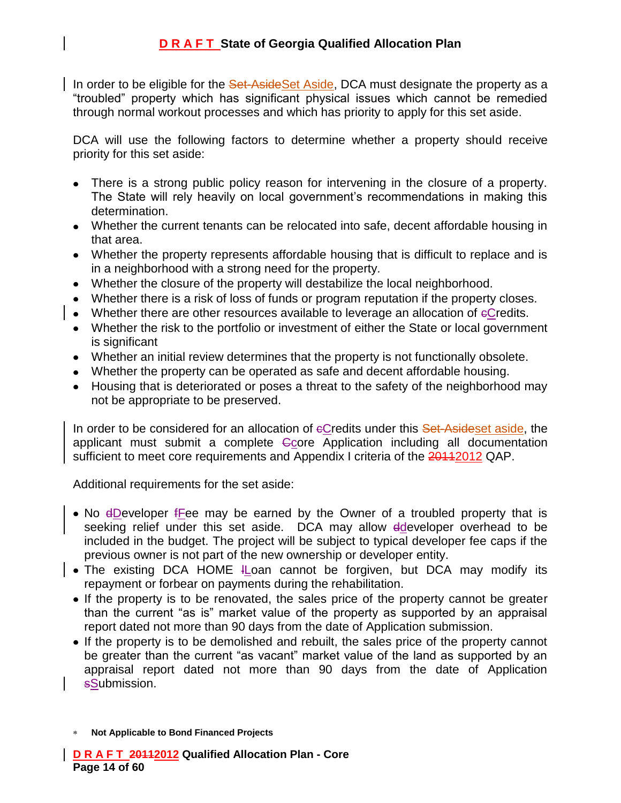In order to be eligible for the Set-AsideSet Aside, DCA must designate the property as a "troubled" property which has significant physical issues which cannot be remedied through normal workout processes and which has priority to apply for this set aside.

DCA will use the following factors to determine whether a property should receive priority for this set aside:

- There is a strong public policy reason for intervening in the closure of a property. The State will rely heavily on local government's recommendations in making this determination.
- Whether the current tenants can be relocated into safe, decent affordable housing in that area.
- Whether the property represents affordable housing that is difficult to replace and is in a neighborhood with a strong need for the property.
- Whether the closure of the property will destabilize the local neighborhood.
- Whether there is a risk of loss of funds or program reputation if the property closes.
- Whether there are other resources available to leverage an allocation of eCredits.
- Whether the risk to the portfolio or investment of either the State or local government is significant
- Whether an initial review determines that the property is not functionally obsolete.
- Whether the property can be operated as safe and decent affordable housing.
- Housing that is deteriorated or poses a threat to the safety of the neighborhood may not be appropriate to be preserved.

In order to be considered for an allocation of  $e$ Credits under this Set-Asideset aside, the applicant must submit a complete Ccore Application including all documentation sufficient to meet core requirements and Appendix I criteria of the 20112012 QAP.

Additional requirements for the set aside:

- No eDeveloper fFee may be earned by the Owner of a troubled property that is seeking relief under this set aside. DCA may allow ddeveloper overhead to be included in the budget. The project will be subject to typical developer fee caps if the previous owner is not part of the new ownership or developer entity.
- $\bullet$  The existing DCA HOME ILoan cannot be forgiven, but DCA may modify its repayment or forbear on payments during the rehabilitation.
	- If the property is to be renovated, the sales price of the property cannot be greater than the current "as is" market value of the property as supported by an appraisal report dated not more than 90 days from the date of Application submission.
	- If the property is to be demolished and rebuilt, the sales price of the property cannot be greater than the current "as vacant" market value of the land as supported by an appraisal report dated not more than 90 days from the date of Application sSubmission.

**Not Applicable to Bond Financed Projects**

**D R A F T 20112012 Qualified Allocation Plan - Core Page 14 of 60**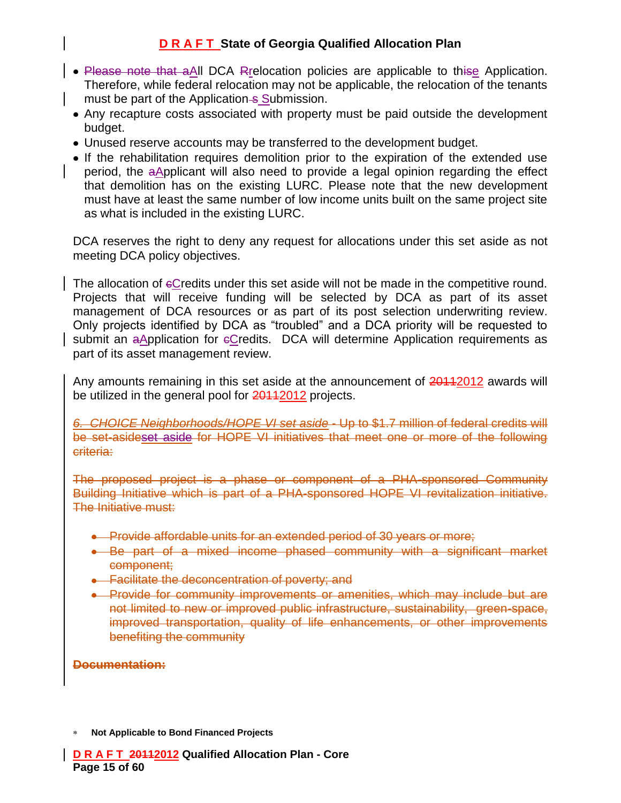- Please note that aAll DCA Rrelocation policies are applicable to thise Application. Therefore, while federal relocation may not be applicable, the relocation of the tenants must be part of the Application - Submission.
- Any recapture costs associated with property must be paid outside the development budget.
- Unused reserve accounts may be transferred to the development budget.
- If the rehabilitation requires demolition prior to the expiration of the extended use period, the aApplicant will also need to provide a legal opinion regarding the effect that demolition has on the existing LURC. Please note that the new development must have at least the same number of low income units built on the same project site as what is included in the existing LURC.

DCA reserves the right to deny any request for allocations under this set aside as not meeting DCA policy objectives.

The allocation of eCredits under this set aside will not be made in the competitive round. Projects that will receive funding will be selected by DCA as part of its asset management of DCA resources or as part of its post selection underwriting review. Only projects identified by DCA as "troubled" and a DCA priority will be requested to submit an  $a$ Application for  $e$ Credits. DCA will determine Application requirements as part of its asset management review.

Any amounts remaining in this set aside at the announcement of 20112012 awards will be utilized in the general pool for **2011/2012** projects.

*6. CHOICE Neighborhoods/HOPE VI set aside* - Up to \$1.7 million of federal credits will be set-asideset aside for HOPE VI initiatives that meet one or more of the following criteria:

The proposed project is a phase or component of a PHA-sponsored Community Building Initiative which is part of a PHA-sponsored HOPE VI revitalization initiative. The Initiative must:

- **•** Provide affordable units for an extended period of 30 years or more;
- Be part of a mixed income phased community with a significant market component;
- **Eacilitate the deconcentration of poverty; and**
- Provide for community improvements or amenities, which may include but are not limited to new or improved public infrastructure, sustainability, green-space, improved transportation, quality of life enhancements, or other improvements benefiting the community

**Documentation:**

**Not Applicable to Bond Financed Projects**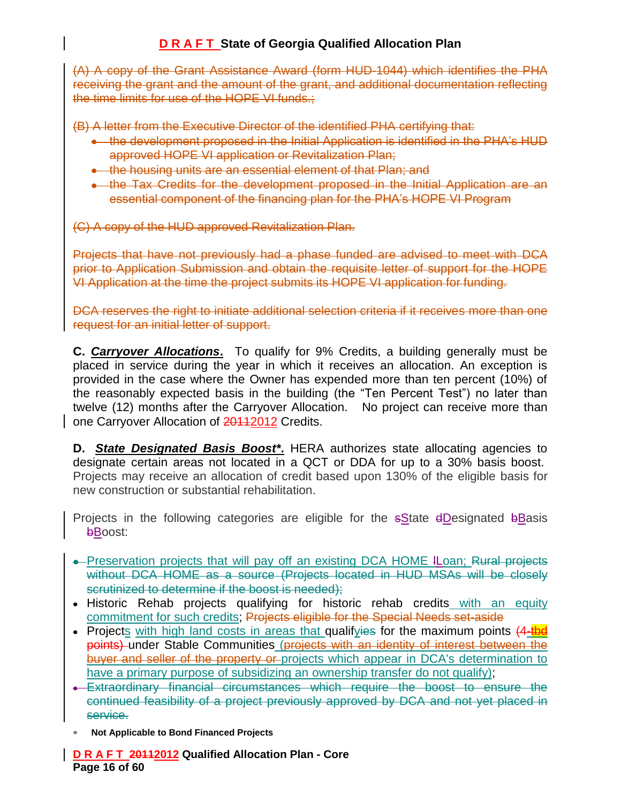(A) A copy of the Grant Assistance Award (form HUD-1044) which identifies the PHA receiving the grant and the amount of the grant, and additional documentation reflecting the time limits for use of the HOPE VI funds.;

(B) A letter from the Executive Director of the identified PHA certifying that:

- the development proposed in the Initial Application is identified in the PHA's HUD approved HOPE VI application or Revitalization Plan;
- the housing units are an essential element of that Plan; and
- the Tax Credits for the development proposed in the Initial Application are an essential component of the financing plan for the PHA's HOPE VI Program

(C) A copy of the HUD approved Revitalization Plan.

Projects that have not previously had a phase funded are advised to meet with DCA prior to Application Submission and obtain the requisite letter of support for the HOPE VI Application at the time the project submits its HOPE VI application for funding.

DCA reserves the right to initiate additional selection criteria if it receives more than one request for an initial letter of support.

**C.** *Carryover Allocations***.** To qualify for 9% Credits, a building generally must be placed in service during the year in which it receives an allocation. An exception is provided in the case where the Owner has expended more than ten percent (10%) of the reasonably expected basis in the building (the "Ten Percent Test") no later than twelve (12) months after the Carryover Allocation. No project can receive more than one Carryover Allocation of 20112012 Credits.

**D.** *State Designated Basis Boost\****.** HERA authorizes state allocating agencies to designate certain areas not located in a QCT or DDA for up to a 30% basis boost. Projects may receive an allocation of credit based upon 130% of the eligible basis for new construction or substantial rehabilitation.

Projects in the following categories are eligible for the  $s$ State  $d$ Designated  $b$ Basis bBoost:

- Preservation projects that will pay off an existing DCA HOME ILoan; Rural projects without DCA HOME as a source (Projects located in HUD MSAs will be closely scrutinized to determine if the boost is needed);
- Historic Rehab projects qualifying for historic rehab credits with an equity commitment for such credits; Projects eligible for the Special Needs set-aside
- Projects with high land costs in areas that qualifyies for the maximum points (4-tbd points) under Stable Communities (projects with an identity of interest between the buyer and seller of the property or projects which appear in DCA's determination to have a primary purpose of subsidizing an ownership transfer do not qualify);
- Extraordinary financial circumstances which require the boost to ensure the continued feasibility of a project previously approved by DCA and not yet placed in service.
- **Not Applicable to Bond Financed Projects**

**D R A F T 20112012 Qualified Allocation Plan - Core Page 16 of 60**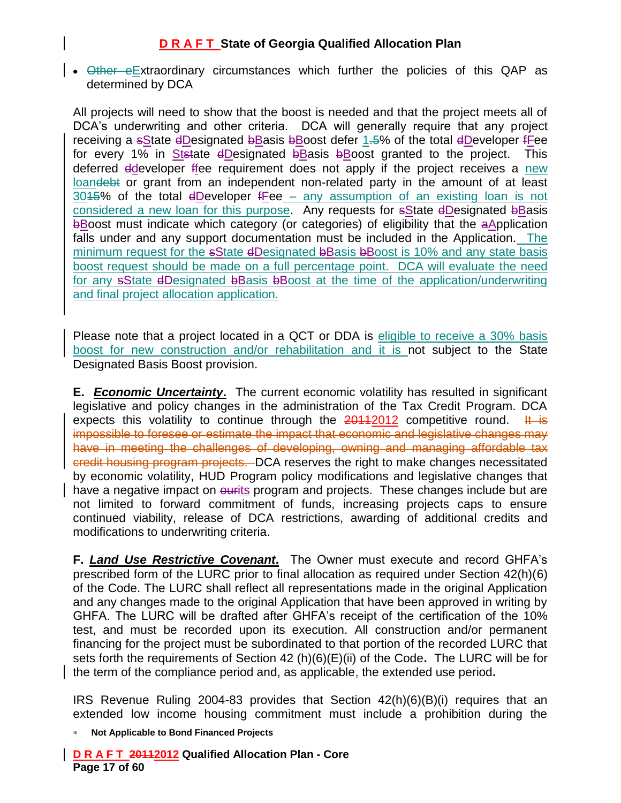$\bullet$  Other eExtraordinary circumstances which further the policies of this QAP as determined by DCA

All projects will need to show that the boost is needed and that the project meets all of DCA's underwriting and other criteria. DCA will generally require that any project receiving a sState dDesignated bBasis bBoost defer 1.5% of the total dDeveloper fFee for every 1% in Ststate dDesignated bBasis bBoost granted to the project. This deferred ddeveloper ffee requirement does not apply if the project receives a new loandebt or grant from an independent non-related party in the amount of at least 3015% of the total dDeveloper fFee – any assumption of an existing loan is not considered a new loan for this purpose. Any requests for sState dDesignated bBasis bBoost must indicate which category (or categories) of eligibility that the aApplication falls under and any support documentation must be included in the Application. The minimum request for the sState dDesignated bBasis bBoost is 10% and any state basis boost request should be made on a full percentage point. DCA will evaluate the need for any sState dDesignated bBasis bBoost at the time of the application/underwriting and final project allocation application.

Please note that a project located in a QCT or DDA is eligible to receive a 30% basis boost for new construction and/or rehabilitation and it is not subject to the State Designated Basis Boost provision.

**E.** *Economic Uncertainty***.** The current economic volatility has resulted in significant legislative and policy changes in the administration of the Tax Credit Program. DCA expects this volatility to continue through the  $20112012$  competitive round. It is impossible to foresee or estimate the impact that economic and legislative changes may have in meeting the challenges of developing, owning and managing affordable tax credit housing program projects. DCA reserves the right to make changes necessitated by economic volatility, HUD Program policy modifications and legislative changes that have a negative impact on eurits program and projects. These changes include but are not limited to forward commitment of funds, increasing projects caps to ensure continued viability, release of DCA restrictions, awarding of additional credits and modifications to underwriting criteria.

**F.** *Land Use Restrictive Covenant***.** The Owner must execute and record GHFA's prescribed form of the LURC prior to final allocation as required under Section 42(h)(6) of the Code. The LURC shall reflect all representations made in the original Application and any changes made to the original Application that have been approved in writing by GHFA. The LURC will be drafted after GHFA's receipt of the certification of the 10% test, and must be recorded upon its execution. All construction and/or permanent financing for the project must be subordinated to that portion of the recorded LURC that sets forth the requirements of Section 42 (h)(6)(E)(ii) of the Code**.** The LURC will be for the term of the compliance period and, as applicable, the extended use period**.** 

IRS Revenue Ruling 2004-83 provides that Section 42(h)(6)(B)(i) requires that an extended low income housing commitment must include a prohibition during the

**Not Applicable to Bond Financed Projects**

**D R A F T 20112012 Qualified Allocation Plan - Core Page 17 of 60**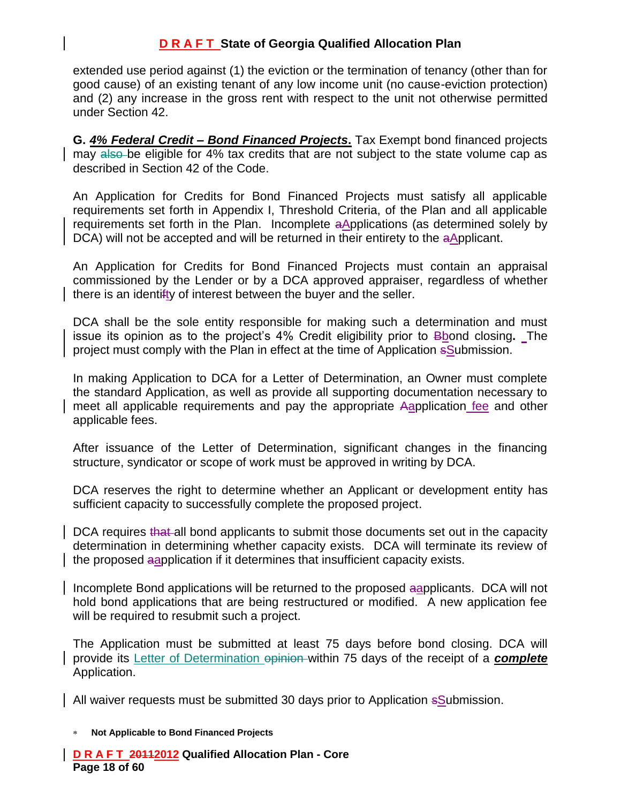extended use period against (1) the eviction or the termination of tenancy (other than for good cause) of an existing tenant of any low income unit (no cause-eviction protection) and (2) any increase in the gross rent with respect to the unit not otherwise permitted under Section 42.

**G.** *4% Federal Credit – Bond Financed Projects***.** Tax Exempt bond financed projects may also be eligible for 4% tax credits that are not subject to the state volume cap as described in Section 42 of the Code.

An Application for Credits for Bond Financed Projects must satisfy all applicable requirements set forth in Appendix I, Threshold Criteria, of the Plan and all applicable requirements set forth in the Plan. Incomplete aApplications (as determined solely by DCA) will not be accepted and will be returned in their entirety to the aApplicant.

An Application for Credits for Bond Financed Projects must contain an appraisal commissioned by the Lender or by a DCA approved appraiser, regardless of whether there is an identifty of interest between the buyer and the seller.

DCA shall be the sole entity responsible for making such a determination and must issue its opinion as to the project's 4% Credit eligibility prior to Bbond closing**.** The project must comply with the Plan in effect at the time of Application sSubmission.

In making Application to DCA for a Letter of Determination, an Owner must complete the standard Application, as well as provide all supporting documentation necessary to meet all applicable requirements and pay the appropriate Aapplication fee and other applicable fees.

After issuance of the Letter of Determination, significant changes in the financing structure, syndicator or scope of work must be approved in writing by DCA.

DCA reserves the right to determine whether an Applicant or development entity has sufficient capacity to successfully complete the proposed project.

DCA requires that all bond applicants to submit those documents set out in the capacity determination in determining whether capacity exists. DCA will terminate its review of the proposed aapplication if it determines that insufficient capacity exists.

Incomplete Bond applications will be returned to the proposed aapplicants. DCA will not hold bond applications that are being restructured or modified. A new application fee will be required to resubmit such a project.

The Application must be submitted at least 75 days before bond closing. DCA will provide its Letter of Determination opinion within 75 days of the receipt of a *complete* Application.

All waiver requests must be submitted 30 days prior to Application sSubmission.

#### **Not Applicable to Bond Financed Projects**

**D R A F T 20112012 Qualified Allocation Plan - Core Page 18 of 60**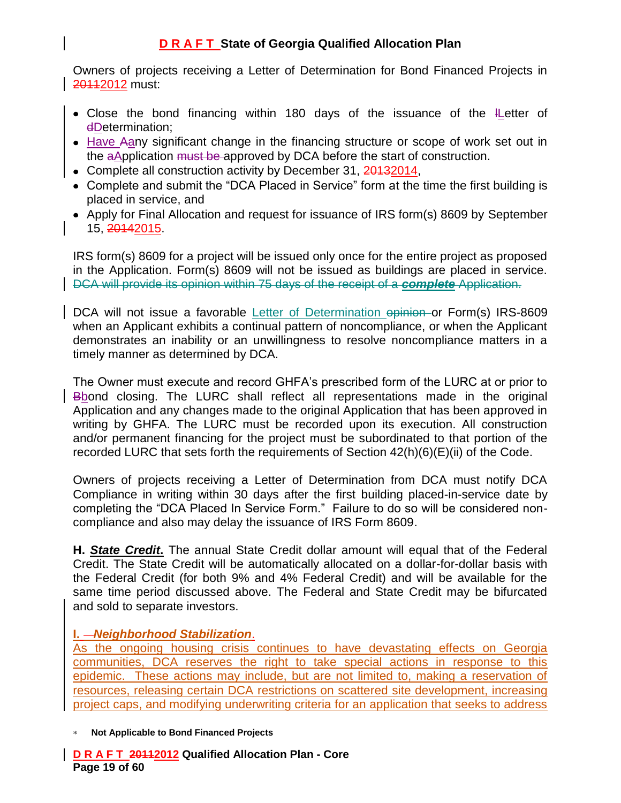Owners of projects receiving a Letter of Determination for Bond Financed Projects in 20112 must:

- Close the bond financing within 180 days of the issuance of the ILetter of dDetermination;
- Have Aany significant change in the financing structure or scope of work set out in the aApplication must be approved by DCA before the start of construction.
- Complete all construction activity by December 31, 20132014,
- Complete and submit the "DCA Placed in Service" form at the time the first building is placed in service, and
- Apply for Final Allocation and request for issuance of IRS form(s) 8609 by September 15, 20142015.

IRS form(s) 8609 for a project will be issued only once for the entire project as proposed in the Application. Form(s) 8609 will not be issued as buildings are placed in service. DCA will provide its opinion within 75 days of the receipt of a *complete* Application.

DCA will not issue a favorable Letter of Determination opinion or Form(s) IRS-8609 when an Applicant exhibits a continual pattern of noncompliance, or when the Applicant demonstrates an inability or an unwillingness to resolve noncompliance matters in a timely manner as determined by DCA.

The Owner must execute and record GHFA's prescribed form of the LURC at or prior to Bbond closing. The LURC shall reflect all representations made in the original Application and any changes made to the original Application that has been approved in writing by GHFA. The LURC must be recorded upon its execution. All construction and/or permanent financing for the project must be subordinated to that portion of the recorded LURC that sets forth the requirements of Section 42(h)(6)(E)(ii) of the Code.

Owners of projects receiving a Letter of Determination from DCA must notify DCA Compliance in writing within 30 days after the first building placed-in-service date by completing the "DCA Placed In Service Form." Failure to do so will be considered noncompliance and also may delay the issuance of IRS Form 8609.

**H.** *State Credit***.** The annual State Credit dollar amount will equal that of the Federal Credit. The State Credit will be automatically allocated on a dollar-for-dollar basis with the Federal Credit (for both 9% and 4% Federal Credit) and will be available for the same time period discussed above. The Federal and State Credit may be bifurcated and sold to separate investors.

### **I.** *Neighborhood Stabilization*.

As the ongoing housing crisis continues to have devastating effects on Georgia communities, DCA reserves the right to take special actions in response to this epidemic. These actions may include, but are not limited to, making a reservation of resources, releasing certain DCA restrictions on scattered site development, increasing project caps, and modifying underwriting criteria for an application that seeks to address

**Not Applicable to Bond Financed Projects**

**D R A F T 20112012 Qualified Allocation Plan - Core Page 19 of 60**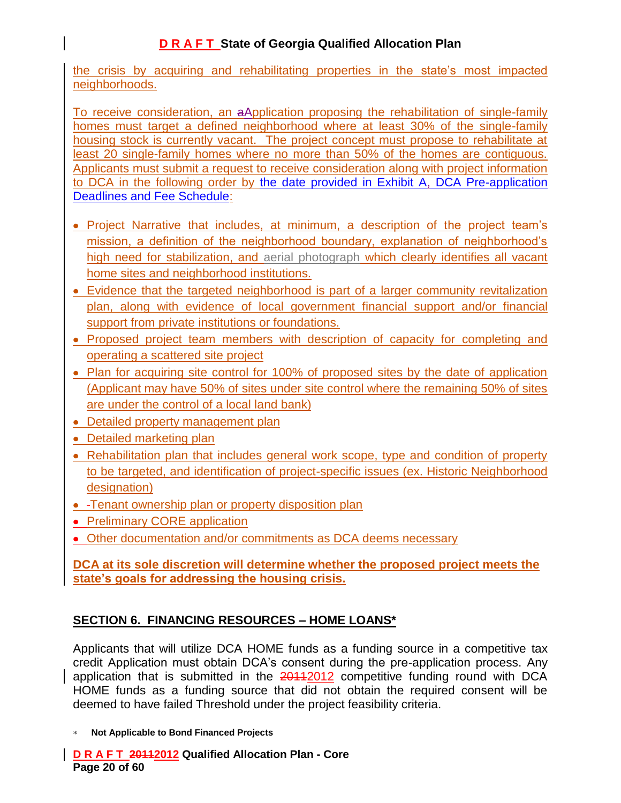the crisis by acquiring and rehabilitating properties in the state's most impacted neighborhoods.

To receive consideration, an aApplication proposing the rehabilitation of single-family homes must target a defined neighborhood where at least 30% of the single-family housing stock is currently vacant. The project concept must propose to rehabilitate at least 20 single-family homes where no more than 50% of the homes are contiguous. Applicants must submit a request to receive consideration along with project information to DCA in the following order by the date provided in Exhibit A, DCA Pre-application Deadlines and Fee Schedule:

- Project Narrative that includes, at minimum, a description of the project team's mission, a definition of the neighborhood boundary, explanation of neighborhood's high need for stabilization, and aerial photograph which clearly identifies all vacant home sites and neighborhood institutions.
- Evidence that the targeted neighborhood is part of a larger community revitalization plan, along with evidence of local government financial support and/or financial support from private institutions or foundations.
- Proposed project team members with description of capacity for completing and operating a scattered site project
- Plan for acquiring site control for 100% of proposed sites by the date of application (Applicant may have 50% of sites under site control where the remaining 50% of sites are under the control of a local land bank)
- Detailed property management plan
- Detailed marketing plan
- Rehabilitation plan that includes general work scope, type and condition of property to be targeted, and identification of project-specific issues (ex. Historic Neighborhood designation)
- Tenant ownership plan or property disposition plan
- Preliminary CORE application
- Other documentation and/or commitments as DCA deems necessary

### **DCA at its sole discretion will determine whether the proposed project meets the state's goals for addressing the housing crisis.**

# **SECTION 6. FINANCING RESOURCES – HOME LOANS\***

Applicants that will utilize DCA HOME funds as a funding source in a competitive tax credit Application must obtain DCA's consent during the pre-application process. Any application that is submitted in the 20112012 competitive funding round with DCA HOME funds as a funding source that did not obtain the required consent will be deemed to have failed Threshold under the project feasibility criteria.

**Not Applicable to Bond Financed Projects**

**D R A F T 20112012 Qualified Allocation Plan - Core Page 20 of 60**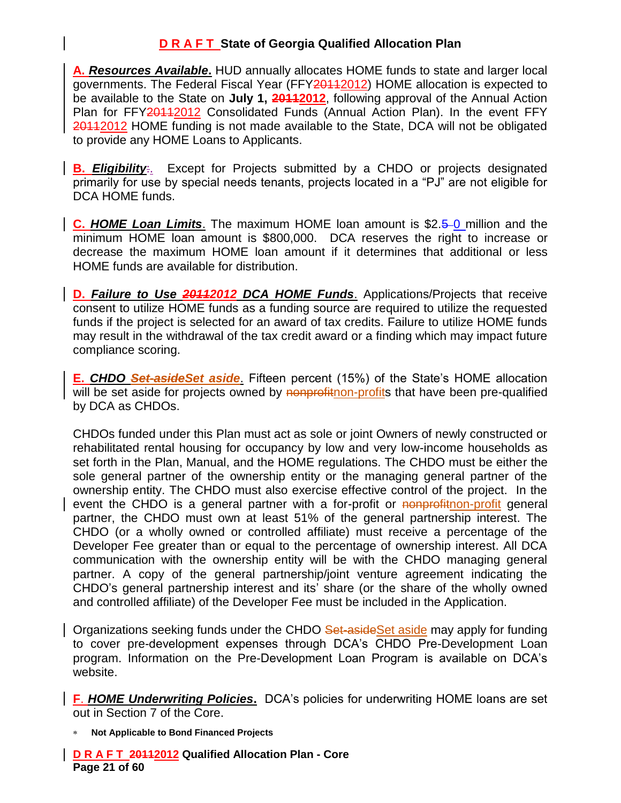**A.** *Resources Available***.** HUD annually allocates HOME funds to state and larger local governments. The Federal Fiscal Year (FFY20112012) HOME allocation is expected to be available to the State on **July 1, 20112012**, following approval of the Annual Action Plan for FFY201122012 Consolidated Funds (Annual Action Plan). In the event FFY 20112012 HOME funding is not made available to the State, DCA will not be obligated to provide any HOME Loans to Applicants.

**B.** *Eligibility*:. Except for Projects submitted by a CHDO or projects designated primarily for use by special needs tenants, projects located in a "PJ" are not eligible for DCA HOME funds.

**C.** HOME Loan Limits. The maximum HOME loan amount is \$2.5–0 million and the minimum HOME loan amount is \$800,000. DCA reserves the right to increase or decrease the maximum HOME loan amount if it determines that additional or less HOME funds are available for distribution.

**D.** Failure to Use **20112012 DCA HOME Funds**. Applications/Projects that receive consent to utilize HOME funds as a funding source are required to utilize the requested funds if the project is selected for an award of tax credits. Failure to utilize HOME funds may result in the withdrawal of the tax credit award or a finding which may impact future compliance scoring.

**E.** *CHDO Set-asideSet aside*. Fifteen percent (15%) of the State's HOME allocation will be set aside for projects owned by nonprofitnon-profits that have been pre-qualified by DCA as CHDOs.

CHDOs funded under this Plan must act as sole or joint Owners of newly constructed or rehabilitated rental housing for occupancy by low and very low-income households as set forth in the Plan, Manual, and the HOME regulations. The CHDO must be either the sole general partner of the ownership entity or the managing general partner of the ownership entity. The CHDO must also exercise effective control of the project. In the event the CHDO is a general partner with a for-profit or nonprofithon-profit general partner, the CHDO must own at least 51% of the general partnership interest. The CHDO (or a wholly owned or controlled affiliate) must receive a percentage of the Developer Fee greater than or equal to the percentage of ownership interest. All DCA communication with the ownership entity will be with the CHDO managing general partner. A copy of the general partnership/joint venture agreement indicating the CHDO's general partnership interest and its' share (or the share of the wholly owned and controlled affiliate) of the Developer Fee must be included in the Application.

Organizations seeking funds under the CHDO Set-aside Set aside may apply for funding to cover pre-development expenses through DCA's CHDO Pre-Development Loan program. Information on the Pre-Development Loan Program is available on DCA's website.

**F**. *HOME Underwriting Policies***.** DCA's policies for underwriting HOME loans are set out in Section 7 of the Core.

**Not Applicable to Bond Financed Projects**

**D R A F T 20112012 Qualified Allocation Plan - Core Page 21 of 60**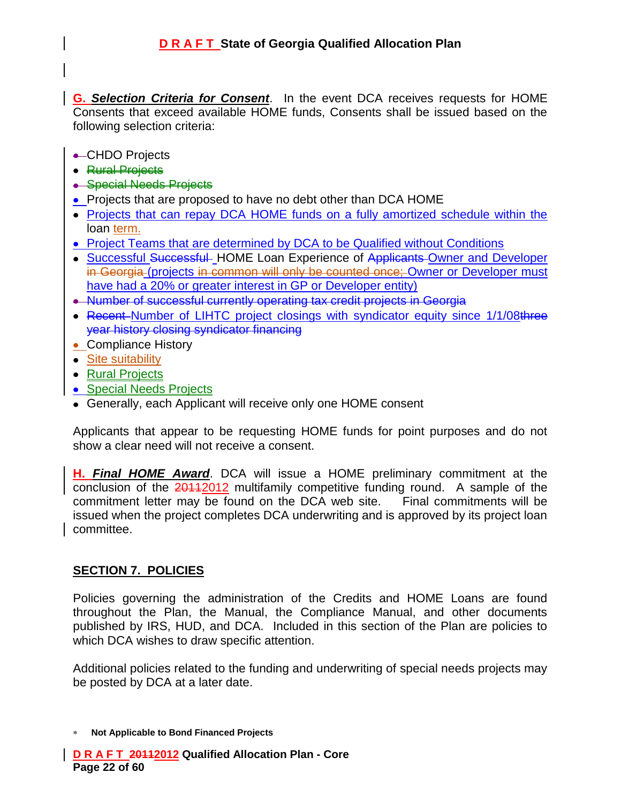**G.** *Selection Criteria for Consent*. In the event DCA receives requests for HOME Consents that exceed available HOME funds, Consents shall be issued based on the following selection criteria:

- **← CHDO Projects**
- Rural Projects
- Special Needs Projects
- Projects that are proposed to have no debt other than DCA HOME
- Projects that can repay DCA HOME funds on a fully amortized schedule within the loan term.
- Project Teams that are determined by DCA to be Qualified without Conditions
- Successful Successful HOME Loan Experience of Applicants Owner and Developer in Georgia (projects in common will only be counted once; Owner or Developer must have had a 20% or greater interest in GP or Developer entity)
- Number of successful currently operating tax credit projects in Georgia
- Recent-Number of LIHTC project closings with syndicator equity since 1/1/08three year history closing syndicator financing
- Compliance History
- Site suitability
- Rural Projects
- **Special Needs Projects**
- Generally, each Applicant will receive only one HOME consent

Applicants that appear to be requesting HOME funds for point purposes and do not show a clear need will not receive a consent.

**H.** *Final HOME Award*. DCA will issue a HOME preliminary commitment at the conclusion of the 201122012 multifamily competitive funding round. A sample of the commitment letter may be found on the DCA web site. Final commitments will be issued when the project completes DCA underwriting and is approved by its project loan committee.

### **SECTION 7. POLICIES**

Policies governing the administration of the Credits and HOME Loans are found throughout the Plan, the Manual, the Compliance Manual, and other documents published by IRS, HUD, and DCA. Included in this section of the Plan are policies to which DCA wishes to draw specific attention.

Additional policies related to the funding and underwriting of special needs projects may be posted by DCA at a later date.

**Not Applicable to Bond Financed Projects**

**D R A F T 20112012 Qualified Allocation Plan - Core Page 22 of 60**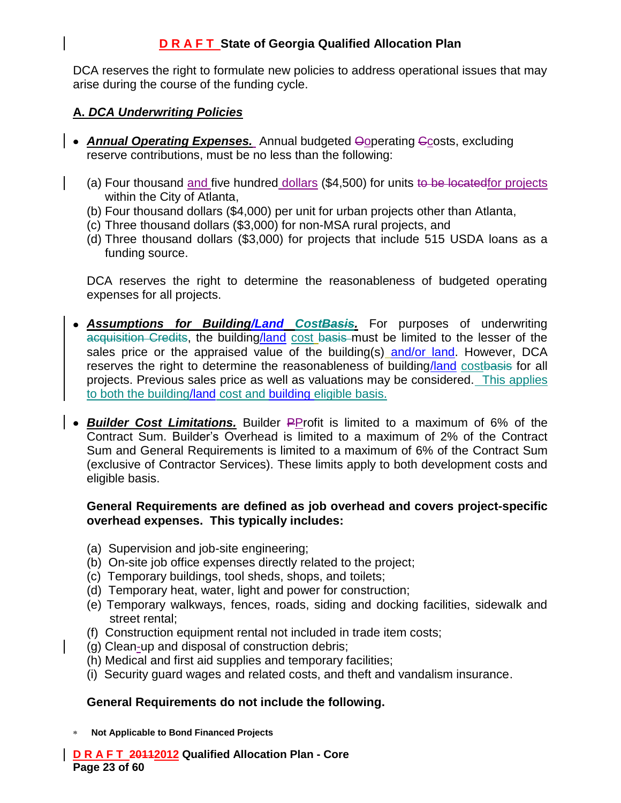DCA reserves the right to formulate new policies to address operational issues that may arise during the course of the funding cycle.

## **A.** *DCA Underwriting Policies*

- **Annual Operating Expenses.** Annual budgeted **Opperating Ccosts**, excluding reserve contributions, must be no less than the following:
	- (a) Four thousand and five hundred dollars (\$4,500) for units to be locatedfor projects within the City of Atlanta,
	- (b) Four thousand dollars (\$4,000) per unit for urban projects other than Atlanta,
	- (c) Three thousand dollars (\$3,000) for non-MSA rural projects, and
	- (d) Three thousand dollars (\$3,000) for projects that include 515 USDA loans as a funding source.

DCA reserves the right to determine the reasonableness of budgeted operating expenses for all projects.

- *Assumptions for Building/Land CostBasis.* For purposes of underwriting acquisition Credits, the building/land cost basis must be limited to the lesser of the sales price or the appraised value of the building(s) and/or land. However, DCA reserves the right to determine the reasonableness of building/land costbasis for all projects. Previous sales price as well as valuations may be considered. This applies to both the building/land cost and building eligible basis.
- **Builder Cost Limitations.** Builder PProfit is limited to a maximum of 6% of the Contract Sum. Builder's Overhead is limited to a maximum of 2% of the Contract Sum and General Requirements is limited to a maximum of 6% of the Contract Sum (exclusive of Contractor Services). These limits apply to both development costs and eligible basis.

#### **General Requirements are defined as job overhead and covers project-specific overhead expenses. This typically includes:**

- (a) Supervision and job-site engineering;
- (b) On-site job office expenses directly related to the project;
- (c) Temporary buildings, tool sheds, shops, and toilets;
- (d) Temporary heat, water, light and power for construction;
- (e) Temporary walkways, fences, roads, siding and docking facilities, sidewalk and street rental;
- (f) Construction equipment rental not included in trade item costs;
- (g) Clean-up and disposal of construction debris;
- (h) Medical and first aid supplies and temporary facilities;
- (i) Security guard wages and related costs, and theft and vandalism insurance.

### **General Requirements do not include the following.**

**Not Applicable to Bond Financed Projects**

**D R A F T 20112012 Qualified Allocation Plan - Core Page 23 of 60**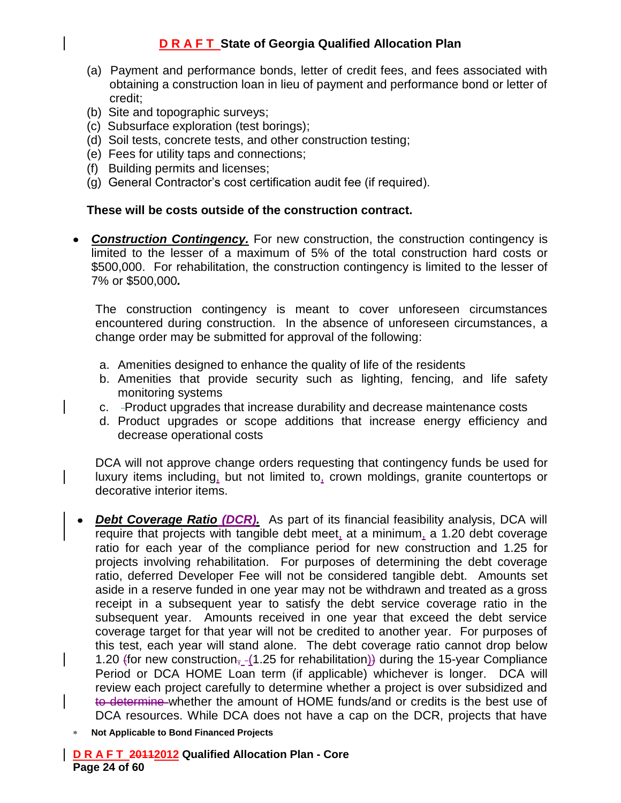- (a) Payment and performance bonds, letter of credit fees, and fees associated with obtaining a construction loan in lieu of payment and performance bond or letter of credit;
- (b) Site and topographic surveys;
- (c) Subsurface exploration (test borings);
- (d) Soil tests, concrete tests, and other construction testing;
- (e) Fees for utility taps and connections;
- (f) Building permits and licenses;
- (g) General Contractor's cost certification audit fee (if required).

#### **These will be costs outside of the construction contract.**

**Construction Contingency.** For new construction, the construction contingency is limited to the lesser of a maximum of 5% of the total construction hard costs or \$500,000. For rehabilitation, the construction contingency is limited to the lesser of 7% or \$500,000*.*

The construction contingency is meant to cover unforeseen circumstances encountered during construction. In the absence of unforeseen circumstances, a change order may be submitted for approval of the following:

- a. Amenities designed to enhance the quality of life of the residents
- b. Amenities that provide security such as lighting, fencing, and life safety monitoring systems
- c. Product upgrades that increase durability and decrease maintenance costs
- d. Product upgrades or scope additions that increase energy efficiency and decrease operational costs

DCA will not approve change orders requesting that contingency funds be used for luxury items including, but not limited to, crown moldings, granite countertops or decorative interior items.

- **Debt Coverage Ratio (DCR).** As part of its financial feasibility analysis, DCA will require that projects with tangible debt meet, at a minimum, a 1.20 debt coverage ratio for each year of the compliance period for new construction and 1.25 for projects involving rehabilitation. For purposes of determining the debt coverage ratio, deferred Developer Fee will not be considered tangible debt. Amounts set aside in a reserve funded in one year may not be withdrawn and treated as a gross receipt in a subsequent year to satisfy the debt service coverage ratio in the subsequent year. Amounts received in one year that exceed the debt service coverage target for that year will not be credited to another year. For purposes of this test, each year will stand alone. The debt coverage ratio cannot drop below 1.20 (for new construction,  $-(1.25$  for rehabilitation)) during the 15-year Compliance Period or DCA HOME Loan term (if applicable) whichever is longer. DCA will review each project carefully to determine whether a project is over subsidized and to determine whether the amount of HOME funds/and or credits is the best use of DCA resources. While DCA does not have a cap on the DCR, projects that have
- **Not Applicable to Bond Financed Projects**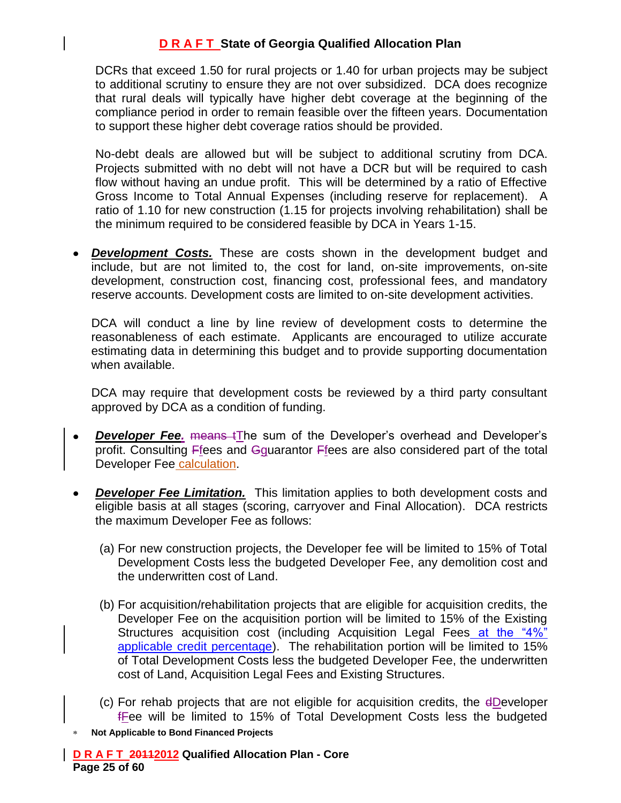DCRs that exceed 1.50 for rural projects or 1.40 for urban projects may be subject to additional scrutiny to ensure they are not over subsidized. DCA does recognize that rural deals will typically have higher debt coverage at the beginning of the compliance period in order to remain feasible over the fifteen years. Documentation to support these higher debt coverage ratios should be provided.

No-debt deals are allowed but will be subject to additional scrutiny from DCA. Projects submitted with no debt will not have a DCR but will be required to cash flow without having an undue profit. This will be determined by a ratio of Effective Gross Income to Total Annual Expenses (including reserve for replacement). A ratio of 1.10 for new construction (1.15 for projects involving rehabilitation) shall be the minimum required to be considered feasible by DCA in Years 1-15.

*Development Costs.* These are costs shown in the development budget and include, but are not limited to, the cost for land, on-site improvements, on-site development, construction cost, financing cost, professional fees, and mandatory reserve accounts. Development costs are limited to on-site development activities.

DCA will conduct a line by line review of development costs to determine the reasonableness of each estimate. Applicants are encouraged to utilize accurate estimating data in determining this budget and to provide supporting documentation when available.

DCA may require that development costs be reviewed by a third party consultant approved by DCA as a condition of funding.

- **Developer Fee.** means tThe sum of the Developer's overhead and Developer's  $\bullet$ profit. Consulting Ffees and Gguarantor Ffees are also considered part of the total Developer Fee calculation.
- **Developer Fee Limitation.** This limitation applies to both development costs and eligible basis at all stages (scoring, carryover and Final Allocation).DCA restricts the maximum Developer Fee as follows:
	- (a) For new construction projects, the Developer fee will be limited to 15% of Total Development Costs less the budgeted Developer Fee, any demolition cost and the underwritten cost of Land.
	- (b) For acquisition/rehabilitation projects that are eligible for acquisition credits, the Developer Fee on the acquisition portion will be limited to 15% of the Existing Structures acquisition cost (including Acquisition Legal Fees at the "4%" applicable credit percentage). The rehabilitation portion will be limited to 15% of Total Development Costs less the budgeted Developer Fee, the underwritten cost of Land, Acquisition Legal Fees and Existing Structures.
	- (c) For rehab projects that are not eligible for acquisition credits, the dDeveloper fFee will be limited to 15% of Total Development Costs less the budgeted
- **Not Applicable to Bond Financed Projects**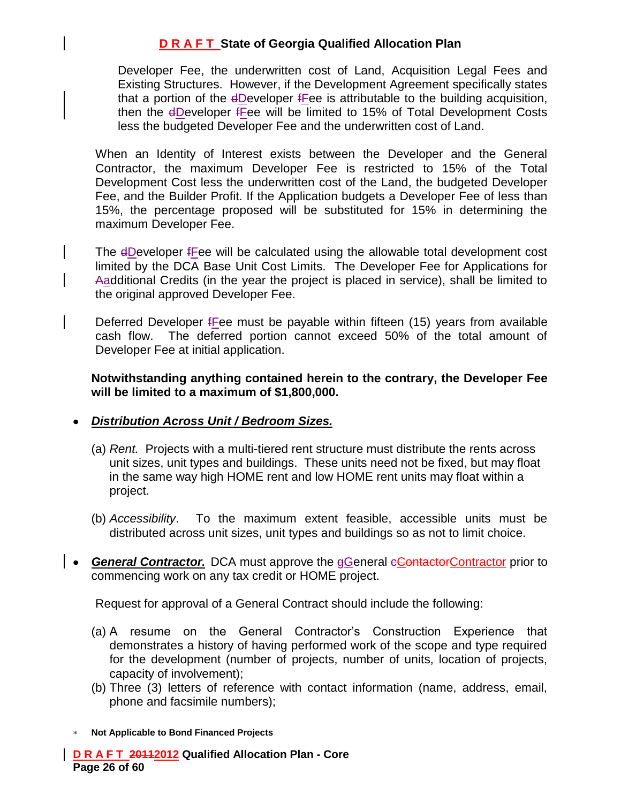Developer Fee, the underwritten cost of Land, Acquisition Legal Fees and Existing Structures. However, if the Development Agreement specifically states that a portion of the dDeveloper fFee is attributable to the building acquisition, then the dDeveloper fFee will be limited to 15% of Total Development Costs less the budgeted Developer Fee and the underwritten cost of Land.

When an Identity of Interest exists between the Developer and the General Contractor, the maximum Developer Fee is restricted to 15% of the Total Development Cost less the underwritten cost of the Land, the budgeted Developer Fee, and the Builder Profit. If the Application budgets a Developer Fee of less than 15%, the percentage proposed will be substituted for 15% in determining the maximum Developer Fee.

The dDeveloper free will be calculated using the allowable total development cost limited by the DCA Base Unit Cost Limits. The Developer Fee for Applications for Aadditional Credits (in the year the project is placed in service), shall be limited to the original approved Developer Fee.

Deferred Developer fFee must be payable within fifteen (15) years from available cash flow. The deferred portion cannot exceed 50% of the total amount of Developer Fee at initial application.

**Notwithstanding anything contained herein to the contrary, the Developer Fee will be limited to a maximum of \$1,800,000.**

#### *Distribution Across Unit / Bedroom Sizes.*

- (a) *Rent.* Projects with a multi-tiered rent structure must distribute the rents across unit sizes, unit types and buildings. These units need not be fixed, but may float in the same way high HOME rent and low HOME rent units may float within a project.
- (b) *Accessibility*. To the maximum extent feasible, accessible units must be distributed across unit sizes, unit types and buildings so as not to limit choice.
- General Contractor. DCA must approve the eGeneral contactorContractor prior to commencing work on any tax credit or HOME project.

Request for approval of a General Contract should include the following:

- (a) A resume on the General Contractor's Construction Experience that demonstrates a history of having performed work of the scope and type required for the development (number of projects, number of units, location of projects, capacity of involvement);
- (b) Three (3) letters of reference with contact information (name, address, email, phone and facsimile numbers);

**Not Applicable to Bond Financed Projects**

**D R A F T 20112012 Qualified Allocation Plan - Core Page 26 of 60**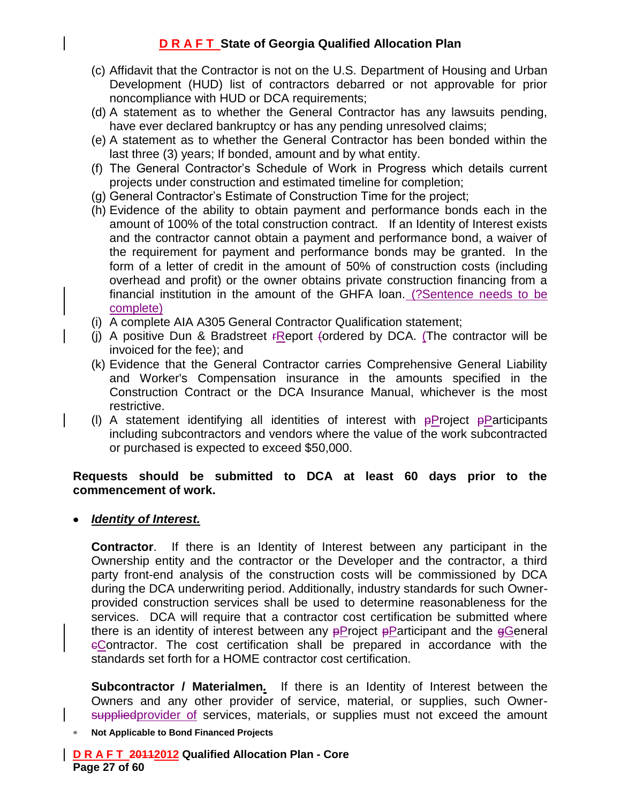- (c) Affidavit that the Contractor is not on the U.S. Department of Housing and Urban Development (HUD) list of contractors debarred or not approvable for prior noncompliance with HUD or DCA requirements;
- (d) A statement as to whether the General Contractor has any lawsuits pending, have ever declared bankruptcy or has any pending unresolved claims;
- (e) A statement as to whether the General Contractor has been bonded within the last three (3) years; If bonded, amount and by what entity.
- (f) The General Contractor's Schedule of Work in Progress which details current projects under construction and estimated timeline for completion;
- (g) General Contractor's Estimate of Construction Time for the project;
- (h) Evidence of the ability to obtain payment and performance bonds each in the amount of 100% of the total construction contract. If an Identity of Interest exists and the contractor cannot obtain a payment and performance bond, a waiver of the requirement for payment and performance bonds may be granted. In the form of a letter of credit in the amount of 50% of construction costs (including overhead and profit) or the owner obtains private construction financing from a financial institution in the amount of the GHFA loan. (?Sentence needs to be complete)
- (i) A complete AIA A305 General Contractor Qualification statement;
- (i) A positive Dun & Bradstreet  $F$ Report (ordered by DCA. (The contractor will be invoiced for the fee); and
- (k) Evidence that the General Contractor carries Comprehensive General Liability and Worker's Compensation insurance in the amounts specified in the Construction Contract or the DCA Insurance Manual, whichever is the most restrictive.
- (I) A statement identifying all identities of interest with  $\frac{p}{p}$ Project  $\frac{p}{p}$ Participants including subcontractors and vendors where the value of the work subcontracted or purchased is expected to exceed \$50,000.

#### **Requests should be submitted to DCA at least 60 days prior to the commencement of work.**

#### *Identity of Interest.*

**Contractor**. If there is an Identity of Interest between any participant in the Ownership entity and the contractor or the Developer and the contractor, a third party front-end analysis of the construction costs will be commissioned by DCA during the DCA underwriting period. Additionally, industry standards for such Ownerprovided construction services shall be used to determine reasonableness for the services. DCA will require that a contractor cost certification be submitted where there is an identity of interest between any  $p$ Project  $p$ Participant and the  $q$ General eContractor. The cost certification shall be prepared in accordance with the standards set forth for a HOME contractor cost certification.

**Subcontractor / Materialmen***.* If there is an Identity of Interest between the Owners and any other provider of service, material, or supplies, such Ownersuppliedprovider of services, materials, or supplies must not exceed the amount

**Not Applicable to Bond Financed Projects**

**D R A F T 20112012 Qualified Allocation Plan - Core Page 27 of 60**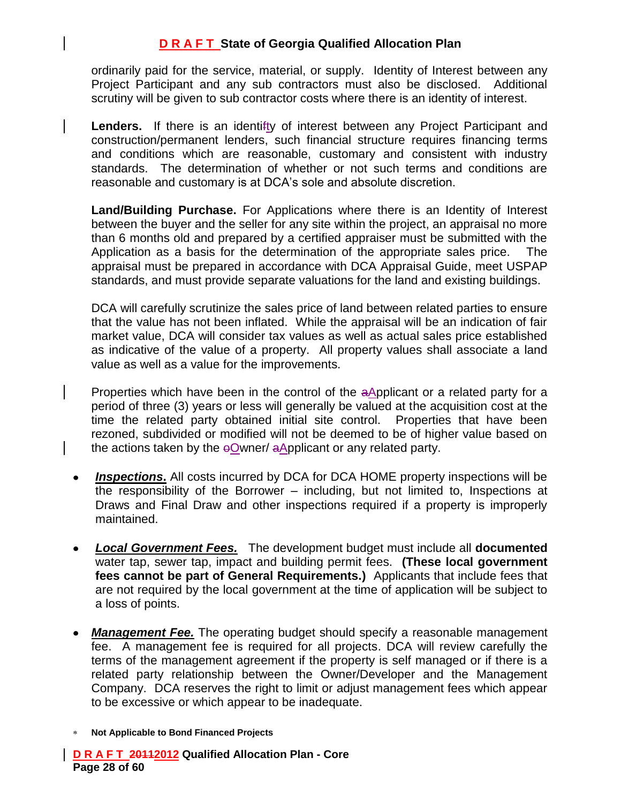ordinarily paid for the service, material, or supply. Identity of Interest between any Project Participant and any sub contractors must also be disclosed. Additional scrutiny will be given to sub contractor costs where there is an identity of interest.

Lenders. If there is an identifty of interest between any Project Participant and construction/permanent lenders, such financial structure requires financing terms and conditions which are reasonable, customary and consistent with industry standards. The determination of whether or not such terms and conditions are reasonable and customary is at DCA's sole and absolute discretion.

**Land/Building Purchase.** For Applications where there is an Identity of Interest between the buyer and the seller for any site within the project, an appraisal no more than 6 months old and prepared by a certified appraiser must be submitted with the Application as a basis for the determination of the appropriate sales price. The appraisal must be prepared in accordance with DCA Appraisal Guide, meet USPAP standards, and must provide separate valuations for the land and existing buildings.

DCA will carefully scrutinize the sales price of land between related parties to ensure that the value has not been inflated. While the appraisal will be an indication of fair market value, DCA will consider tax values as well as actual sales price established as indicative of the value of a property. All property values shall associate a land value as well as a value for the improvements.

Properties which have been in the control of the aApplicant or a related party for a period of three (3) years or less will generally be valued at the acquisition cost at the time the related party obtained initial site control. Properties that have been rezoned, subdivided or modified will not be deemed to be of higher value based on the actions taken by the  $\Theta$ Owner/ aApplicant or any related party.

- *Inspections***.** All costs incurred by DCA for DCA HOME property inspections will be the responsibility of the Borrower – including, but not limited to, Inspections at Draws and Final Draw and other inspections required if a property is improperly maintained.
- *Local Government Fees.* The development budget must include all **documented** water tap, sewer tap, impact and building permit fees. **(These local government fees cannot be part of General Requirements.)** Applicants that include fees that are not required by the local government at the time of application will be subject to a loss of points.
- *Management Fee.* The operating budget should specify a reasonable management fee. A management fee is required for all projects. DCA will review carefully the terms of the management agreement if the property is self managed or if there is a related party relationship between the Owner/Developer and the Management Company. DCA reserves the right to limit or adjust management fees which appear to be excessive or which appear to be inadequate.
- **Not Applicable to Bond Financed Projects**

**D R A F T 20112012 Qualified Allocation Plan - Core Page 28 of 60**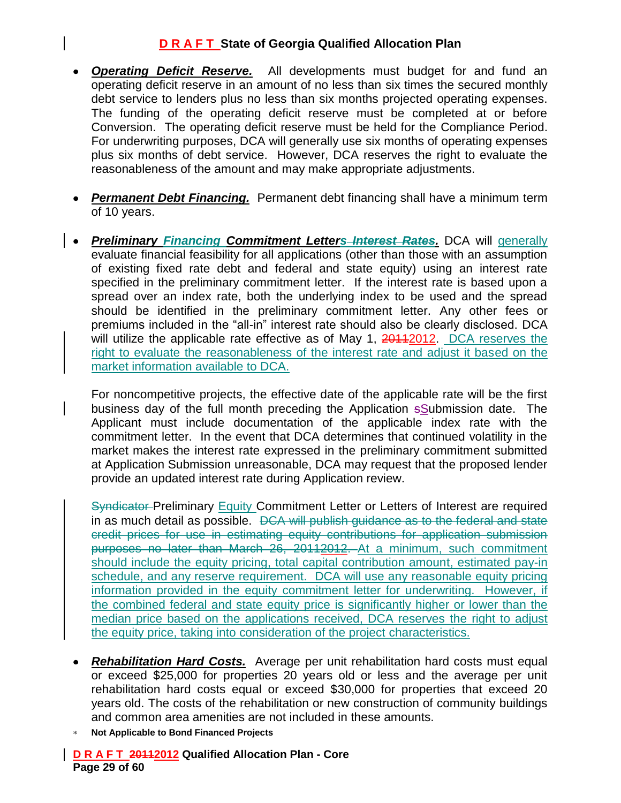- *Operating Deficit Reserve.* All developments must budget for and fund an operating deficit reserve in an amount of no less than six times the secured monthly debt service to lenders plus no less than six months projected operating expenses. The funding of the operating deficit reserve must be completed at or before Conversion. The operating deficit reserve must be held for the Compliance Period. For underwriting purposes, DCA will generally use six months of operating expenses plus six months of debt service. However, DCA reserves the right to evaluate the reasonableness of the amount and may make appropriate adjustments.
- *Permanent Debt Financing.* Permanent debt financing shall have a minimum term of 10 years.
- *Preliminary Financing Commitment Letters Interest Rates.* DCA will generally evaluate financial feasibility for all applications (other than those with an assumption of existing fixed rate debt and federal and state equity) using an interest rate specified in the preliminary commitment letter. If the interest rate is based upon a spread over an index rate, both the underlying index to be used and the spread should be identified in the preliminary commitment letter. Any other fees or premiums included in the "all-in" interest rate should also be clearly disclosed. DCA will utilize the applicable rate effective as of May 1, 20112012. DCA reserves the right to evaluate the reasonableness of the interest rate and adjust it based on the market information available to DCA.

For noncompetitive projects, the effective date of the applicable rate will be the first business day of the full month preceding the Application sSubmission date. The Applicant must include documentation of the applicable index rate with the commitment letter. In the event that DCA determines that continued volatility in the market makes the interest rate expressed in the preliminary commitment submitted at Application Submission unreasonable, DCA may request that the proposed lender provide an updated interest rate during Application review.

Syndicator Preliminary Equity Commitment Letter or Letters of Interest are required in as much detail as possible. DCA will publish quidance as to the federal and state credit prices for use in estimating equity contributions for application submission purposes no later than March 26, 20112012. At a minimum, such commitment should include the equity pricing, total capital contribution amount, estimated pay-in schedule, and any reserve requirement. DCA will use any reasonable equity pricing information provided in the equity commitment letter for underwriting. However, if the combined federal and state equity price is significantly higher or lower than the median price based on the applications received, DCA reserves the right to adjust the equity price, taking into consideration of the project characteristics.

- *Rehabilitation Hard Costs.* Average per unit rehabilitation hard costs must equal or exceed \$25,000 for properties 20 years old or less and the average per unit rehabilitation hard costs equal or exceed \$30,000 for properties that exceed 20 years old. The costs of the rehabilitation or new construction of community buildings and common area amenities are not included in these amounts.
- **Not Applicable to Bond Financed Projects**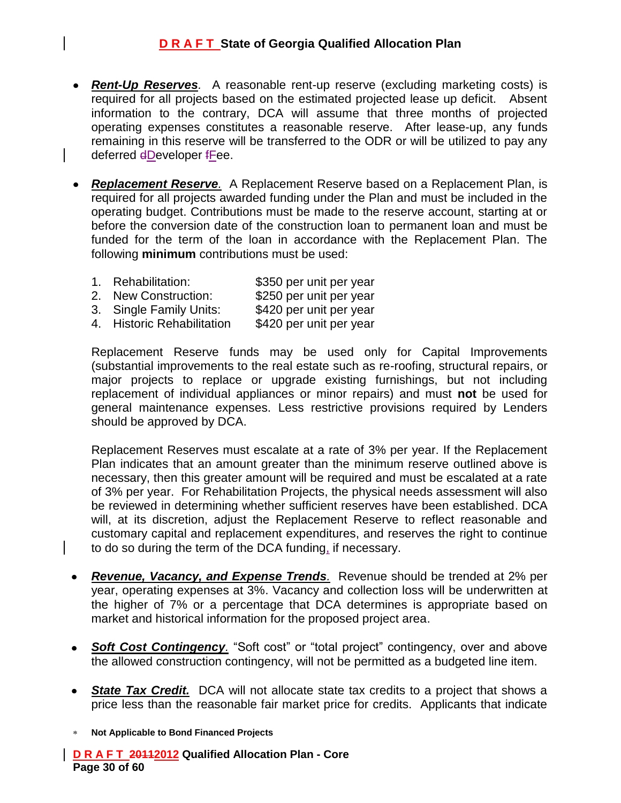- *Rent-Up Reserves.* A reasonable rent-up reserve (excluding marketing costs) is required for all projects based on the estimated projected lease up deficit. Absent information to the contrary, DCA will assume that three months of projected operating expenses constitutes a reasonable reserve. After lease-up, any funds remaining in this reserve will be transferred to the ODR or will be utilized to pay any deferred dDeveloper fFee.
- *Replacement Reserve.* A Replacement Reserve based on a Replacement Plan, is required for all projects awarded funding under the Plan and must be included in the operating budget. Contributions must be made to the reserve account, starting at or before the conversion date of the construction loan to permanent loan and must be funded for the term of the loan in accordance with the Replacement Plan. The following **minimum** contributions must be used:
	- 1. Rehabilitation: \$350 per unit per year 2. New Construction: \$250 per unit per year 3. Single Family Units: \$420 per unit per year 4. Historic Rehabilitation \$420 per unit per year

Replacement Reserve funds may be used only for Capital Improvements (substantial improvements to the real estate such as re-roofing, structural repairs, or major projects to replace or upgrade existing furnishings, but not including replacement of individual appliances or minor repairs) and must **not** be used for general maintenance expenses. Less restrictive provisions required by Lenders should be approved by DCA.

Replacement Reserves must escalate at a rate of 3% per year. If the Replacement Plan indicates that an amount greater than the minimum reserve outlined above is necessary, then this greater amount will be required and must be escalated at a rate of 3% per year. For Rehabilitation Projects, the physical needs assessment will also be reviewed in determining whether sufficient reserves have been established. DCA will, at its discretion, adjust the Replacement Reserve to reflect reasonable and customary capital and replacement expenditures, and reserves the right to continue to do so during the term of the DCA funding, if necessary.

- *Revenue, Vacancy, and Expense Trends.* Revenue should be trended at 2% per year, operating expenses at 3%. Vacancy and collection loss will be underwritten at the higher of 7% or a percentage that DCA determines is appropriate based on market and historical information for the proposed project area.
- **Soft Cost Contingency**. "Soft cost" or "total project" contingency, over and above the allowed construction contingency, will not be permitted as a budgeted line item.
- **State Tax Credit.** DCA will not allocate state tax credits to a project that shows a  $\bullet$ price less than the reasonable fair market price for credits. Applicants that indicate
- **Not Applicable to Bond Financed Projects**

**D R A F T 20112012 Qualified Allocation Plan - Core Page 30 of 60**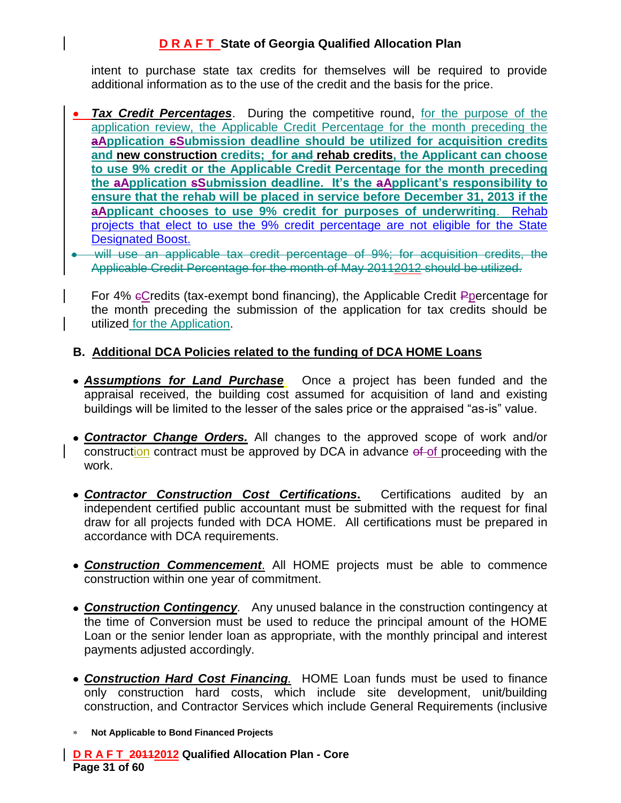intent to purchase state tax credits for themselves will be required to provide additional information as to the use of the credit and the basis for the price.

- *Tax Credit Percentages*. During the competitive round, for the purpose of the application review, the Applicable Credit Percentage for the month preceding the **aApplication sSubmission deadline should be utilized for acquisition credits and new construction credits; for and rehab credits, the Applicant can choose to use 9% credit or the Applicable Credit Percentage for the month preceding the aApplication sSubmission deadline. It's the aApplicant's responsibility to ensure that the rehab will be placed in service before December 31, 2013 if the aApplicant chooses to use 9% credit for purposes of underwriting**. Rehab projects that elect to use the 9% credit percentage are not eligible for the State Designated Boost.
- will use an applicable tax credit percentage of 9%; for acquisition credits, the Applicable Credit Percentage for the month of May 20112012 should be utilized.

For 4% cCredits (tax-exempt bond financing), the Applicable Credit Ppercentage for the month preceding the submission of the application for tax credits should be utilized for the Application.

#### **B. Additional DCA Policies related to the funding of DCA HOME Loans**

- *Assumptions for Land Purchase.*Once a project has been funded and the appraisal received, the building cost assumed for acquisition of land and existing buildings will be limited to the lesser of the sales price or the appraised "as-is" value.
- *Contractor Change Orders.* All changes to the approved scope of work and/or construction contract must be approved by DCA in advance of of proceeding with the work.
- *Contractor Construction Cost Certifications***.** Certifications audited by an independent certified public accountant must be submitted with the request for final draw for all projects funded with DCA HOME. All certifications must be prepared in accordance with DCA requirements.
- *Construction Commencement*. All HOME projects must be able to commence construction within one year of commitment.
- *Construction Contingency.* Any unused balance in the construction contingency at the time of Conversion must be used to reduce the principal amount of the HOME Loan or the senior lender loan as appropriate, with the monthly principal and interest payments adjusted accordingly.
- *Construction Hard Cost Financing.* HOME Loan funds must be used to finance only construction hard costs, which include site development, unit/building construction, and Contractor Services which include General Requirements (inclusive
- **Not Applicable to Bond Financed Projects**

**D R A F T 20112012 Qualified Allocation Plan - Core Page 31 of 60**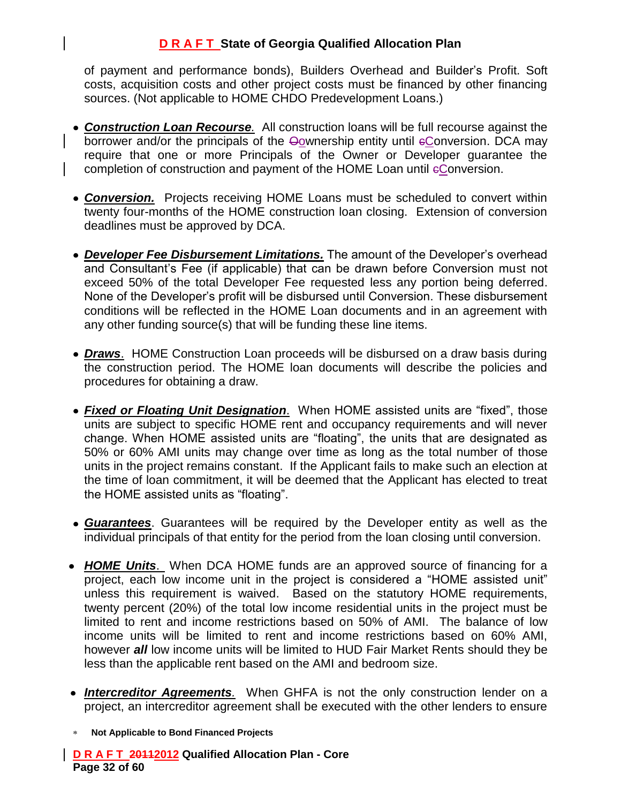of payment and performance bonds), Builders Overhead and Builder's Profit. Soft costs, acquisition costs and other project costs must be financed by other financing sources. (Not applicable to HOME CHDO Predevelopment Loans.)

- *Construction Loan Recourse.* All construction loans will be full recourse against the borrower and/or the principals of the Oownership entity until eConversion. DCA may require that one or more Principals of the Owner or Developer guarantee the completion of construction and payment of the HOME Loan until eConversion.
- **Conversion.** Projects receiving HOME Loans must be scheduled to convert within twenty four-months of the HOME construction loan closing. Extension of conversion deadlines must be approved by DCA.
- *Developer Fee Disbursement Limitations.* The amount of the Developer's overhead and Consultant's Fee (if applicable) that can be drawn before Conversion must not exceed 50% of the total Developer Fee requested less any portion being deferred. None of the Developer's profit will be disbursed until Conversion. These disbursement conditions will be reflected in the HOME Loan documents and in an agreement with any other funding source(s) that will be funding these line items.
- *Draws*. HOME Construction Loan proceeds will be disbursed on a draw basis during the construction period. The HOME loan documents will describe the policies and procedures for obtaining a draw.
- *Fixed or Floating Unit Designation*. When HOME assisted units are "fixed", those units are subject to specific HOME rent and occupancy requirements and will never change. When HOME assisted units are "floating", the units that are designated as 50% or 60% AMI units may change over time as long as the total number of those units in the project remains constant. If the Applicant fails to make such an election at the time of loan commitment, it will be deemed that the Applicant has elected to treat the HOME assisted units as "floating".
- *Guarantees*. Guarantees will be required by the Developer entity as well as the individual principals of that entity for the period from the loan closing until conversion.
- *HOME Units*. When DCA HOME funds are an approved source of financing for a project, each low income unit in the project is considered a "HOME assisted unit" unless this requirement is waived. Based on the statutory HOME requirements, twenty percent (20%) of the total low income residential units in the project must be limited to rent and income restrictions based on 50% of AMI. The balance of low income units will be limited to rent and income restrictions based on 60% AMI, however *all* low income units will be limited to HUD Fair Market Rents should they be less than the applicable rent based on the AMI and bedroom size.
- *Intercreditor Agreements.* When GHFA is not the only construction lender on a project, an intercreditor agreement shall be executed with the other lenders to ensure
- **Not Applicable to Bond Financed Projects**

**D R A F T 20112012 Qualified Allocation Plan - Core Page 32 of 60**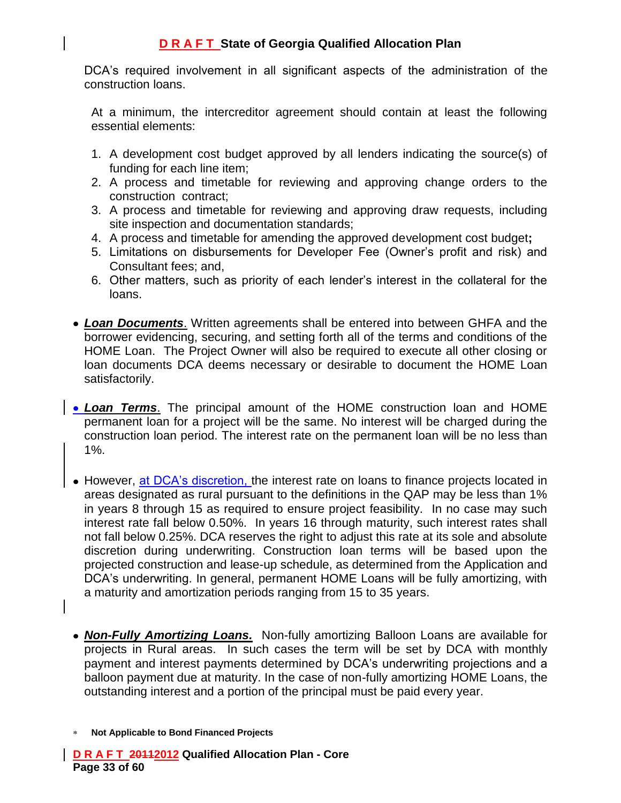DCA's required involvement in all significant aspects of the administration of the construction loans.

At a minimum, the intercreditor agreement should contain at least the following essential elements:

- 1. A development cost budget approved by all lenders indicating the source(s) of funding for each line item;
- 2. A process and timetable for reviewing and approving change orders to the construction contract;
- 3. A process and timetable for reviewing and approving draw requests, including site inspection and documentation standards;
- 4. A process and timetable for amending the approved development cost budget**;**
- 5. Limitations on disbursements for Developer Fee (Owner's profit and risk) and Consultant fees; and,
- 6. Other matters, such as priority of each lender's interest in the collateral for the loans.
- *Loan Documents*. Written agreements shall be entered into between GHFA and the borrower evidencing, securing, and setting forth all of the terms and conditions of the HOME Loan. The Project Owner will also be required to execute all other closing or loan documents DCA deems necessary or desirable to document the HOME Loan satisfactorily.
- *Loan Terms*. The principal amount of the HOME construction loan and HOME permanent loan for a project will be the same. No interest will be charged during the construction loan period. The interest rate on the permanent loan will be no less than 1%.
- However, at DCA's discretion, the interest rate on loans to finance projects located in areas designated as rural pursuant to the definitions in the QAP may be less than 1% in years 8 through 15 as required to ensure project feasibility. In no case may such interest rate fall below 0.50%. In years 16 through maturity, such interest rates shall not fall below 0.25%. DCA reserves the right to adjust this rate at its sole and absolute discretion during underwriting. Construction loan terms will be based upon the projected construction and lease-up schedule, as determined from the Application and DCA's underwriting. In general, permanent HOME Loans will be fully amortizing, with a maturity and amortization periods ranging from 15 to 35 years.
- *Non-Fully Amortizing Loans.* Non-fully amortizing Balloon Loans are available for projects in Rural areas. In such cases the term will be set by DCA with monthly payment and interest payments determined by DCA's underwriting projections and a balloon payment due at maturity. In the case of non-fully amortizing HOME Loans, the outstanding interest and a portion of the principal must be paid every year.
- **Not Applicable to Bond Financed Projects**

**D R A F T 20112012 Qualified Allocation Plan - Core Page 33 of 60**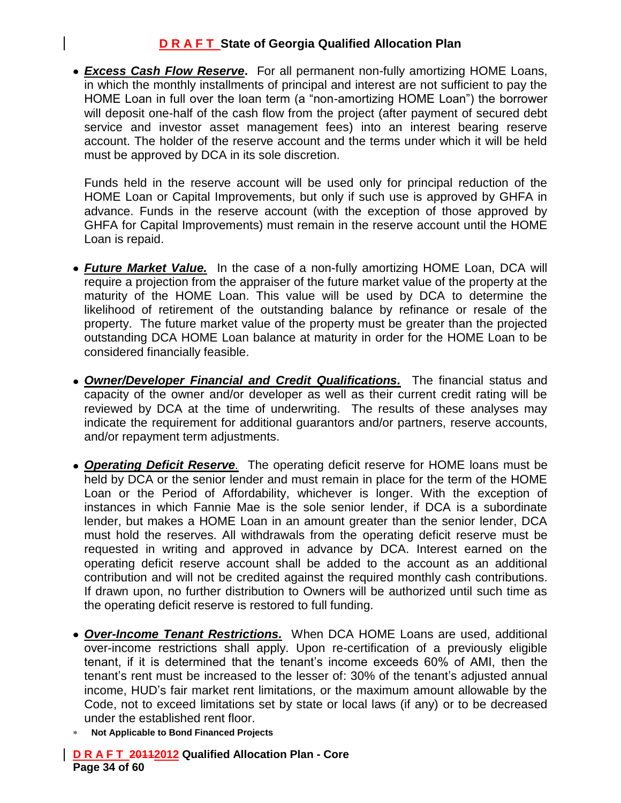*Excess Cash Flow Reserve***.** For all permanent non-fully amortizing HOME Loans, in which the monthly installments of principal and interest are not sufficient to pay the HOME Loan in full over the loan term (a "non-amortizing HOME Loan") the borrower will deposit one-half of the cash flow from the project (after payment of secured debt service and investor asset management fees) into an interest bearing reserve account. The holder of the reserve account and the terms under which it will be held must be approved by DCA in its sole discretion.

Funds held in the reserve account will be used only for principal reduction of the HOME Loan or Capital Improvements, but only if such use is approved by GHFA in advance. Funds in the reserve account (with the exception of those approved by GHFA for Capital Improvements) must remain in the reserve account until the HOME Loan is repaid.

- *Future Market Value.*In the case of a non-fully amortizing HOME Loan, DCA will require a projection from the appraiser of the future market value of the property at the maturity of the HOME Loan. This value will be used by DCA to determine the likelihood of retirement of the outstanding balance by refinance or resale of the property. The future market value of the property must be greater than the projected outstanding DCA HOME Loan balance at maturity in order for the HOME Loan to be considered financially feasible.
- *Owner/Developer Financial and Credit Qualifications.* The financial status and capacity of the owner and/or developer as well as their current credit rating will be reviewed by DCA at the time of underwriting. The results of these analyses may indicate the requirement for additional guarantors and/or partners, reserve accounts, and/or repayment term adjustments.
- *Operating Deficit Reserve.* The operating deficit reserve for HOME loans must be held by DCA or the senior lender and must remain in place for the term of the HOME Loan or the Period of Affordability, whichever is longer. With the exception of instances in which Fannie Mae is the sole senior lender, if DCA is a subordinate lender, but makes a HOME Loan in an amount greater than the senior lender, DCA must hold the reserves. All withdrawals from the operating deficit reserve must be requested in writing and approved in advance by DCA. Interest earned on the operating deficit reserve account shall be added to the account as an additional contribution and will not be credited against the required monthly cash contributions. If drawn upon, no further distribution to Owners will be authorized until such time as the operating deficit reserve is restored to full funding.
- *Over-Income Tenant Restrictions.* When DCA HOME Loans are used, additional over-income restrictions shall apply. Upon re-certification of a previously eligible tenant, if it is determined that the tenant's income exceeds 60% of AMI, then the tenant's rent must be increased to the lesser of: 30% of the tenant's adjusted annual income, HUD's fair market rent limitations, or the maximum amount allowable by the Code, not to exceed limitations set by state or local laws (if any) or to be decreased under the established rent floor.
- **Not Applicable to Bond Financed Projects**

**D R A F T 20112012 Qualified Allocation Plan - Core Page 34 of 60**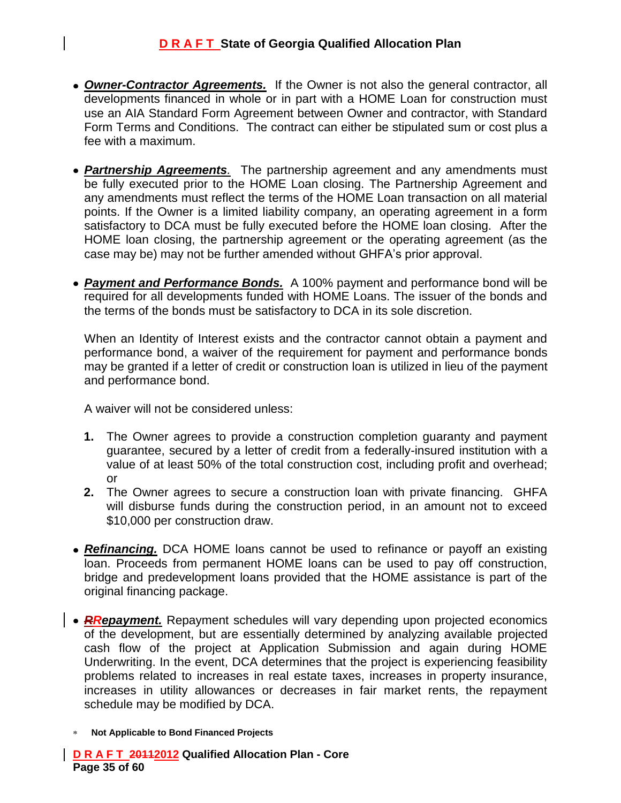- *Owner-Contractor Agreements.* If the Owner is not also the general contractor, all developments financed in whole or in part with a HOME Loan for construction must use an AIA Standard Form Agreement between Owner and contractor, with Standard Form Terms and Conditions. The contract can either be stipulated sum or cost plus a fee with a maximum.
- *Partnership Agreements.* The partnership agreement and any amendments must be fully executed prior to the HOME Loan closing. The Partnership Agreement and any amendments must reflect the terms of the HOME Loan transaction on all material points. If the Owner is a limited liability company, an operating agreement in a form satisfactory to DCA must be fully executed before the HOME loan closing. After the HOME loan closing, the partnership agreement or the operating agreement (as the case may be) may not be further amended without GHFA's prior approval.
- *Payment and Performance Bonds.* A 100% payment and performance bond will be required for all developments funded with HOME Loans. The issuer of the bonds and the terms of the bonds must be satisfactory to DCA in its sole discretion.

When an Identity of Interest exists and the contractor cannot obtain a payment and performance bond, a waiver of the requirement for payment and performance bonds may be granted if a letter of credit or construction loan is utilized in lieu of the payment and performance bond.

A waiver will not be considered unless:

- **1.** The Owner agrees to provide a construction completion guaranty and payment guarantee, secured by a letter of credit from a federally-insured institution with a value of at least 50% of the total construction cost, including profit and overhead; or
- **2.** The Owner agrees to secure a construction loan with private financing. GHFA will disburse funds during the construction period, in an amount not to exceed \$10,000 per construction draw.
- *Refinancing.* DCA HOME loans cannot be used to refinance or payoff an existing loan. Proceeds from permanent HOME loans can be used to pay off construction, bridge and predevelopment loans provided that the HOME assistance is part of the original financing package.
- **RRepayment.** Repayment schedules will vary depending upon projected economics of the development, but are essentially determined by analyzing available projected cash flow of the project at Application Submission and again during HOME Underwriting. In the event, DCA determines that the project is experiencing feasibility problems related to increases in real estate taxes, increases in property insurance, increases in utility allowances or decreases in fair market rents, the repayment schedule may be modified by DCA.
	- **Not Applicable to Bond Financed Projects**

**D R A F T 20112012 Qualified Allocation Plan - Core Page 35 of 60**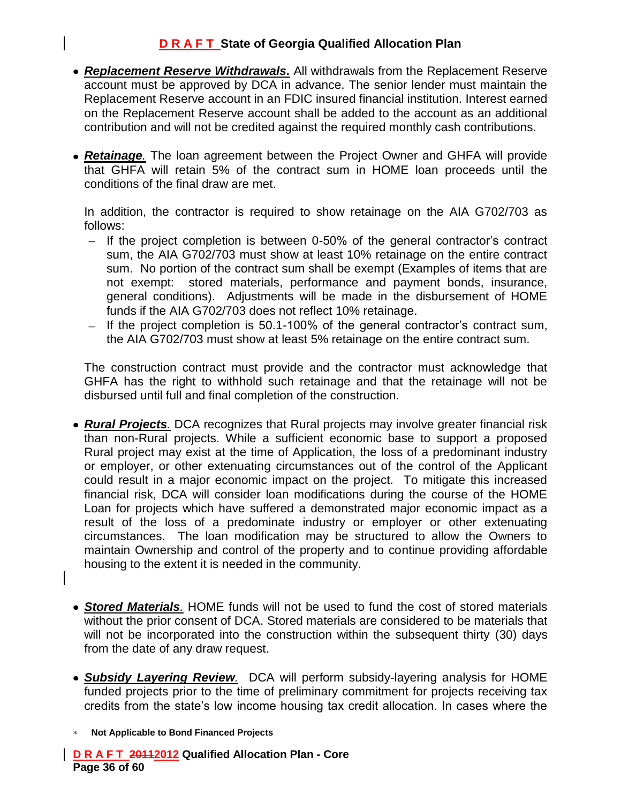- *Replacement Reserve Withdrawals.* All withdrawals from the Replacement Reserve account must be approved by DCA in advance. The senior lender must maintain the Replacement Reserve account in an FDIC insured financial institution. Interest earned on the Replacement Reserve account shall be added to the account as an additional contribution and will not be credited against the required monthly cash contributions.
- *Retainage.* The loan agreement between the Project Owner and GHFA will provide that GHFA will retain 5% of the contract sum in HOME loan proceeds until the conditions of the final draw are met.

In addition, the contractor is required to show retainage on the AIA G702/703 as follows:

- $-$  If the project completion is between 0-50% of the general contractor's contract sum, the AIA G702/703 must show at least 10% retainage on the entire contract sum. No portion of the contract sum shall be exempt (Examples of items that are not exempt: stored materials, performance and payment bonds, insurance, general conditions). Adjustments will be made in the disbursement of HOME funds if the AIA G702/703 does not reflect 10% retainage.
- $-$  If the project completion is 50.1-100% of the general contractor's contract sum, the AIA G702/703 must show at least 5% retainage on the entire contract sum.

The construction contract must provide and the contractor must acknowledge that GHFA has the right to withhold such retainage and that the retainage will not be disbursed until full and final completion of the construction.

- *Rural Projects.* DCA recognizes that Rural projects may involve greater financial risk than non-Rural projects. While a sufficient economic base to support a proposed Rural project may exist at the time of Application, the loss of a predominant industry or employer, or other extenuating circumstances out of the control of the Applicant could result in a major economic impact on the project. To mitigate this increased financial risk, DCA will consider loan modifications during the course of the HOME Loan for projects which have suffered a demonstrated major economic impact as a result of the loss of a predominate industry or employer or other extenuating circumstances. The loan modification may be structured to allow the Owners to maintain Ownership and control of the property and to continue providing affordable housing to the extent it is needed in the community.
- *Stored Materials.* HOME funds will not be used to fund the cost of stored materials without the prior consent of DCA. Stored materials are considered to be materials that will not be incorporated into the construction within the subsequent thirty (30) days from the date of any draw request.
- *Subsidy Layering Review.* DCA will perform subsidy-layering analysis for HOME funded projects prior to the time of preliminary commitment for projects receiving tax credits from the state's low income housing tax credit allocation. In cases where the
- **Not Applicable to Bond Financed Projects**

**D R A F T 20112012 Qualified Allocation Plan - Core Page 36 of 60**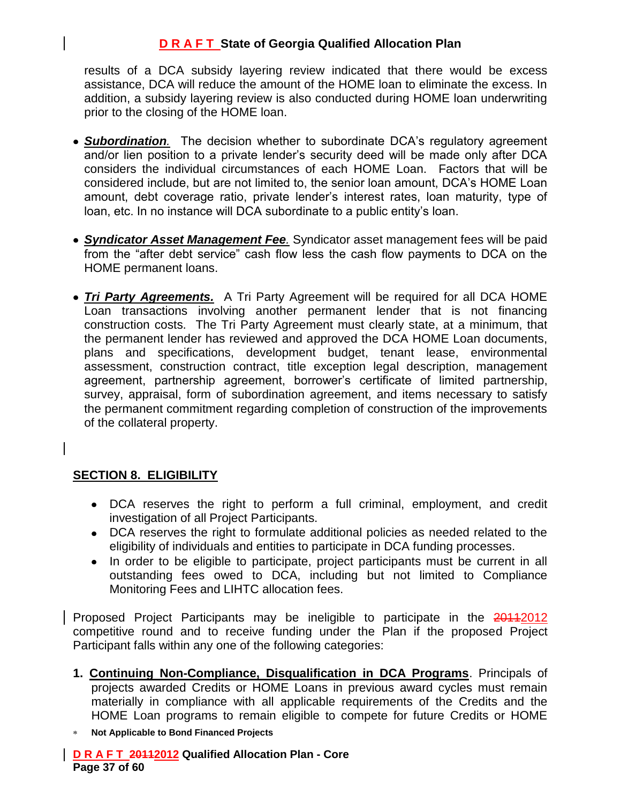results of a DCA subsidy layering review indicated that there would be excess assistance, DCA will reduce the amount of the HOME loan to eliminate the excess. In addition, a subsidy layering review is also conducted during HOME loan underwriting prior to the closing of the HOME loan.

- *Subordination.* The decision whether to subordinate DCA's regulatory agreement and/or lien position to a private lender's security deed will be made only after DCA considers the individual circumstances of each HOME Loan. Factors that will be considered include, but are not limited to, the senior loan amount, DCA's HOME Loan amount, debt coverage ratio, private lender's interest rates, loan maturity, type of loan, etc. In no instance will DCA subordinate to a public entity's loan.
- *Syndicator Asset Management Fee.* Syndicator asset management fees will be paid from the "after debt service" cash flow less the cash flow payments to DCA on the HOME permanent loans.
- *Tri Party Agreements.* A Tri Party Agreement will be required for all DCA HOME Loan transactions involving another permanent lender that is not financing construction costs. The Tri Party Agreement must clearly state, at a minimum, that the permanent lender has reviewed and approved the DCA HOME Loan documents, plans and specifications, development budget, tenant lease, environmental assessment, construction contract, title exception legal description, management agreement, partnership agreement, borrower's certificate of limited partnership, survey, appraisal, form of subordination agreement, and items necessary to satisfy the permanent commitment regarding completion of construction of the improvements of the collateral property.

# **SECTION 8. ELIGIBILITY**

- DCA reserves the right to perform a full criminal, employment, and credit investigation of all Project Participants.
- DCA reserves the right to formulate additional policies as needed related to the eligibility of individuals and entities to participate in DCA funding processes.
- In order to be eligible to participate, project participants must be current in all outstanding fees owed to DCA, including but not limited to Compliance Monitoring Fees and LIHTC allocation fees.

Proposed Project Participants may be ineligible to participate in the 20112012 competitive round and to receive funding under the Plan if the proposed Project Participant falls within any one of the following categories:

- **1. Continuing Non-Compliance, Disqualification in DCA Programs**. Principals of projects awarded Credits or HOME Loans in previous award cycles must remain materially in compliance with all applicable requirements of the Credits and the HOME Loan programs to remain eligible to compete for future Credits or HOME
- **Not Applicable to Bond Financed Projects**

**D R A F T 20112012 Qualified Allocation Plan - Core Page 37 of 60**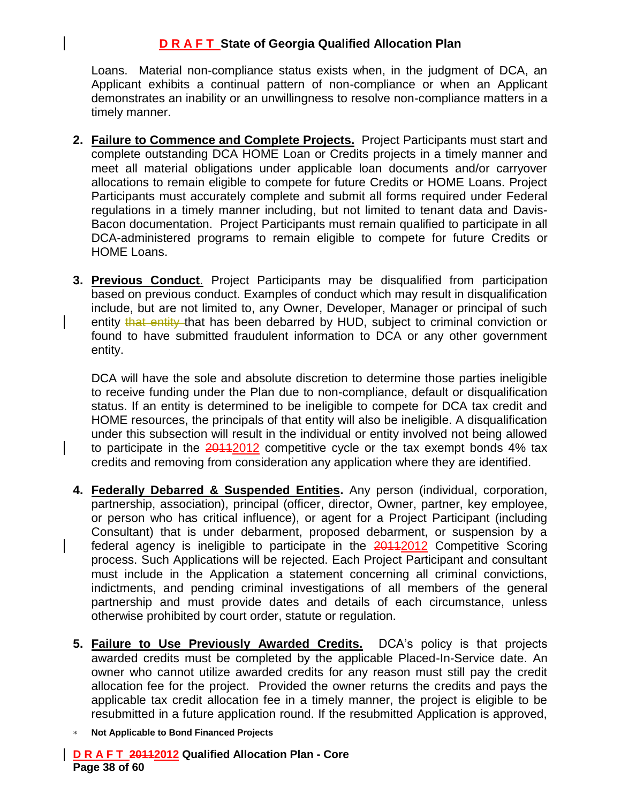Loans. Material non-compliance status exists when, in the judgment of DCA, an Applicant exhibits a continual pattern of non-compliance or when an Applicant demonstrates an inability or an unwillingness to resolve non-compliance matters in a timely manner.

- **2. Failure to Commence and Complete Projects.** Project Participants must start and complete outstanding DCA HOME Loan or Credits projects in a timely manner and meet all material obligations under applicable loan documents and/or carryover allocations to remain eligible to compete for future Credits or HOME Loans. Project Participants must accurately complete and submit all forms required under Federal regulations in a timely manner including, but not limited to tenant data and Davis-Bacon documentation. Project Participants must remain qualified to participate in all DCA-administered programs to remain eligible to compete for future Credits or HOME Loans.
- **3. Previous Conduct**. Project Participants may be disqualified from participation based on previous conduct. Examples of conduct which may result in disqualification include, but are not limited to, any Owner, Developer, Manager or principal of such entity that entity that has been debarred by HUD, subject to criminal conviction or found to have submitted fraudulent information to DCA or any other government entity.

DCA will have the sole and absolute discretion to determine those parties ineligible to receive funding under the Plan due to non-compliance, default or disqualification status. If an entity is determined to be ineligible to compete for DCA tax credit and HOME resources, the principals of that entity will also be ineligible. A disqualification under this subsection will result in the individual or entity involved not being allowed to participate in the  $20112$  competitive cycle or the tax exempt bonds  $4\%$  tax credits and removing from consideration any application where they are identified.

- **4. Federally Debarred & Suspended Entities.** Any person (individual, corporation, partnership, association), principal (officer, director, Owner, partner, key employee, or person who has critical influence), or agent for a Project Participant (including Consultant) that is under debarment, proposed debarment, or suspension by a federal agency is ineligible to participate in the **2011**2012 Competitive Scoring process. Such Applications will be rejected. Each Project Participant and consultant must include in the Application a statement concerning all criminal convictions, indictments, and pending criminal investigations of all members of the general partnership and must provide dates and details of each circumstance, unless otherwise prohibited by court order, statute or regulation.
- **5. Failure to Use Previously Awarded Credits.** DCA's policy is that projects awarded credits must be completed by the applicable Placed-In-Service date. An owner who cannot utilize awarded credits for any reason must still pay the credit allocation fee for the project. Provided the owner returns the credits and pays the applicable tax credit allocation fee in a timely manner, the project is eligible to be resubmitted in a future application round. If the resubmitted Application is approved,
- **Not Applicable to Bond Financed Projects**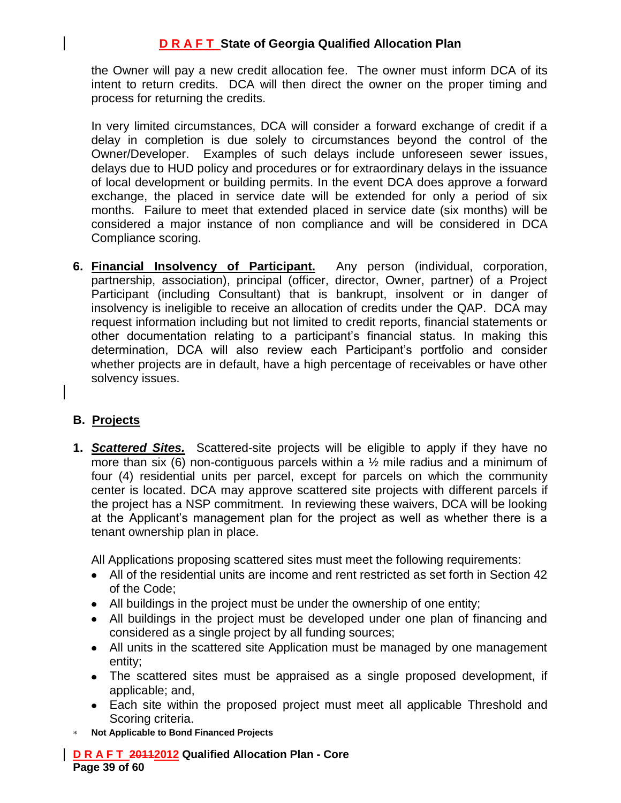the Owner will pay a new credit allocation fee. The owner must inform DCA of its intent to return credits. DCA will then direct the owner on the proper timing and process for returning the credits.

In very limited circumstances, DCA will consider a forward exchange of credit if a delay in completion is due solely to circumstances beyond the control of the Owner/Developer. Examples of such delays include unforeseen sewer issues, delays due to HUD policy and procedures or for extraordinary delays in the issuance of local development or building permits. In the event DCA does approve a forward exchange, the placed in service date will be extended for only a period of six months. Failure to meet that extended placed in service date (six months) will be considered a major instance of non compliance and will be considered in DCA Compliance scoring.

**6. Financial Insolvency of Participant.** Any person (individual, corporation, partnership, association), principal (officer, director, Owner, partner) of a Project Participant (including Consultant) that is bankrupt, insolvent or in danger of insolvency is ineligible to receive an allocation of credits under the QAP. DCA may request information including but not limited to credit reports, financial statements or other documentation relating to a participant's financial status. In making this determination, DCA will also review each Participant's portfolio and consider whether projects are in default, have a high percentage of receivables or have other solvency issues.

# **B. Projects**

**1.** *Scattered Sites.* Scattered-site projects will be eligible to apply if they have no more than six (6) non-contiguous parcels within a  $\frac{1}{2}$  mile radius and a minimum of four (4) residential units per parcel, except for parcels on which the community center is located. DCA may approve scattered site projects with different parcels if the project has a NSP commitment. In reviewing these waivers, DCA will be looking at the Applicant's management plan for the project as well as whether there is a tenant ownership plan in place.

All Applications proposing scattered sites must meet the following requirements:

- All of the residential units are income and rent restricted as set forth in Section 42 of the Code;
- All buildings in the project must be under the ownership of one entity;
- All buildings in the project must be developed under one plan of financing and considered as a single project by all funding sources;
- All units in the scattered site Application must be managed by one management entity;
- The scattered sites must be appraised as a single proposed development, if applicable; and,
- Each site within the proposed project must meet all applicable Threshold and Scoring criteria.
- **Not Applicable to Bond Financed Projects**

**D R A F T 20112012 Qualified Allocation Plan - Core Page 39 of 60**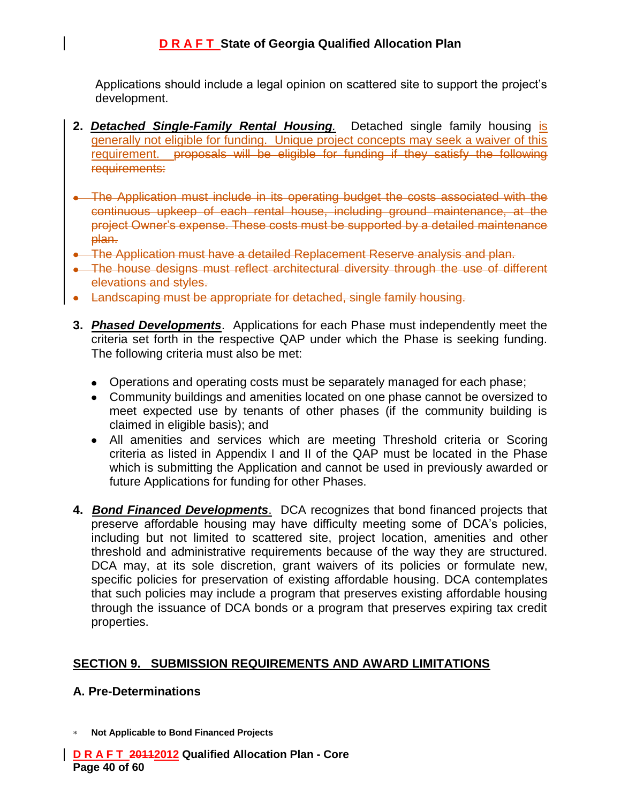Applications should include a legal opinion on scattered site to support the project's development.

- **2.** *Detached Single-Family Rental Housing.* Detached single family housing is generally not eligible for funding. Unique project concepts may seek a waiver of this requirement. proposals will be eligible for funding if they satisfy the following requirements:
- The Application must include in its operating budget the costs associated with the continuous upkeep of each rental house, including ground maintenance, at the project Owner's expense. These costs must be supported by a detailed maintenance plan.
- The Application must have a detailed Replacement Reserve analysis and plan.
- The house designs must reflect architectural diversity through the use of different elevations and styles.
- Landscaping must be appropriate for detached, single family housing.
- **3.** *Phased Developments*. Applications for each Phase must independently meet the criteria set forth in the respective QAP under which the Phase is seeking funding. The following criteria must also be met:
	- Operations and operating costs must be separately managed for each phase;
	- Community buildings and amenities located on one phase cannot be oversized to meet expected use by tenants of other phases (if the community building is claimed in eligible basis); and
	- All amenities and services which are meeting Threshold criteria or Scoring criteria as listed in Appendix I and II of the QAP must be located in the Phase which is submitting the Application and cannot be used in previously awarded or future Applications for funding for other Phases.
- **4.** *Bond Financed Developments*. DCA recognizes that bond financed projects that preserve affordable housing may have difficulty meeting some of DCA's policies, including but not limited to scattered site, project location, amenities and other threshold and administrative requirements because of the way they are structured. DCA may, at its sole discretion, grant waivers of its policies or formulate new, specific policies for preservation of existing affordable housing. DCA contemplates that such policies may include a program that preserves existing affordable housing through the issuance of DCA bonds or a program that preserves expiring tax credit properties.

#### **SECTION 9. SUBMISSION REQUIREMENTS AND AWARD LIMITATIONS**

#### **A. Pre-Determinations**

**Not Applicable to Bond Financed Projects**

**D R A F T 20112012 Qualified Allocation Plan - Core Page 40 of 60**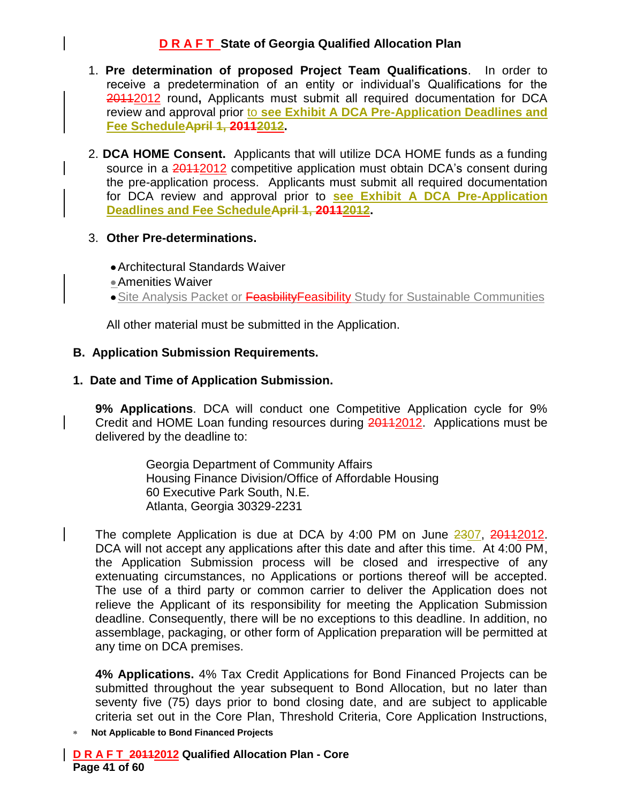- 1. **Pre determination of proposed Project Team Qualifications**. In order to receive a predetermination of an entity or individual's Qualifications for the 20112012 round**,** Applicants must submit all required documentation for DCA review and approval prior to **see Exhibit A DCA Pre-Application Deadlines and Fee ScheduleApril 1, 20112012.**
- 2. **DCA HOME Consent.** Applicants that will utilize DCA HOME funds as a funding source in a 20112012 competitive application must obtain DCA's consent during the pre-application process. Applicants must submit all required documentation for DCA review and approval prior to **see Exhibit A DCA Pre-Application Deadlines and Fee ScheduleApril 1, 20112012.**

#### 3. **Other Pre-determinations.**

- Architectural Standards Waiver
- Amenities Waiver
- Site Analysis Packet or Feasbility Feasibility Study for Sustainable Communities

All other material must be submitted in the Application.

#### **B. Application Submission Requirements.**

#### **1. Date and Time of Application Submission.**

**9% Applications**. DCA will conduct one Competitive Application cycle for 9% Credit and HOME Loan funding resources during 20112012. Applications must be delivered by the deadline to:

> Georgia Department of Community Affairs Housing Finance Division/Office of Affordable Housing 60 Executive Park South, N.E. Atlanta, Georgia 30329-2231

The complete Application is due at DCA by 4:00 PM on June 2307, 20112012. DCA will not accept any applications after this date and after this time. At 4:00 PM, the Application Submission process will be closed and irrespective of any extenuating circumstances, no Applications or portions thereof will be accepted. The use of a third party or common carrier to deliver the Application does not relieve the Applicant of its responsibility for meeting the Application Submission deadline. Consequently, there will be no exceptions to this deadline. In addition, no assemblage, packaging, or other form of Application preparation will be permitted at any time on DCA premises.

**4% Applications.** 4% Tax Credit Applications for Bond Financed Projects can be submitted throughout the year subsequent to Bond Allocation, but no later than seventy five (75) days prior to bond closing date, and are subject to applicable criteria set out in the Core Plan, Threshold Criteria, Core Application Instructions,

**Not Applicable to Bond Financed Projects**

**D R A F T 20112012 Qualified Allocation Plan - Core Page 41 of 60**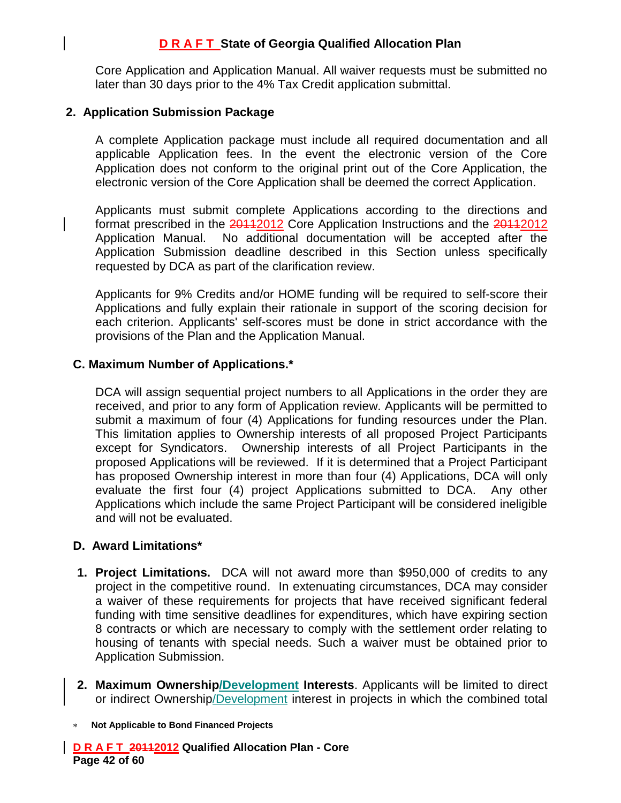Core Application and Application Manual. All waiver requests must be submitted no later than 30 days prior to the 4% Tax Credit application submittal.

#### **2. Application Submission Package**

A complete Application package must include all required documentation and all applicable Application fees. In the event the electronic version of the Core Application does not conform to the original print out of the Core Application, the electronic version of the Core Application shall be deemed the correct Application.

Applicants must submit complete Applications according to the directions and format prescribed in the 20112012 Core Application Instructions and the 20112012 Application Manual. No additional documentation will be accepted after the Application Submission deadline described in this Section unless specifically requested by DCA as part of the clarification review.

Applicants for 9% Credits and/or HOME funding will be required to self-score their Applications and fully explain their rationale in support of the scoring decision for each criterion. Applicants' self-scores must be done in strict accordance with the provisions of the Plan and the Application Manual.

#### **C. Maximum Number of Applications.\***

DCA will assign sequential project numbers to all Applications in the order they are received, and prior to any form of Application review. Applicants will be permitted to submit a maximum of four (4) Applications for funding resources under the Plan. This limitation applies to Ownership interests of all proposed Project Participants except for Syndicators. Ownership interests of all Project Participants in the proposed Applications will be reviewed. If it is determined that a Project Participant has proposed Ownership interest in more than four (4) Applications, DCA will only evaluate the first four (4) project Applications submitted to DCA. Any other Applications which include the same Project Participant will be considered ineligible and will not be evaluated.

#### **D. Award Limitations\***

- **1. Project Limitations.** DCA will not award more than \$950,000 of credits to any project in the competitive round. In extenuating circumstances, DCA may consider a waiver of these requirements for projects that have received significant federal funding with time sensitive deadlines for expenditures, which have expiring section 8 contracts or which are necessary to comply with the settlement order relating to housing of tenants with special needs. Such a waiver must be obtained prior to Application Submission.
- **2. Maximum Ownership/Development Interests**. Applicants will be limited to direct or indirect Ownership/Development interest in projects in which the combined total
- **Not Applicable to Bond Financed Projects**

**D R A F T 20112012 Qualified Allocation Plan - Core Page 42 of 60**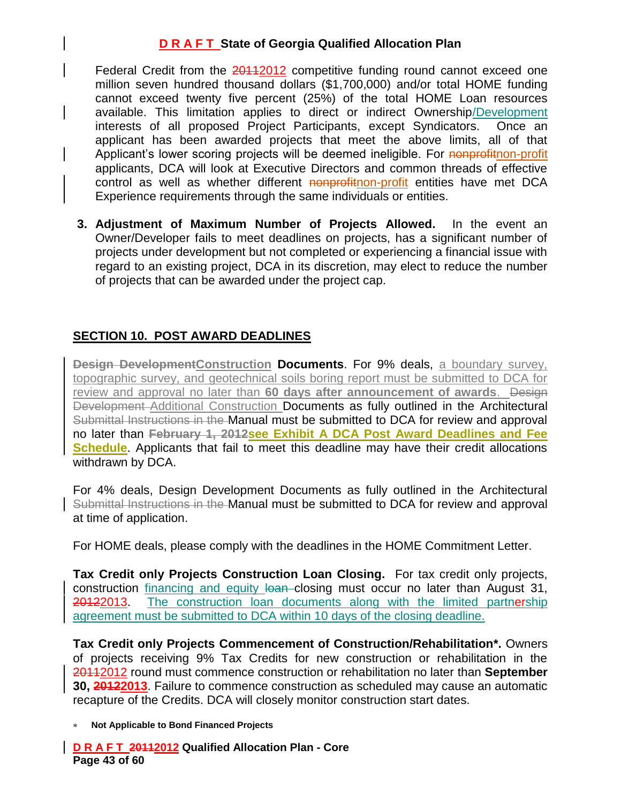Federal Credit from the 20112012 competitive funding round cannot exceed one million seven hundred thousand dollars (\$1,700,000) and/or total HOME funding cannot exceed twenty five percent (25%) of the total HOME Loan resources available. This limitation applies to direct or indirect Ownership/Development interests of all proposed Project Participants, except Syndicators. Once an applicant has been awarded projects that meet the above limits, all of that Applicant's lower scoring projects will be deemed ineligible. For nonprofithon-profit applicants, DCA will look at Executive Directors and common threads of effective control as well as whether different nonprofitnon-profit entities have met DCA Experience requirements through the same individuals or entities.

**3. Adjustment of Maximum Number of Projects Allowed.** In the event an Owner/Developer fails to meet deadlines on projects, has a significant number of projects under development but not completed or experiencing a financial issue with regard to an existing project, DCA in its discretion, may elect to reduce the number of projects that can be awarded under the project cap.

# **SECTION 10. POST AWARD DEADLINES**

**Design DevelopmentConstruction Documents**. For 9% deals, a boundary survey, topographic survey, and geotechnical soils boring report must be submitted to DCA for review and approval no later than **60 days after announcement of awards**. Design Development-Additional Construction Documents as fully outlined in the Architectural Submittal Instructions in the Manual must be submitted to DCA for review and approval no later than **February 1, 2012see Exhibit A DCA Post Award Deadlines and Fee Schedule**. Applicants that fail to meet this deadline may have their credit allocations withdrawn by DCA.

For 4% deals, Design Development Documents as fully outlined in the Architectural Submittal Instructions in the Manual must be submitted to DCA for review and approval at time of application.

For HOME deals, please comply with the deadlines in the HOME Commitment Letter.

**Tax Credit only Projects Construction Loan Closing.** For tax credit only projects, construction financing and equity loan closing must occur no later than August 31, 20122013. The construction loan documents along with the limited partnership agreement must be submitted to DCA within 10 days of the closing deadline.

**Tax Credit only Projects Commencement of Construction/Rehabilitation\*.** Owners of projects receiving 9% Tax Credits for new construction or rehabilitation in the 20112012 round must commence construction or rehabilitation no later than **September 30, 20122013**. Failure to commence construction as scheduled may cause an automatic recapture of the Credits. DCA will closely monitor construction start dates.

**Not Applicable to Bond Financed Projects**

**D R A F T 20112012 Qualified Allocation Plan - Core Page 43 of 60**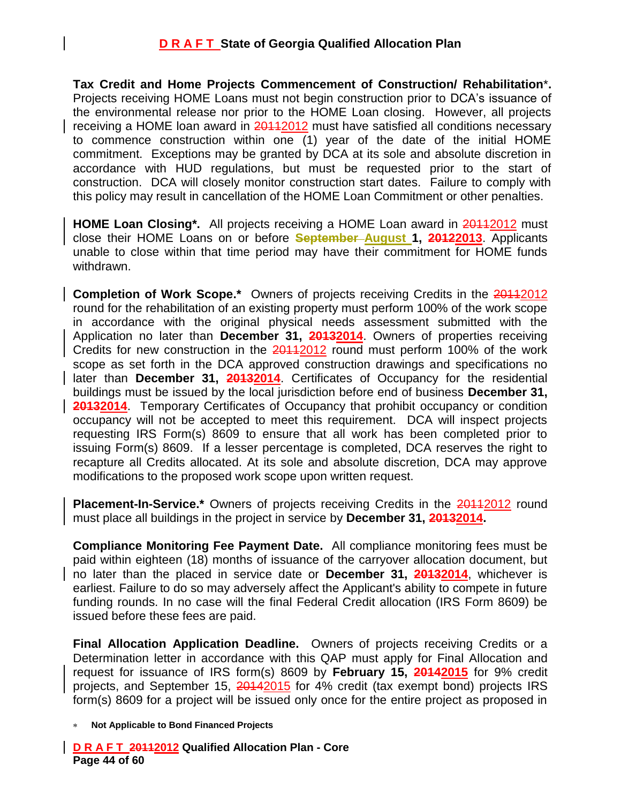**Tax Credit and Home Projects Commencement of Construction/ Rehabilitation**\***.** Projects receiving HOME Loans must not begin construction prior to DCA's issuance of the environmental release nor prior to the HOME Loan closing. However, all projects receiving a HOME loan award in 20112012 must have satisfied all conditions necessary to commence construction within one (1) year of the date of the initial HOME commitment. Exceptions may be granted by DCA at its sole and absolute discretion in accordance with HUD regulations, but must be requested prior to the start of construction. DCA will closely monitor construction start dates. Failure to comply with this policy may result in cancellation of the HOME Loan Commitment or other penalties.

**HOME Loan Closing\*.** All projects receiving a HOME Loan award in 201122012 must close their HOME Loans on or before **September August 1, 20122013**. Applicants unable to close within that time period may have their commitment for HOME funds withdrawn.

**Completion of Work Scope.\*** Owners of projects receiving Credits in the 20112012 round for the rehabilitation of an existing property must perform 100% of the work scope in accordance with the original physical needs assessment submitted with the Application no later than **December 31, 20132014**. Owners of properties receiving Credits for new construction in the 20112012 round must perform 100% of the work scope as set forth in the DCA approved construction drawings and specifications no later than **December 31, 20132014**. Certificates of Occupancy for the residential buildings must be issued by the local jurisdiction before end of business **December 31, 20132014**. Temporary Certificates of Occupancy that prohibit occupancy or condition occupancy will not be accepted to meet this requirement. DCA will inspect projects requesting IRS Form(s) 8609 to ensure that all work has been completed prior to issuing Form(s) 8609. If a lesser percentage is completed, DCA reserves the right to recapture all Credits allocated. At its sole and absolute discretion, DCA may approve modifications to the proposed work scope upon written request.

**Placement-In-Service.\*** Owners of projects receiving Credits in the 20112012 round must place all buildings in the project in service by **December 31, 20132014.**

**Compliance Monitoring Fee Payment Date.** All compliance monitoring fees must be paid within eighteen (18) months of issuance of the carryover allocation document, but no later than the placed in service date or **December 31, 20132014**, whichever is earliest. Failure to do so may adversely affect the Applicant's ability to compete in future funding rounds. In no case will the final Federal Credit allocation (IRS Form 8609) be issued before these fees are paid.

**Final Allocation Application Deadline.** Owners of projects receiving Credits or a Determination letter in accordance with this QAP must apply for Final Allocation and request for issuance of IRS form(s) 8609 by **February 15, 20142015** for 9% credit projects, and September 15, 20142015 for 4% credit (tax exempt bond) projects IRS form(s) 8609 for a project will be issued only once for the entire project as proposed in

**Not Applicable to Bond Financed Projects**

**D R A F T 20112012 Qualified Allocation Plan - Core Page 44 of 60**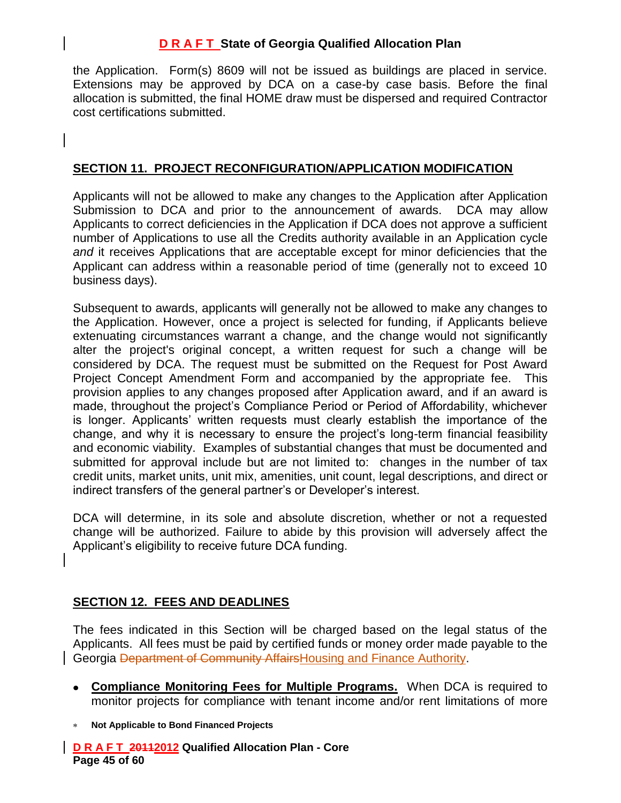the Application. Form(s) 8609 will not be issued as buildings are placed in service. Extensions may be approved by DCA on a case-by case basis. Before the final allocation is submitted, the final HOME draw must be dispersed and required Contractor cost certifications submitted.

#### **SECTION 11. PROJECT RECONFIGURATION/APPLICATION MODIFICATION**

Applicants will not be allowed to make any changes to the Application after Application Submission to DCA and prior to the announcement of awards. DCA may allow Applicants to correct deficiencies in the Application if DCA does not approve a sufficient number of Applications to use all the Credits authority available in an Application cycle *and* it receives Applications that are acceptable except for minor deficiencies that the Applicant can address within a reasonable period of time (generally not to exceed 10 business days).

Subsequent to awards, applicants will generally not be allowed to make any changes to the Application. However, once a project is selected for funding, if Applicants believe extenuating circumstances warrant a change, and the change would not significantly alter the project's original concept, a written request for such a change will be considered by DCA. The request must be submitted on the Request for Post Award Project Concept Amendment Form and accompanied by the appropriate fee. This provision applies to any changes proposed after Application award, and if an award is made, throughout the project's Compliance Period or Period of Affordability, whichever is longer. Applicants' written requests must clearly establish the importance of the change, and why it is necessary to ensure the project's long-term financial feasibility and economic viability. Examples of substantial changes that must be documented and submitted for approval include but are not limited to: changes in the number of tax credit units, market units, unit mix, amenities, unit count, legal descriptions, and direct or indirect transfers of the general partner's or Developer's interest.

DCA will determine, in its sole and absolute discretion, whether or not a requested change will be authorized. Failure to abide by this provision will adversely affect the Applicant's eligibility to receive future DCA funding.

### **SECTION 12. FEES AND DEADLINES**

The fees indicated in this Section will be charged based on the legal status of the Applicants. All fees must be paid by certified funds or money order made payable to the Georgia Department of Community AffairsHousing and Finance Authority.

- **Compliance Monitoring Fees for Multiple Programs.** When DCA is required to monitor projects for compliance with tenant income and/or rent limitations of more
- **Not Applicable to Bond Financed Projects**

**D R A F T 20112012 Qualified Allocation Plan - Core Page 45 of 60**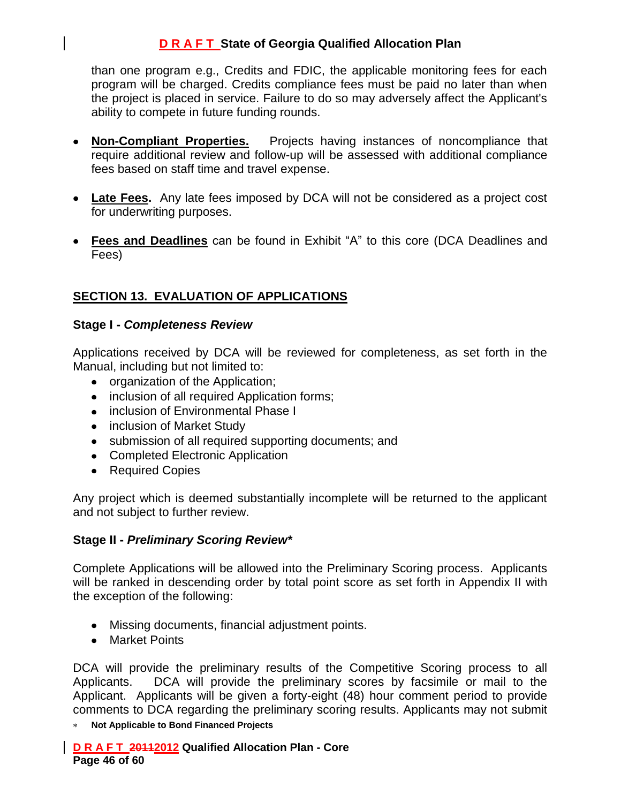than one program e.g., Credits and FDIC, the applicable monitoring fees for each program will be charged. Credits compliance fees must be paid no later than when the project is placed in service. Failure to do so may adversely affect the Applicant's ability to compete in future funding rounds.

- **Non-Compliant Properties.** Projects having instances of noncompliance that require additional review and follow-up will be assessed with additional compliance fees based on staff time and travel expense.
- **Late Fees.** Any late fees imposed by DCA will not be considered as a project cost for underwriting purposes.
- **Fees and Deadlines** can be found in Exhibit "A" to this core (DCA Deadlines and Fees)

# **SECTION 13. EVALUATION OF APPLICATIONS**

#### **Stage I -** *Completeness Review*

Applications received by DCA will be reviewed for completeness, as set forth in the Manual, including but not limited to:

- organization of the Application;
- inclusion of all required Application forms;
- inclusion of Environmental Phase I
- inclusion of Market Study
- submission of all required supporting documents; and
- Completed Electronic Application
- Required Copies

Any project which is deemed substantially incomplete will be returned to the applicant and not subject to further review.

#### **Stage II -** *Preliminary Scoring Review\**

Complete Applications will be allowed into the Preliminary Scoring process. Applicants will be ranked in descending order by total point score as set forth in Appendix II with the exception of the following:

- Missing documents, financial adjustment points.
- Market Points

DCA will provide the preliminary results of the Competitive Scoring process to all Applicants. DCA will provide the preliminary scores by facsimile or mail to the Applicant. Applicants will be given a forty-eight (48) hour comment period to provide comments to DCA regarding the preliminary scoring results. Applicants may not submit

**Not Applicable to Bond Financed Projects**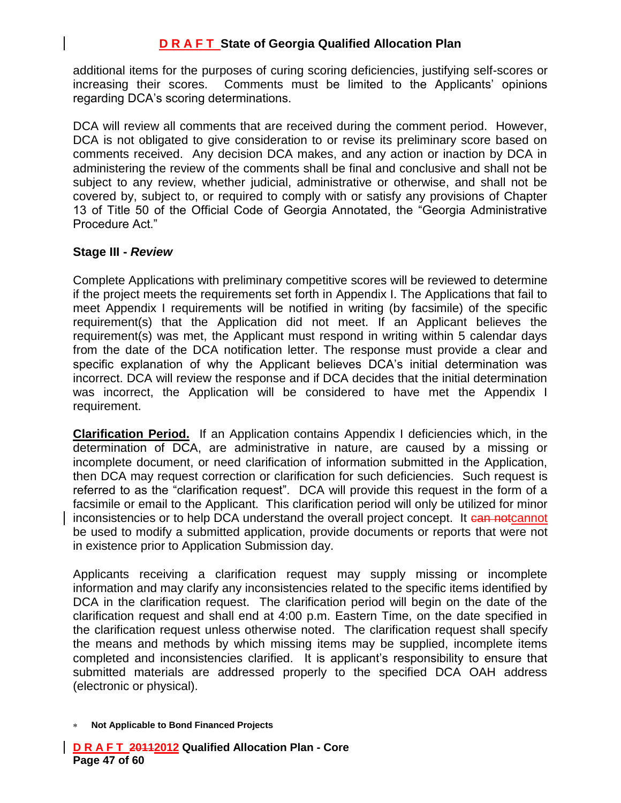additional items for the purposes of curing scoring deficiencies, justifying self-scores or increasing their scores. Comments must be limited to the Applicants' opinions regarding DCA's scoring determinations.

DCA will review all comments that are received during the comment period. However, DCA is not obligated to give consideration to or revise its preliminary score based on comments received. Any decision DCA makes, and any action or inaction by DCA in administering the review of the comments shall be final and conclusive and shall not be subject to any review, whether judicial, administrative or otherwise, and shall not be covered by, subject to, or required to comply with or satisfy any provisions of Chapter 13 of Title 50 of the Official Code of Georgia Annotated, the "Georgia Administrative Procedure Act."

#### **Stage III -** *Review*

Complete Applications with preliminary competitive scores will be reviewed to determine if the project meets the requirements set forth in Appendix I. The Applications that fail to meet Appendix I requirements will be notified in writing (by facsimile) of the specific requirement(s) that the Application did not meet. If an Applicant believes the requirement(s) was met, the Applicant must respond in writing within 5 calendar days from the date of the DCA notification letter. The response must provide a clear and specific explanation of why the Applicant believes DCA's initial determination was incorrect. DCA will review the response and if DCA decides that the initial determination was incorrect, the Application will be considered to have met the Appendix I requirement.

**Clarification Period.** If an Application contains Appendix I deficiencies which, in the determination of DCA, are administrative in nature, are caused by a missing or incomplete document, or need clarification of information submitted in the Application, then DCA may request correction or clarification for such deficiencies. Such request is referred to as the "clarification request". DCA will provide this request in the form of a facsimile or email to the Applicant. This clarification period will only be utilized for minor inconsistencies or to help DCA understand the overall project concept. It can notcannot be used to modify a submitted application, provide documents or reports that were not in existence prior to Application Submission day.

Applicants receiving a clarification request may supply missing or incomplete information and may clarify any inconsistencies related to the specific items identified by DCA in the clarification request. The clarification period will begin on the date of the clarification request and shall end at 4:00 p.m. Eastern Time, on the date specified in the clarification request unless otherwise noted. The clarification request shall specify the means and methods by which missing items may be supplied, incomplete items completed and inconsistencies clarified. It is applicant's responsibility to ensure that submitted materials are addressed properly to the specified DCA OAH address (electronic or physical).

**Not Applicable to Bond Financed Projects**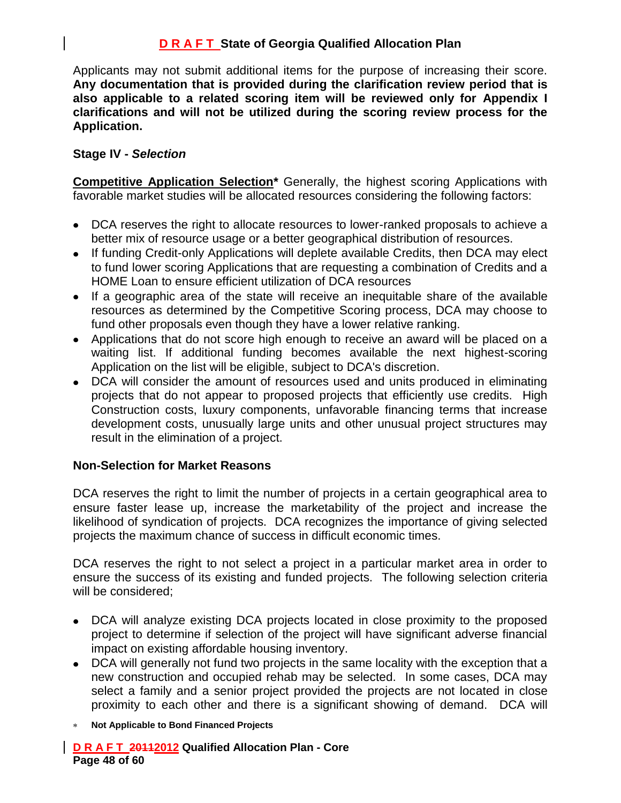Applicants may not submit additional items for the purpose of increasing their score. **Any documentation that is provided during the clarification review period that is also applicable to a related scoring item will be reviewed only for Appendix I clarifications and will not be utilized during the scoring review process for the Application.**

### **Stage IV -** *Selection*

**Competitive Application Selection\*** Generally, the highest scoring Applications with favorable market studies will be allocated resources considering the following factors:

- DCA reserves the right to allocate resources to lower-ranked proposals to achieve a better mix of resource usage or a better geographical distribution of resources.
- If funding Credit-only Applications will deplete available Credits, then DCA may elect to fund lower scoring Applications that are requesting a combination of Credits and a HOME Loan to ensure efficient utilization of DCA resources
- If a geographic area of the state will receive an inequitable share of the available resources as determined by the Competitive Scoring process, DCA may choose to fund other proposals even though they have a lower relative ranking.
- Applications that do not score high enough to receive an award will be placed on a waiting list. If additional funding becomes available the next highest-scoring Application on the list will be eligible, subject to DCA's discretion.
- DCA will consider the amount of resources used and units produced in eliminating projects that do not appear to proposed projects that efficiently use credits. High Construction costs, luxury components, unfavorable financing terms that increase development costs, unusually large units and other unusual project structures may result in the elimination of a project.

#### **Non-Selection for Market Reasons**

DCA reserves the right to limit the number of projects in a certain geographical area to ensure faster lease up, increase the marketability of the project and increase the likelihood of syndication of projects. DCA recognizes the importance of giving selected projects the maximum chance of success in difficult economic times.

DCA reserves the right to not select a project in a particular market area in order to ensure the success of its existing and funded projects. The following selection criteria will be considered;

- DCA will analyze existing DCA projects located in close proximity to the proposed project to determine if selection of the project will have significant adverse financial impact on existing affordable housing inventory.
- DCA will generally not fund two projects in the same locality with the exception that a new construction and occupied rehab may be selected. In some cases, DCA may select a family and a senior project provided the projects are not located in close proximity to each other and there is a significant showing of demand. DCA will
- **Not Applicable to Bond Financed Projects**

**D R A F T 20112012 Qualified Allocation Plan - Core Page 48 of 60**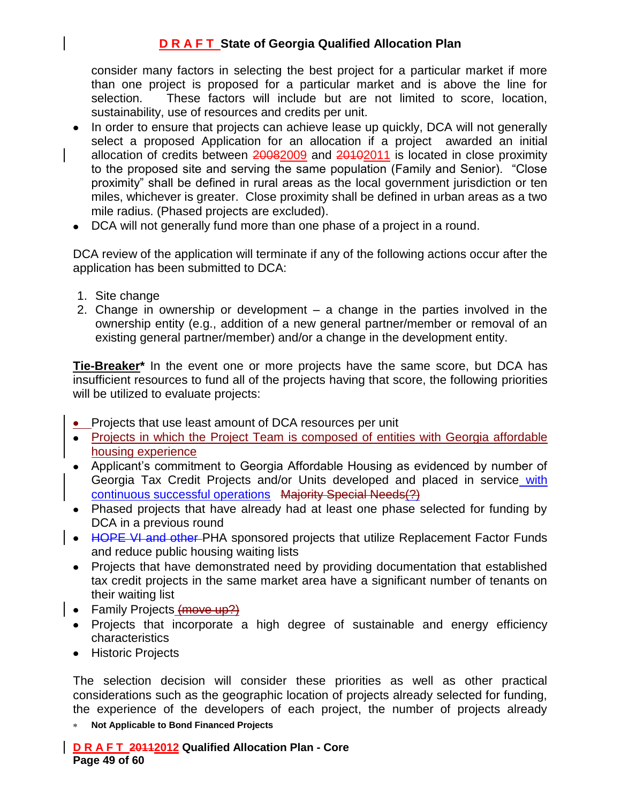consider many factors in selecting the best project for a particular market if more than one project is proposed for a particular market and is above the line for selection. These factors will include but are not limited to score, location, sustainability, use of resources and credits per unit.

- In order to ensure that projects can achieve lease up quickly, DCA will not generally select a proposed Application for an allocation if a project awarded an initial allocation of credits between 20082009 and 20102011 is located in close proximity to the proposed site and serving the same population (Family and Senior). "Close proximity" shall be defined in rural areas as the local government jurisdiction or ten miles, whichever is greater. Close proximity shall be defined in urban areas as a two mile radius. (Phased projects are excluded).
- DCA will not generally fund more than one phase of a project in a round.

DCA review of the application will terminate if any of the following actions occur after the application has been submitted to DCA:

- 1. Site change
- 2. Change in ownership or development a change in the parties involved in the ownership entity (e.g., addition of a new general partner/member or removal of an existing general partner/member) and/or a change in the development entity.

**Tie-Breaker\*** In the event one or more projects have the same score, but DCA has insufficient resources to fund all of the projects having that score, the following priorities will be utilized to evaluate projects:

- Projects that use least amount of DCA resources per unit
- Projects in which the Project Team is composed of entities with Georgia affordable housing experience
- Applicant's commitment to Georgia Affordable Housing as evidenced by number of Georgia Tax Credit Projects and/or Units developed and placed in service with continuous successful operations Majority Special Needs(?)
- Phased projects that have already had at least one phase selected for funding by DCA in a previous round
- HOPE VI and other PHA sponsored projects that utilize Replacement Factor Funds and reduce public housing waiting lists
- Projects that have demonstrated need by providing documentation that established tax credit projects in the same market area have a significant number of tenants on their waiting list
- Family Projects (move up?)
- Projects that incorporate a high degree of sustainable and energy efficiency characteristics
- Historic Projects

The selection decision will consider these priorities as well as other practical considerations such as the geographic location of projects already selected for funding, the experience of the developers of each project, the number of projects already

**Not Applicable to Bond Financed Projects**

**D R A F T 20112012 Qualified Allocation Plan - Core Page 49 of 60**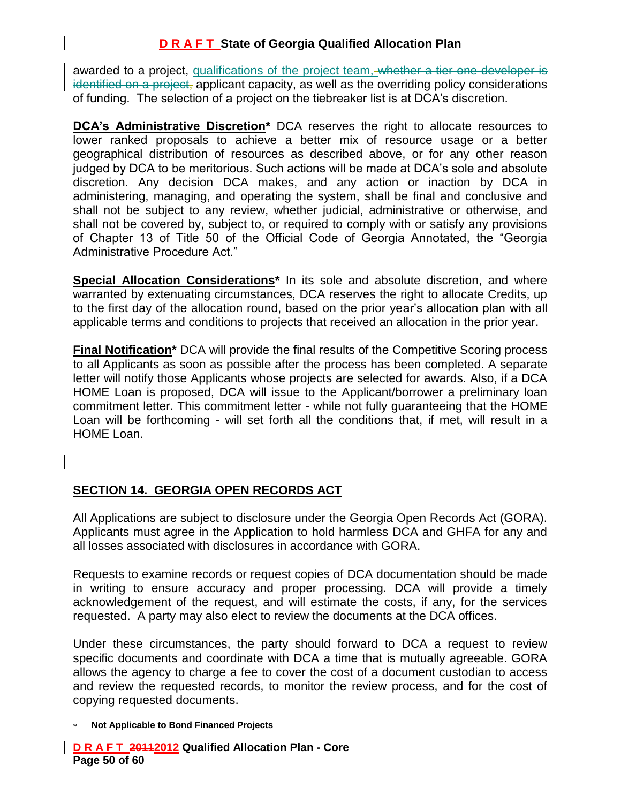awarded to a project, qualifications of the project team, whether a tier one developer is identified on a project, applicant capacity, as well as the overriding policy considerations of funding. The selection of a project on the tiebreaker list is at DCA's discretion.

**DCA's Administrative Discretion\*** DCA reserves the right to allocate resources to lower ranked proposals to achieve a better mix of resource usage or a better geographical distribution of resources as described above, or for any other reason judged by DCA to be meritorious. Such actions will be made at DCA's sole and absolute discretion. Any decision DCA makes, and any action or inaction by DCA in administering, managing, and operating the system, shall be final and conclusive and shall not be subject to any review, whether judicial, administrative or otherwise, and shall not be covered by, subject to, or required to comply with or satisfy any provisions of Chapter 13 of Title 50 of the Official Code of Georgia Annotated, the "Georgia Administrative Procedure Act."

**Special Allocation Considerations\*** In its sole and absolute discretion, and where warranted by extenuating circumstances, DCA reserves the right to allocate Credits, up to the first day of the allocation round, based on the prior year's allocation plan with all applicable terms and conditions to projects that received an allocation in the prior year.

**Final Notification**\* DCA will provide the final results of the Competitive Scoring process to all Applicants as soon as possible after the process has been completed. A separate letter will notify those Applicants whose projects are selected for awards. Also, if a DCA HOME Loan is proposed, DCA will issue to the Applicant/borrower a preliminary loan commitment letter. This commitment letter - while not fully guaranteeing that the HOME Loan will be forthcoming - will set forth all the conditions that, if met, will result in a HOME Loan.

### **SECTION 14. GEORGIA OPEN RECORDS ACT**

All Applications are subject to disclosure under the Georgia Open Records Act (GORA). Applicants must agree in the Application to hold harmless DCA and GHFA for any and all losses associated with disclosures in accordance with GORA.

Requests to examine records or request copies of DCA documentation should be made in writing to ensure accuracy and proper processing. DCA will provide a timely acknowledgement of the request, and will estimate the costs, if any, for the services requested. A party may also elect to review the documents at the DCA offices.

Under these circumstances, the party should forward to DCA a request to review specific documents and coordinate with DCA a time that is mutually agreeable. GORA allows the agency to charge a fee to cover the cost of a document custodian to access and review the requested records, to monitor the review process, and for the cost of copying requested documents.

**Not Applicable to Bond Financed Projects**

**D R A F T 20112012 Qualified Allocation Plan - Core Page 50 of 60**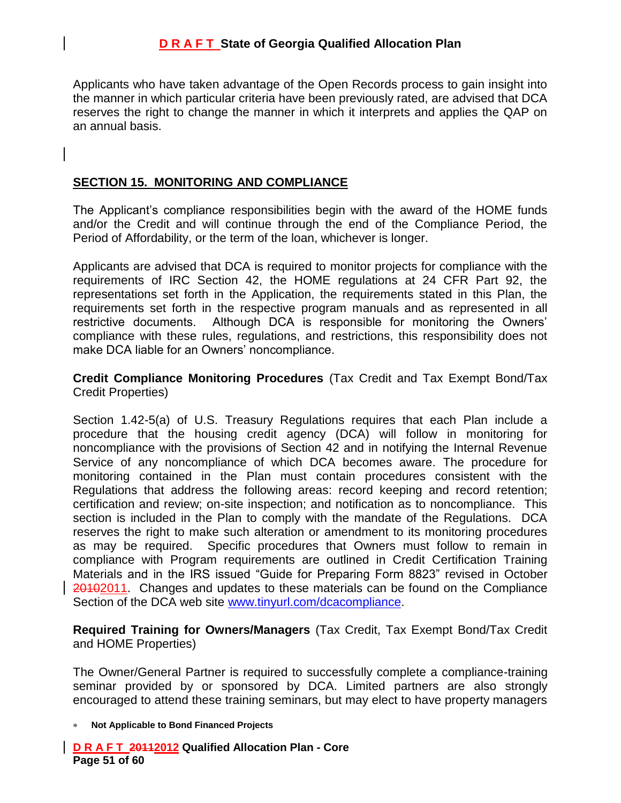Applicants who have taken advantage of the Open Records process to gain insight into the manner in which particular criteria have been previously rated, are advised that DCA reserves the right to change the manner in which it interprets and applies the QAP on an annual basis.

#### **SECTION 15. MONITORING AND COMPLIANCE**

The Applicant's compliance responsibilities begin with the award of the HOME funds and/or the Credit and will continue through the end of the Compliance Period, the Period of Affordability, or the term of the loan, whichever is longer.

Applicants are advised that DCA is required to monitor projects for compliance with the requirements of IRC Section 42, the HOME regulations at 24 CFR Part 92, the representations set forth in the Application, the requirements stated in this Plan, the requirements set forth in the respective program manuals and as represented in all restrictive documents. Although DCA is responsible for monitoring the Owners' compliance with these rules, regulations, and restrictions, this responsibility does not make DCA liable for an Owners' noncompliance.

**Credit Compliance Monitoring Procedures** (Tax Credit and Tax Exempt Bond/Tax Credit Properties)

Section 1.42-5(a) of U.S. Treasury Regulations requires that each Plan include a procedure that the housing credit agency (DCA) will follow in monitoring for noncompliance with the provisions of Section 42 and in notifying the Internal Revenue Service of any noncompliance of which DCA becomes aware. The procedure for monitoring contained in the Plan must contain procedures consistent with the Regulations that address the following areas: record keeping and record retention; certification and review; on-site inspection; and notification as to noncompliance. This section is included in the Plan to comply with the mandate of the Regulations. DCA reserves the right to make such alteration or amendment to its monitoring procedures as may be required. Specific procedures that Owners must follow to remain in compliance with Program requirements are outlined in Credit Certification Training Materials and in the IRS issued "Guide for Preparing Form 8823" revised in October 20102011. Changes and updates to these materials can be found on the Compliance Section of the DCA web site [www.tinyurl.com/dcacompliance.](http://www.tinyurlcom/dcacompliance)

**Required Training for Owners/Managers** (Tax Credit, Tax Exempt Bond/Tax Credit and HOME Properties)

The Owner/General Partner is required to successfully complete a compliance-training seminar provided by or sponsored by DCA. Limited partners are also strongly encouraged to attend these training seminars, but may elect to have property managers

**Not Applicable to Bond Financed Projects**

**D R A F T 20112012 Qualified Allocation Plan - Core Page 51 of 60**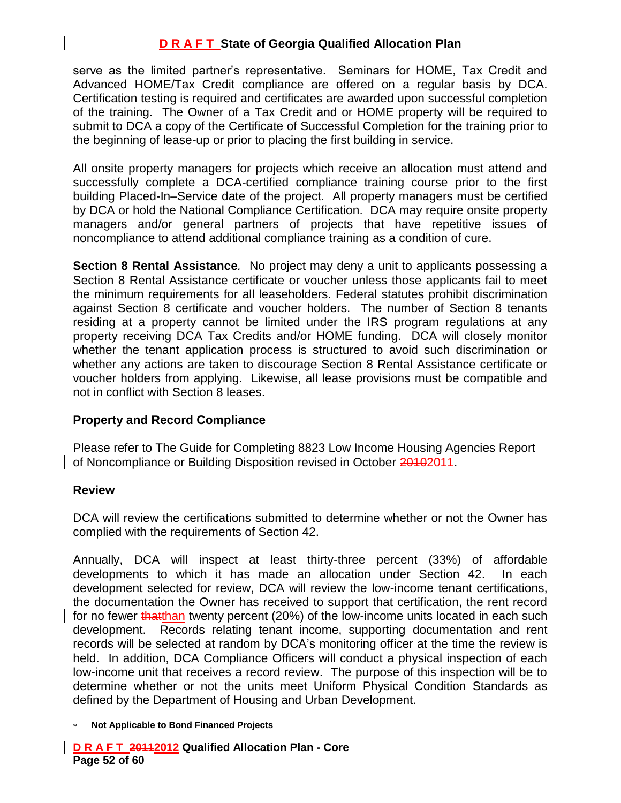serve as the limited partner's representative. Seminars for HOME, Tax Credit and Advanced HOME/Tax Credit compliance are offered on a regular basis by DCA. Certification testing is required and certificates are awarded upon successful completion of the training. The Owner of a Tax Credit and or HOME property will be required to submit to DCA a copy of the Certificate of Successful Completion for the training prior to the beginning of lease-up or prior to placing the first building in service.

All onsite property managers for projects which receive an allocation must attend and successfully complete a DCA-certified compliance training course prior to the first building Placed-In–Service date of the project. All property managers must be certified by DCA or hold the National Compliance Certification. DCA may require onsite property managers and/or general partners of projects that have repetitive issues of noncompliance to attend additional compliance training as a condition of cure.

**Section 8 Rental Assistance***.* No project may deny a unit to applicants possessing a Section 8 Rental Assistance certificate or voucher unless those applicants fail to meet the minimum requirements for all leaseholders. Federal statutes prohibit discrimination against Section 8 certificate and voucher holders. The number of Section 8 tenants residing at a property cannot be limited under the IRS program regulations at any property receiving DCA Tax Credits and/or HOME funding. DCA will closely monitor whether the tenant application process is structured to avoid such discrimination or whether any actions are taken to discourage Section 8 Rental Assistance certificate or voucher holders from applying. Likewise, all lease provisions must be compatible and not in conflict with Section 8 leases.

### **Property and Record Compliance**

Please refer to The Guide for Completing 8823 Low Income Housing Agencies Report of Noncompliance or Building Disposition revised in October 20102011.

#### **Review**

DCA will review the certifications submitted to determine whether or not the Owner has complied with the requirements of Section 42.

Annually, DCA will inspect at least thirty-three percent (33%) of affordable developments to which it has made an allocation under Section 42. In each development selected for review, DCA will review the low-income tenant certifications, the documentation the Owner has received to support that certification, the rent record for no fewer that than twenty percent (20%) of the low-income units located in each such development. Records relating tenant income, supporting documentation and rent records will be selected at random by DCA's monitoring officer at the time the review is held. In addition, DCA Compliance Officers will conduct a physical inspection of each low-income unit that receives a record review. The purpose of this inspection will be to determine whether or not the units meet Uniform Physical Condition Standards as defined by the Department of Housing and Urban Development.

**D R A F T 20112012 Qualified Allocation Plan - Core Page 52 of 60**

**Not Applicable to Bond Financed Projects**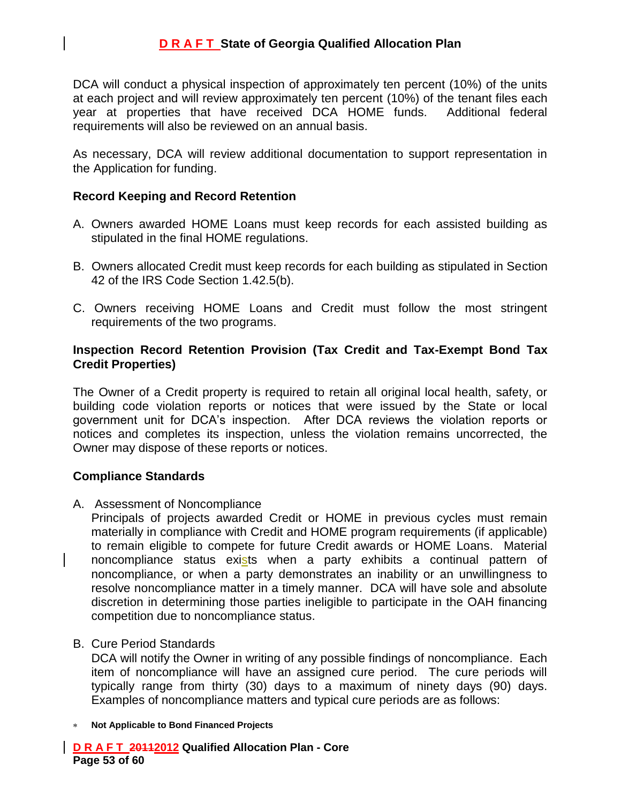DCA will conduct a physical inspection of approximately ten percent (10%) of the units at each project and will review approximately ten percent (10%) of the tenant files each year at properties that have received DCA HOME funds. Additional federal requirements will also be reviewed on an annual basis.

As necessary, DCA will review additional documentation to support representation in the Application for funding.

#### **Record Keeping and Record Retention**

- A. Owners awarded HOME Loans must keep records for each assisted building as stipulated in the final HOME regulations.
- B. Owners allocated Credit must keep records for each building as stipulated in Section 42 of the IRS Code Section 1.42.5(b).
- C. Owners receiving HOME Loans and Credit must follow the most stringent requirements of the two programs.

#### **Inspection Record Retention Provision (Tax Credit and Tax-Exempt Bond Tax Credit Properties)**

The Owner of a Credit property is required to retain all original local health, safety, or building code violation reports or notices that were issued by the State or local government unit for DCA's inspection. After DCA reviews the violation reports or notices and completes its inspection, unless the violation remains uncorrected, the Owner may dispose of these reports or notices.

#### **Compliance Standards**

A. Assessment of Noncompliance

Principals of projects awarded Credit or HOME in previous cycles must remain materially in compliance with Credit and HOME program requirements (if applicable) to remain eligible to compete for future Credit awards or HOME Loans. Material noncompliance status exists when a party exhibits a continual pattern of noncompliance, or when a party demonstrates an inability or an unwillingness to resolve noncompliance matter in a timely manner. DCA will have sole and absolute discretion in determining those parties ineligible to participate in the OAH financing competition due to noncompliance status.

#### B. Cure Period Standards

DCA will notify the Owner in writing of any possible findings of noncompliance. Each item of noncompliance will have an assigned cure period. The cure periods will typically range from thirty (30) days to a maximum of ninety days (90) days. Examples of noncompliance matters and typical cure periods are as follows:

**Not Applicable to Bond Financed Projects**

**D R A F T 20112012 Qualified Allocation Plan - Core Page 53 of 60**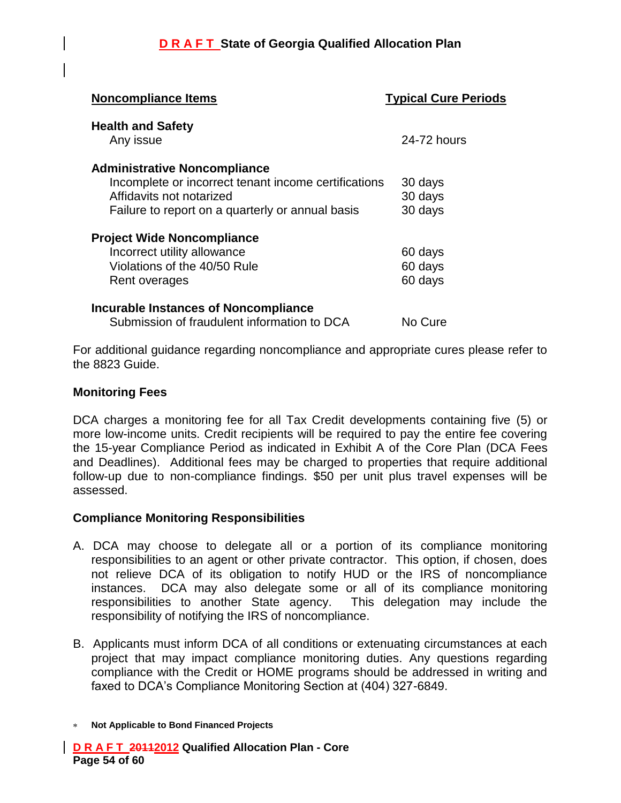| <b>Noncompliance Items</b>                           | <b>Typical Cure Periods</b> |
|------------------------------------------------------|-----------------------------|
| <b>Health and Safety</b>                             |                             |
| Any issue                                            | 24-72 hours                 |
| <b>Administrative Noncompliance</b>                  |                             |
| Incomplete or incorrect tenant income certifications | 30 days                     |
| Affidavits not notarized                             | 30 days                     |
| Failure to report on a quarterly or annual basis     | 30 days                     |
| <b>Project Wide Noncompliance</b>                    |                             |
| Incorrect utility allowance                          | 60 days                     |
| Violations of the 40/50 Rule                         | 60 days                     |
| Rent overages                                        | 60 days                     |
| <b>Incurable Instances of Noncompliance</b>          |                             |
| Submission of fraudulent information to DCA          | No Cure                     |
|                                                      |                             |

For additional guidance regarding noncompliance and appropriate cures please refer to the 8823 Guide.

#### **Monitoring Fees**

DCA charges a monitoring fee for all Tax Credit developments containing five (5) or more low-income units. Credit recipients will be required to pay the entire fee covering the 15-year Compliance Period as indicated in Exhibit A of the Core Plan (DCA Fees and Deadlines). Additional fees may be charged to properties that require additional follow-up due to non-compliance findings. \$50 per unit plus travel expenses will be assessed.

#### **Compliance Monitoring Responsibilities**

- A. DCA may choose to delegate all or a portion of its compliance monitoring responsibilities to an agent or other private contractor. This option, if chosen, does not relieve DCA of its obligation to notify HUD or the IRS of noncompliance instances. DCA may also delegate some or all of its compliance monitoring responsibilities to another State agency. This delegation may include the responsibility of notifying the IRS of noncompliance.
- B. Applicants must inform DCA of all conditions or extenuating circumstances at each project that may impact compliance monitoring duties. Any questions regarding compliance with the Credit or HOME programs should be addressed in writing and faxed to DCA's Compliance Monitoring Section at (404) 327-6849.
- **Not Applicable to Bond Financed Projects**

**D R A F T 20112012 Qualified Allocation Plan - Core Page 54 of 60**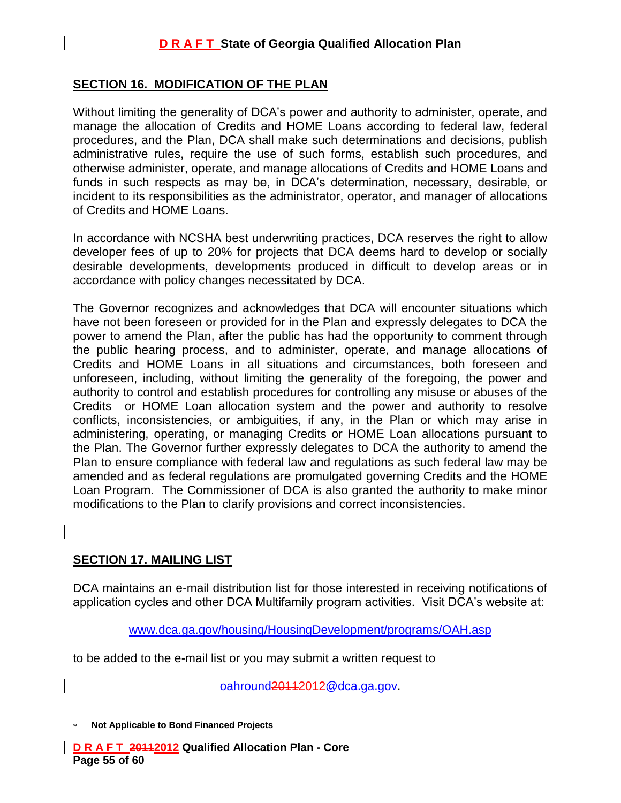#### **SECTION 16. MODIFICATION OF THE PLAN**

Without limiting the generality of DCA's power and authority to administer, operate, and manage the allocation of Credits and HOME Loans according to federal law, federal procedures, and the Plan, DCA shall make such determinations and decisions, publish administrative rules, require the use of such forms, establish such procedures, and otherwise administer, operate, and manage allocations of Credits and HOME Loans and funds in such respects as may be, in DCA's determination, necessary, desirable, or incident to its responsibilities as the administrator, operator, and manager of allocations of Credits and HOME Loans.

In accordance with NCSHA best underwriting practices, DCA reserves the right to allow developer fees of up to 20% for projects that DCA deems hard to develop or socially desirable developments, developments produced in difficult to develop areas or in accordance with policy changes necessitated by DCA.

The Governor recognizes and acknowledges that DCA will encounter situations which have not been foreseen or provided for in the Plan and expressly delegates to DCA the power to amend the Plan, after the public has had the opportunity to comment through the public hearing process, and to administer, operate, and manage allocations of Credits and HOME Loans in all situations and circumstances, both foreseen and unforeseen, including, without limiting the generality of the foregoing, the power and authority to control and establish procedures for controlling any misuse or abuses of the Credits or HOME Loan allocation system and the power and authority to resolve conflicts, inconsistencies, or ambiguities, if any, in the Plan or which may arise in administering, operating, or managing Credits or HOME Loan allocations pursuant to the Plan. The Governor further expressly delegates to DCA the authority to amend the Plan to ensure compliance with federal law and regulations as such federal law may be amended and as federal regulations are promulgated governing Credits and the HOME Loan Program. The Commissioner of DCA is also granted the authority to make minor modifications to the Plan to clarify provisions and correct inconsistencies.

#### **SECTION 17. MAILING LIST**

DCA maintains an e-mail distribution list for those interested in receiving notifications of application cycles and other DCA Multifamily program activities. Visit DCA's website at:

[www.dca.ga.gov/housing/HousingDevelopment/programs/OAH.asp](http://www.dca.ga.gov/housing/HousingDevelopment/programs/OAH.asp)

to be added to the e-mail list or you may submit a written request to

[oahround20112012@dca.ga.gov.](mailto:oahround2010@dca.ga.gov)

**Not Applicable to Bond Financed Projects**

**D R A F T 20112012 Qualified Allocation Plan - Core Page 55 of 60**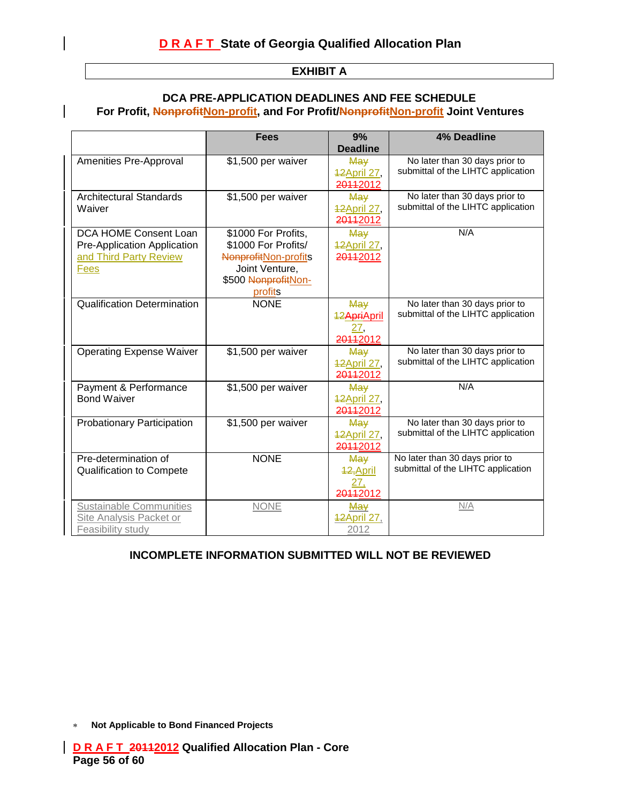| <b>EXHIBIT A</b> |  |
|------------------|--|
|                  |  |

#### **DCA PRE-APPLICATION DEADLINES AND FEE SCHEDULE** For Profit, NonprofitNon-profit, and For Profit/NonprofitNon-profit Joint Ventures

|                                                                  | <b>Fees</b>                                             | 9%<br><b>Deadline</b>          | 4% Deadline                                                          |
|------------------------------------------------------------------|---------------------------------------------------------|--------------------------------|----------------------------------------------------------------------|
| Amenities Pre-Approval                                           | \$1,500 per waiver                                      | May                            | No later than 30 days prior to<br>submittal of the LIHTC application |
|                                                                  |                                                         | 42April 27,<br>20112012        |                                                                      |
| <b>Architectural Standards</b><br>Waiver                         | \$1,500 per waiver                                      | May                            | No later than 30 days prior to<br>submittal of the LIHTC application |
|                                                                  |                                                         | <b>42April 27,</b><br>20112012 |                                                                      |
| DCA HOME Consent Loan                                            | \$1000 For Profits,                                     | May                            | N/A                                                                  |
| Pre-Application Application<br>and Third Party Review            | \$1000 For Profits/<br>Nonprofit <sub>Non-profits</sub> | <b>42April 27,</b><br>20112012 |                                                                      |
| <b>Fees</b>                                                      | Joint Venture,                                          |                                |                                                                      |
|                                                                  | \$500 NonprofitNon-<br>profits                          |                                |                                                                      |
| <b>Qualification Determination</b>                               | <b>NONE</b>                                             | May                            | No later than 30 days prior to<br>submittal of the LIHTC application |
|                                                                  |                                                         | 12ApriApril<br>27,             |                                                                      |
|                                                                  |                                                         | 20112012                       |                                                                      |
| <b>Operating Expense Waiver</b>                                  | \$1,500 per waiver                                      | May<br><b>42April 27,</b>      | No later than 30 days prior to<br>submittal of the LIHTC application |
|                                                                  |                                                         | 20112012                       |                                                                      |
| Payment & Performance<br><b>Bond Waiver</b>                      | \$1,500 per waiver                                      | May<br><b>42April 27,</b>      | N/A                                                                  |
|                                                                  |                                                         | 20112012                       |                                                                      |
| <b>Probationary Participation</b>                                | \$1,500 per waiver                                      | May<br><b>42April 27,</b>      | No later than 30 days prior to<br>submittal of the LIHTC application |
|                                                                  |                                                         | 20112012                       |                                                                      |
| Pre-determination of                                             | <b>NONE</b>                                             | May                            | No later than 30 days prior to<br>submittal of the LIHTC application |
| <b>Qualification to Compete</b>                                  |                                                         | 12, April<br>27,               |                                                                      |
|                                                                  |                                                         | 20112012                       |                                                                      |
| <b>Sustainable Communities</b><br><b>Site Analysis Packet or</b> | <b>NONE</b>                                             | May<br><b>12April 27,</b>      | N/A                                                                  |
| Feasibility study                                                |                                                         | 2012                           |                                                                      |

# **INCOMPLETE INFORMATION SUBMITTED WILL NOT BE REVIEWED**

**Not Applicable to Bond Financed Projects**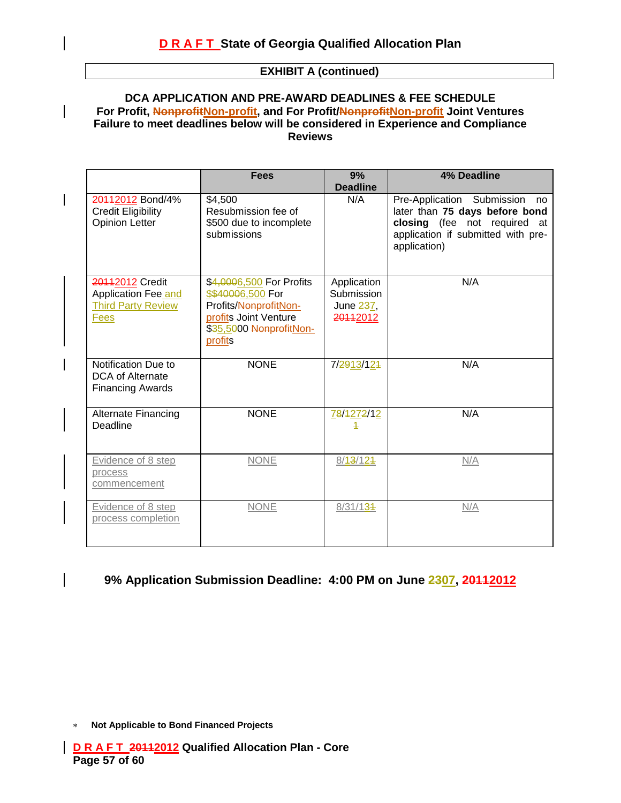#### **EXHIBIT A (continued)**

#### **DCA APPLICATION AND PRE-AWARD DEADLINES & FEE SCHEDULE For Profit, NonprofitNon-profit, and For Profit/NonprofitNon-profit Joint Ventures Failure to meet deadlines below will be considered in Experience and Compliance Reviews**

|                                                                             | <b>Fees</b>                                                                                                                           | 9%<br><b>Deadline</b>                              | <b>4% Deadline</b>                                                                                                                                       |
|-----------------------------------------------------------------------------|---------------------------------------------------------------------------------------------------------------------------------------|----------------------------------------------------|----------------------------------------------------------------------------------------------------------------------------------------------------------|
| 20112012 Bond/4%<br><b>Credit Eligibility</b><br><b>Opinion Letter</b>      | \$4,500<br>Resubmission fee of<br>\$500 due to incomplete<br>submissions                                                              | N/A                                                | Pre-Application Submission<br>no<br>later than 75 days before bond<br>closing (fee not required at<br>application if submitted with pre-<br>application) |
| 20112012 Credit<br>Application Fee and<br><b>Third Party Review</b><br>Fees | \$4,0006,500 For Profits<br>\$\$40006,500 For<br>Profits/NonprofitNon-<br>profits Joint Venture<br>\$35,5000 NonprofitNon-<br>profits | Application<br>Submission<br>June 237,<br>20112012 | N/A                                                                                                                                                      |
| Notification Due to<br><b>DCA of Alternate</b><br><b>Financing Awards</b>   | <b>NONE</b>                                                                                                                           | 7/2913/124                                         | N/A                                                                                                                                                      |
| <b>Alternate Financing</b><br>Deadline                                      | <b>NONE</b>                                                                                                                           | 78/4272/12<br>4                                    | N/A                                                                                                                                                      |
| Evidence of 8 step<br>process<br>commencement                               | <b>NONE</b>                                                                                                                           | 8/13/124                                           | N/A                                                                                                                                                      |
| Evidence of 8 step<br>process completion                                    | <b>NONE</b>                                                                                                                           | 8/31/134                                           | N/A                                                                                                                                                      |

### 9% Application Submission Deadline: 4:00 PM on June 2307, 20112012

**Not Applicable to Bond Financed Projects**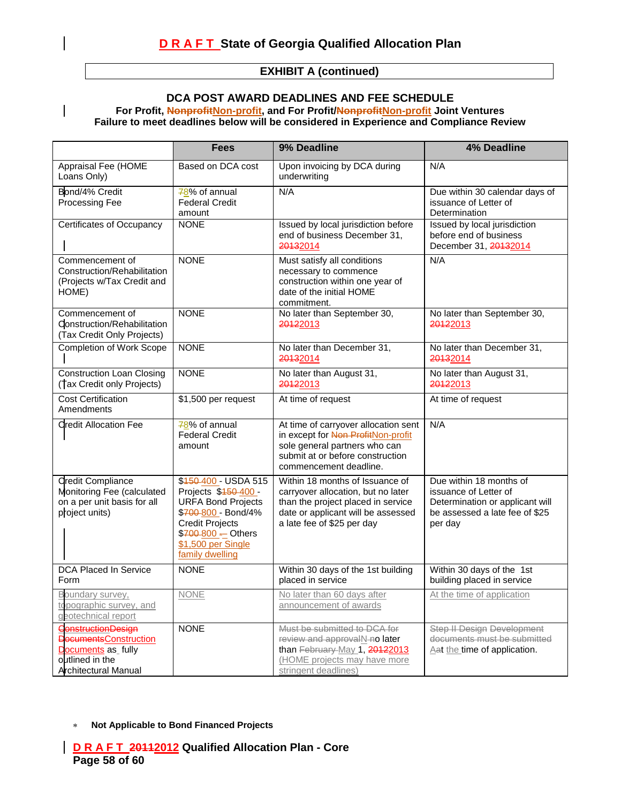#### **EXHIBIT A (continued)**

## **DCA POST AWARD DEADLINES AND FEE SCHEDULE**

For Profit, NonprofitNon-profit, and For Profit/NonprofitNon-profit Joint Ventures **Failure to meet deadlines below will be considered in Experience and Compliance Review**

|                                                                                                                             | <b>Fees</b>                                                                                                                                                                               | 9% Deadline                                                                                                                                                                     | 4% Deadline                                                                                                                      |
|-----------------------------------------------------------------------------------------------------------------------------|-------------------------------------------------------------------------------------------------------------------------------------------------------------------------------------------|---------------------------------------------------------------------------------------------------------------------------------------------------------------------------------|----------------------------------------------------------------------------------------------------------------------------------|
| Appraisal Fee (HOME<br>Loans Only)                                                                                          | Based on DCA cost                                                                                                                                                                         | Upon invoicing by DCA during<br>underwriting                                                                                                                                    | N/A                                                                                                                              |
| Bond/4% Credit<br>Processing Fee                                                                                            | 78% of annual<br><b>Federal Credit</b><br>amount                                                                                                                                          | N/A                                                                                                                                                                             | Due within 30 calendar days of<br>issuance of Letter of<br>Determination                                                         |
| Certificates of Occupancy                                                                                                   | <b>NONE</b>                                                                                                                                                                               | Issued by local jurisdiction before<br>end of business December 31,<br>20132014                                                                                                 | Issued by local jurisdiction<br>before end of business<br>December 31, 20132014                                                  |
| Commencement of<br>Construction/Rehabilitation<br>(Projects w/Tax Credit and<br>HOME)                                       | <b>NONE</b>                                                                                                                                                                               | Must satisfy all conditions<br>necessary to commence<br>construction within one year of<br>date of the initial HOME<br>commitment.                                              | N/A                                                                                                                              |
| Commencement of<br>Construction/Rehabilitation<br>(Tax Credit Only Projects)                                                | <b>NONE</b>                                                                                                                                                                               | No later than September 30,<br>20122013                                                                                                                                         | No later than September 30,<br>20122013                                                                                          |
| <b>Completion of Work Scope</b>                                                                                             | <b>NONE</b>                                                                                                                                                                               | No later than December 31,<br>20132014                                                                                                                                          | No later than December 31,<br>20132014                                                                                           |
| <b>Construction Loan Closing</b><br>(Tax Credit only Projects)                                                              | <b>NONE</b>                                                                                                                                                                               | No later than August 31,<br>20122013                                                                                                                                            | No later than August 31,<br>20122013                                                                                             |
| <b>Cost Certification</b><br>Amendments                                                                                     | \$1,500 per request                                                                                                                                                                       | At time of request                                                                                                                                                              | At time of request                                                                                                               |
| <b>Credit Allocation Fee</b>                                                                                                | 78% of annual<br><b>Federal Credit</b><br>amount                                                                                                                                          | At time of carryover allocation sent<br>in except for Non ProfitNon-profit<br>sole general partners who can<br>submit at or before construction<br>commencement deadline.       | N/A                                                                                                                              |
| <b>Credit Compliance</b><br>Monitoring Fee (calculated<br>on a per unit basis for all<br>project units)                     | \$450-400 - USDA 515<br>Projects \$450-400 -<br><b>URFA Bond Projects</b><br>\$700-800 - Bond/4%<br><b>Credit Projects</b><br>\$700-800 - Others<br>\$1,500 per Single<br>family dwelling | Within 18 months of Issuance of<br>carryover allocation, but no later<br>than the project placed in service<br>date or applicant will be assessed<br>a late fee of \$25 per day | Due within 18 months of<br>issuance of Letter of<br>Determination or applicant will<br>be assessed a late fee of \$25<br>per day |
| <b>DCA Placed In Service</b><br>Form                                                                                        | <b>NONE</b>                                                                                                                                                                               | Within 30 days of the 1st building<br>placed in service                                                                                                                         | Within 30 days of the 1st<br>building placed in service                                                                          |
| Boundary survey,<br>topographic survey, and<br>geotechnical report                                                          | <b>NONE</b>                                                                                                                                                                               | No later than 60 days after<br>announcement of awards                                                                                                                           | At the time of application                                                                                                       |
| <b>Construction Design</b><br><b>DecumentsConstruction</b><br>Documents as_fully<br>outlined in the<br>Architectural Manual | <b>NONE</b>                                                                                                                                                                               | Must be submitted to DCA for<br>review and approvalN-no later<br>than February-May 1, 20122013<br>(HOME projects may have more<br>stringent deadlines)                          | <b>Step II Design Development</b><br>documents must be submitted<br>Aat the time of application.                                 |

**Not Applicable to Bond Financed Projects**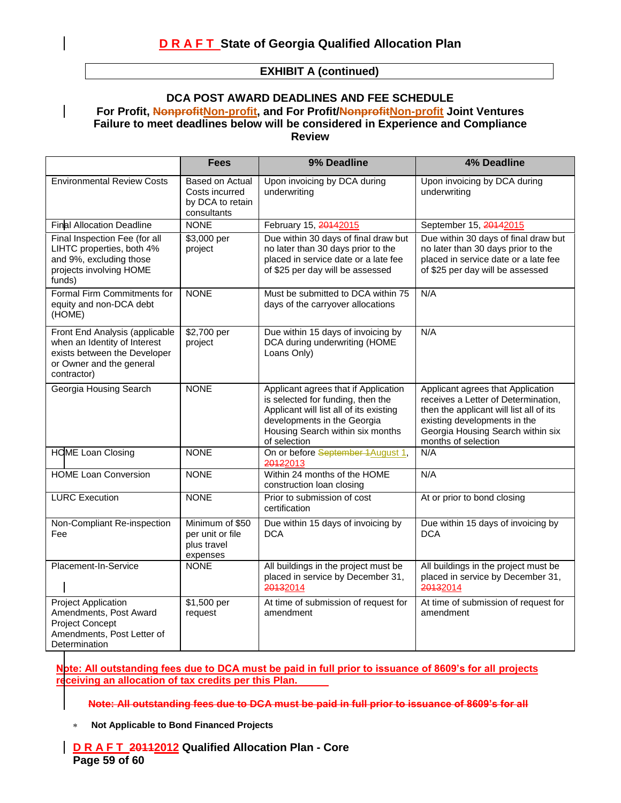#### **EXHIBIT A (continued)**

#### **DCA POST AWARD DEADLINES AND FEE SCHEDULE** For Profit, NonprofitNon-profit, and For Profit/NonprofitNon-profit Joint Ventures **Failure to meet deadlines below will be considered in Experience and Compliance Review**

|                                                                                                                                           | <b>Fees</b>                                                          | 9% Deadline                                                                                                                                                                                             | 4% Deadline                                                                                                                                                                                                     |
|-------------------------------------------------------------------------------------------------------------------------------------------|----------------------------------------------------------------------|---------------------------------------------------------------------------------------------------------------------------------------------------------------------------------------------------------|-----------------------------------------------------------------------------------------------------------------------------------------------------------------------------------------------------------------|
| <b>Environmental Review Costs</b>                                                                                                         | Based on Actual<br>Costs incurred<br>by DCA to retain<br>consultants | Upon invoicing by DCA during<br>underwriting                                                                                                                                                            | Upon invoicing by DCA during<br>underwriting                                                                                                                                                                    |
| <b>Final Allocation Deadline</b>                                                                                                          | <b>NONE</b>                                                          | February 15, 20142015                                                                                                                                                                                   | September 15, 20142015                                                                                                                                                                                          |
| Final Inspection Fee (for all<br>LIHTC properties, both 4%<br>and 9%, excluding those<br>projects involving HOME<br>funds)                | \$3,000 per<br>project                                               | Due within 30 days of final draw but<br>no later than 30 days prior to the<br>placed in service date or a late fee<br>of \$25 per day will be assessed                                                  | Due within 30 days of final draw but<br>no later than 30 days prior to the<br>placed in service date or a late fee<br>of \$25 per day will be assessed                                                          |
| Formal Firm Commitments for<br>equity and non-DCA debt<br>(HOME)                                                                          | <b>NONE</b>                                                          | Must be submitted to DCA within 75<br>days of the carryover allocations                                                                                                                                 | N/A                                                                                                                                                                                                             |
| Front End Analysis (applicable<br>when an Identity of Interest<br>exists between the Developer<br>or Owner and the general<br>contractor) | \$2,700 per<br>project                                               | Due within 15 days of invoicing by<br>DCA during underwriting (HOME<br>Loans Only)                                                                                                                      | N/A                                                                                                                                                                                                             |
| Georgia Housing Search                                                                                                                    | <b>NONE</b>                                                          | Applicant agrees that if Application<br>is selected for funding, then the<br>Applicant will list all of its existing<br>developments in the Georgia<br>Housing Search within six months<br>of selection | Applicant agrees that Application<br>receives a Letter of Determination,<br>then the applicant will list all of its<br>existing developments in the<br>Georgia Housing Search within six<br>months of selection |
| <b>HOME Loan Closing</b>                                                                                                                  | <b>NONE</b>                                                          | On or before September 1August 1,<br>20122013                                                                                                                                                           | N/A                                                                                                                                                                                                             |
| <b>HOME Loan Conversion</b>                                                                                                               | <b>NONE</b>                                                          | Within 24 months of the HOME<br>construction loan closing                                                                                                                                               | N/A                                                                                                                                                                                                             |
| <b>LURC Execution</b>                                                                                                                     | <b>NONE</b>                                                          | Prior to submission of cost<br>certification                                                                                                                                                            | At or prior to bond closing                                                                                                                                                                                     |
| Non-Compliant Re-inspection<br>Fee                                                                                                        | Minimum of \$50<br>per unit or file<br>plus travel<br>expenses       | Due within 15 days of invoicing by<br><b>DCA</b>                                                                                                                                                        | Due within 15 days of invoicing by<br><b>DCA</b>                                                                                                                                                                |
| Placement-In-Service                                                                                                                      | <b>NONE</b>                                                          | All buildings in the project must be<br>placed in service by December 31,<br>20132014                                                                                                                   | All buildings in the project must be<br>placed in service by December 31,<br>20132014                                                                                                                           |
| <b>Project Application</b><br>Amendments, Post Award<br><b>Project Concept</b><br>Amendments, Post Letter of<br>Determination             | \$1,500 per<br>request                                               | At time of submission of request for<br>amendment                                                                                                                                                       | At time of submission of request for<br>amendment                                                                                                                                                               |

**Note: All outstanding fees due to DCA must be paid in full prior to issuance of 8609's for all projects receiving an allocation of tax credits per this Plan.**

**Note: All outstanding fees due to DCA must be paid in full prior to issuance of 8609's for all**

 $\star$ **Not Applicable to Bond Financed Projects**

#### **D R A F T 20112012 Qualified Allocation Plan - Core Page 59 of 60**